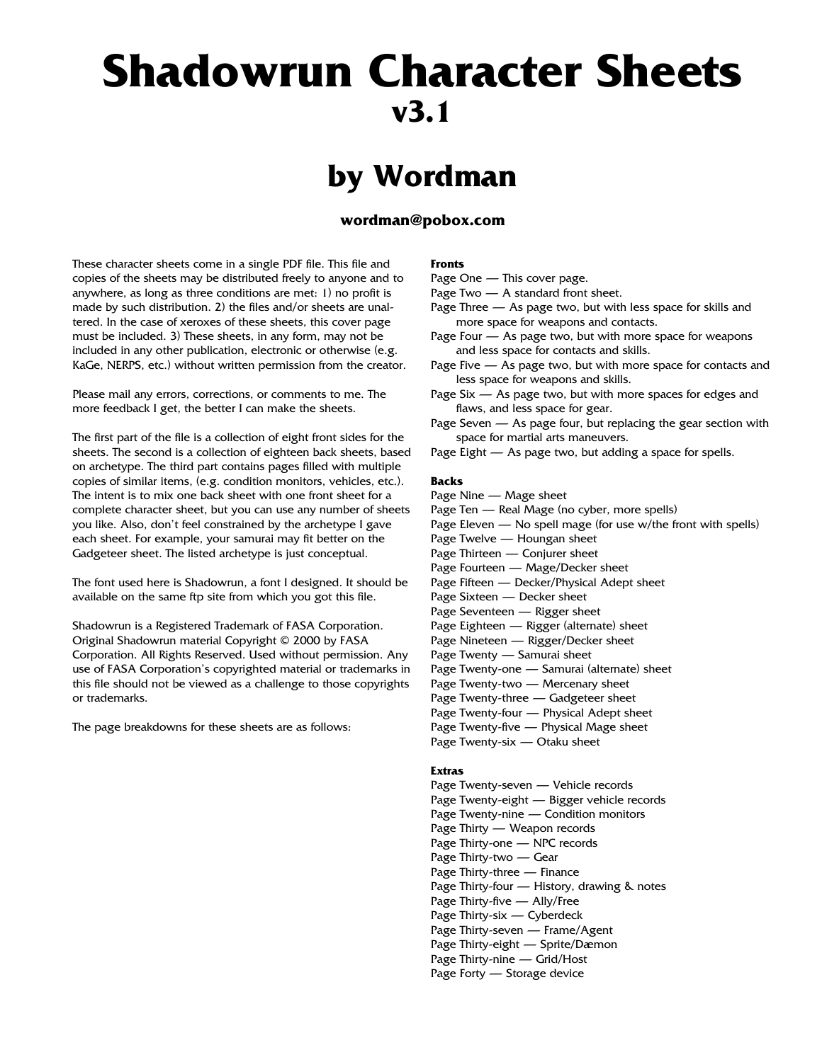# **Shadowrun Character Sheets v3.1**

## **by Wordman**

#### **wordman@pobox.com**

These character sheets come in a single PDF file. This file and copies of the sheets may be distributed freely to anyone and to anywhere, as long as three conditions are met: 1) no profit is made by such distribution. 2) the files and/or sheets are unaltered. In the case of xeroxes of these sheets, this cover page must be included. 3) These sheets, in any form, may not be included in any other publication, electronic or otherwise (e.g. KaGe, NERPS, etc.) without written permission from the creator.

Please mail any errors, corrections, or comments to me. The more feedback I get, the better I can make the sheets.

The first part of the file is a collection of eight front sides for the sheets. The second is a collection of eighteen back sheets, based on archetype. The third part contains pages filled with multiple copies of similar items, (e.g. condition monitors, vehicles, etc.). The intent is to mix one back sheet with one front sheet for a complete character sheet, but you can use any number of sheets you like. Also, don't feel constrained by the archetype I gave each sheet. For example, your samurai may fit better on the Gadgeteer sheet. The listed archetype is just conceptual.

The font used here is Shadowrun, a font I designed. It should be available on the same ftp site from which you got this file.

Shadowrun is a Registered Trademark of FASA Corporation. Original Shadowrun material Copyright © 2000 by FASA Corporation. All Rights Reserved. Used without permission. Any use of FASA Corporation's copyrighted material or trademarks in this file should not be viewed as a challenge to those copyrights or trademarks.

The page breakdowns for these sheets are as follows:

#### **Fronts**

- Page One This cover page.
- Page Two A standard front sheet.
- Page Three As page two, but with less space for skills and more space for weapons and contacts.
- Page Four As page two, but with more space for weapons and less space for contacts and skills.
- Page Five As page two, but with more space for contacts and less space for weapons and skills.
- Page Six As page two, but with more spaces for edges and flaws, and less space for gear.
- Page Seven As page four, but replacing the gear section with space for martial arts maneuvers.
- Page Eight As page two, but adding a space for spells.

#### **Backs**

- Page Nine Mage sheet
- Page Ten Real Mage (no cyber, more spells)
- Page Eleven No spell mage (for use w/the front with spells)
- Page Twelve Houngan sheet
- Page Thirteen Conjurer sheet
- Page Fourteen Mage/Decker sheet
- Page Fifteen Decker/Physical Adept sheet
- Page Sixteen Decker sheet
- Page Seventeen Rigger sheet
- Page Eighteen Rigger (alternate) sheet
- Page Nineteen Rigger/Decker sheet
- Page Twenty Samurai sheet
- Page Twenty-one Samurai (alternate) sheet
- Page Twenty-two Mercenary sheet
- Page Twenty-three Gadgeteer sheet
- Page Twenty-four Physical Adept sheet
- Page Twenty-five Physical Mage sheet
- Page Twenty-six Otaku sheet

#### **Extras**

Page Twenty-seven — Vehicle records Page Twenty-eight — Bigger vehicle records Page Twenty-nine — Condition monitors Page Thirty — Weapon records Page Thirty-one — NPC records Page Thirty-two — Gear Page Thirty-three — Finance Page Thirty-four — History, drawing & notes Page Thirty-five — Ally/Free Page Thirty-six — Cyberdeck Page Thirty-seven — Frame/Agent Page Thirty-eight — Sprite/Dæmon Page Thirty-nine — Grid/Host Page Forty — Storage device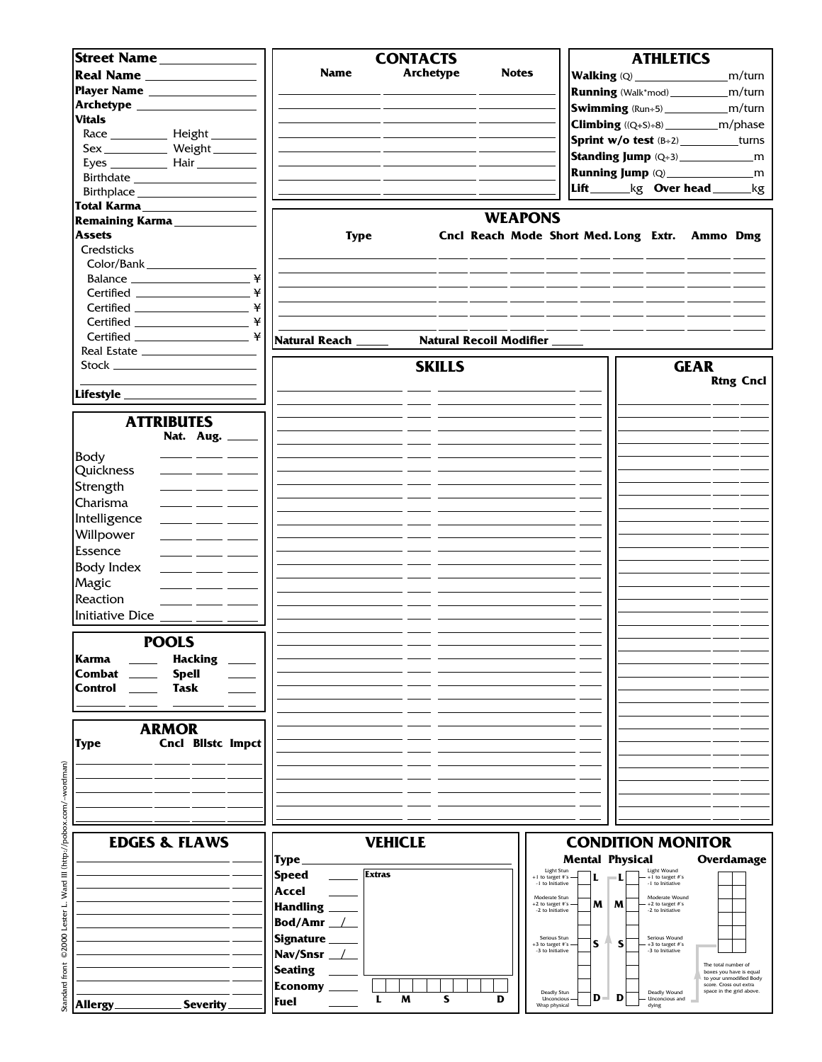| Street Name                                                                                                                                                                                                                                                                                                                                                                                      |                               | <b>CONTACTS</b>  |                                                |                        | <b>ATHLETICS</b>                         |                                                   |
|--------------------------------------------------------------------------------------------------------------------------------------------------------------------------------------------------------------------------------------------------------------------------------------------------------------------------------------------------------------------------------------------------|-------------------------------|------------------|------------------------------------------------|------------------------|------------------------------------------|---------------------------------------------------|
| Real Name                                                                                                                                                                                                                                                                                                                                                                                        | <b>Name</b>                   | <b>Archetype</b> | <b>Notes</b>                                   |                        |                                          | m/turn                                            |
|                                                                                                                                                                                                                                                                                                                                                                                                  |                               |                  |                                                |                        |                                          | <b>Running</b> (Walk*mod)______________m/turn     |
|                                                                                                                                                                                                                                                                                                                                                                                                  |                               |                  |                                                |                        |                                          |                                                   |
| <b>Vitals</b>                                                                                                                                                                                                                                                                                                                                                                                    |                               |                  |                                                |                        |                                          | <b>Swimming</b> (Run÷5)_________________m/turn    |
|                                                                                                                                                                                                                                                                                                                                                                                                  |                               |                  |                                                |                        |                                          |                                                   |
| Sex _____________ Weight ________                                                                                                                                                                                                                                                                                                                                                                |                               |                  |                                                |                        |                                          | <b>Sprint w/o test</b> $(B+2)$ __________turns    |
|                                                                                                                                                                                                                                                                                                                                                                                                  |                               |                  |                                                |                        |                                          |                                                   |
|                                                                                                                                                                                                                                                                                                                                                                                                  |                               |                  |                                                |                        |                                          |                                                   |
| Birthplace _______________________                                                                                                                                                                                                                                                                                                                                                               |                               |                  |                                                |                        |                                          | Lift_______kg Over head ______kg                  |
| Total Karma                                                                                                                                                                                                                                                                                                                                                                                      |                               |                  |                                                |                        |                                          |                                                   |
| Remaining Karma                                                                                                                                                                                                                                                                                                                                                                                  |                               |                  | <b>WEAPONS</b>                                 |                        |                                          |                                                   |
| <b>Assets</b>                                                                                                                                                                                                                                                                                                                                                                                    | <b>Type</b>                   |                  | Cncl Reach Mode Short Med. Long Extr. Ammo Dmg |                        |                                          |                                                   |
| Credsticks                                                                                                                                                                                                                                                                                                                                                                                       |                               |                  |                                                |                        |                                          |                                                   |
| Color/Bank                                                                                                                                                                                                                                                                                                                                                                                       |                               |                  |                                                |                        |                                          |                                                   |
| ¥                                                                                                                                                                                                                                                                                                                                                                                                |                               |                  |                                                |                        |                                          |                                                   |
| ¥                                                                                                                                                                                                                                                                                                                                                                                                |                               |                  |                                                |                        |                                          |                                                   |
| ¥                                                                                                                                                                                                                                                                                                                                                                                                |                               |                  |                                                |                        |                                          |                                                   |
| ¥<br>$\begin{picture}(150,10) \put(0,0){\dashbox{0.5}(10,0){ }} \put(15,0){\circle{10}} \put(15,0){\circle{10}} \put(15,0){\circle{10}} \put(15,0){\circle{10}} \put(15,0){\circle{10}} \put(15,0){\circle{10}} \put(15,0){\circle{10}} \put(15,0){\circle{10}} \put(15,0){\circle{10}} \put(15,0){\circle{10}} \put(15,0){\circle{10}} \put(15,0){\circle{10}} \put(15,0){\circle{10}} \put(15$ |                               |                  |                                                |                        |                                          |                                                   |
|                                                                                                                                                                                                                                                                                                                                                                                                  |                               |                  |                                                |                        |                                          |                                                   |
|                                                                                                                                                                                                                                                                                                                                                                                                  | Natural Reach                 |                  | <b>Natural Recoil Modifier</b>                 |                        |                                          |                                                   |
| Stock _________________                                                                                                                                                                                                                                                                                                                                                                          |                               | <b>SKILLS</b>    |                                                |                        | <b>GEAR</b>                              |                                                   |
|                                                                                                                                                                                                                                                                                                                                                                                                  |                               |                  |                                                |                        |                                          | <b>Rtng Cncl</b>                                  |
|                                                                                                                                                                                                                                                                                                                                                                                                  |                               |                  |                                                |                        |                                          |                                                   |
|                                                                                                                                                                                                                                                                                                                                                                                                  |                               |                  |                                                |                        |                                          |                                                   |
| <b>ATTRIBUTES</b>                                                                                                                                                                                                                                                                                                                                                                                |                               |                  |                                                |                        |                                          |                                                   |
| Nat. Aug. _____                                                                                                                                                                                                                                                                                                                                                                                  |                               |                  |                                                |                        |                                          |                                                   |
|                                                                                                                                                                                                                                                                                                                                                                                                  |                               |                  |                                                |                        |                                          |                                                   |
| Body                                                                                                                                                                                                                                                                                                                                                                                             |                               |                  |                                                |                        |                                          |                                                   |
| Quickness<br>$\frac{1}{2}$ and $\frac{1}{2}$ and $\frac{1}{2}$                                                                                                                                                                                                                                                                                                                                   |                               |                  |                                                |                        |                                          |                                                   |
| Strength                                                                                                                                                                                                                                                                                                                                                                                         |                               |                  |                                                |                        |                                          |                                                   |
| Charisma                                                                                                                                                                                                                                                                                                                                                                                         |                               |                  |                                                |                        |                                          |                                                   |
| Intelligence<br>$\frac{1}{\sqrt{1-\frac{1}{2}}}\left( \frac{1}{\sqrt{1-\frac{1}{2}}}\right)$                                                                                                                                                                                                                                                                                                     |                               |                  |                                                |                        |                                          |                                                   |
| Willpower                                                                                                                                                                                                                                                                                                                                                                                        |                               |                  |                                                |                        |                                          |                                                   |
| Essence                                                                                                                                                                                                                                                                                                                                                                                          |                               |                  |                                                |                        |                                          |                                                   |
| <b>Body Index</b>                                                                                                                                                                                                                                                                                                                                                                                |                               |                  |                                                |                        |                                          |                                                   |
|                                                                                                                                                                                                                                                                                                                                                                                                  |                               |                  |                                                |                        |                                          |                                                   |
| Magic<br>للمستر المستنقل المستنقلين                                                                                                                                                                                                                                                                                                                                                              |                               |                  |                                                |                        |                                          |                                                   |
| Reaction                                                                                                                                                                                                                                                                                                                                                                                         |                               |                  |                                                |                        |                                          |                                                   |
| Initiative Dice _____ ___ _                                                                                                                                                                                                                                                                                                                                                                      |                               |                  |                                                |                        |                                          |                                                   |
|                                                                                                                                                                                                                                                                                                                                                                                                  |                               |                  |                                                |                        |                                          |                                                   |
| <b>POOLS</b>                                                                                                                                                                                                                                                                                                                                                                                     |                               |                  |                                                |                        |                                          |                                                   |
| Karma<br><b>Hacking</b>                                                                                                                                                                                                                                                                                                                                                                          |                               |                  |                                                |                        |                                          |                                                   |
| Combat<br><b>Spell</b>                                                                                                                                                                                                                                                                                                                                                                           |                               |                  |                                                |                        |                                          |                                                   |
| Control<br>Task                                                                                                                                                                                                                                                                                                                                                                                  |                               |                  |                                                |                        |                                          |                                                   |
|                                                                                                                                                                                                                                                                                                                                                                                                  |                               |                  |                                                |                        |                                          |                                                   |
|                                                                                                                                                                                                                                                                                                                                                                                                  |                               |                  |                                                |                        |                                          |                                                   |
| <b>ARMOR</b>                                                                                                                                                                                                                                                                                                                                                                                     |                               |                  |                                                |                        |                                          |                                                   |
| Cncl Bllstc Impct<br>Type                                                                                                                                                                                                                                                                                                                                                                        |                               |                  |                                                |                        |                                          |                                                   |
|                                                                                                                                                                                                                                                                                                                                                                                                  |                               |                  |                                                |                        |                                          |                                                   |
|                                                                                                                                                                                                                                                                                                                                                                                                  |                               |                  |                                                |                        |                                          |                                                   |
|                                                                                                                                                                                                                                                                                                                                                                                                  |                               |                  |                                                |                        |                                          |                                                   |
|                                                                                                                                                                                                                                                                                                                                                                                                  |                               |                  |                                                |                        |                                          |                                                   |
|                                                                                                                                                                                                                                                                                                                                                                                                  |                               |                  |                                                |                        |                                          |                                                   |
| <b>EDGES &amp; FLAWS</b>                                                                                                                                                                                                                                                                                                                                                                         |                               | <b>VEHICLE</b>   |                                                |                        | <b>CONDITION MONITOR</b>                 |                                                   |
|                                                                                                                                                                                                                                                                                                                                                                                                  |                               |                  |                                                |                        |                                          |                                                   |
|                                                                                                                                                                                                                                                                                                                                                                                                  | Type                          |                  | Light Stun                                     | <b>Mental Physical</b> | Light Wound                              | Overdamage                                        |
|                                                                                                                                                                                                                                                                                                                                                                                                  | <b>Extras</b><br><b>Speed</b> |                  | +1 to target #'s<br>-1 to Initiative           |                        | $+1$ to target #'s<br>-1 to Initiative   |                                                   |
|                                                                                                                                                                                                                                                                                                                                                                                                  | Accel                         |                  | Moderate Stun                                  |                        | Moderate Wound                           |                                                   |
|                                                                                                                                                                                                                                                                                                                                                                                                  | <b>Handling</b>               |                  | +2 to target #'s -<br>-2 to Initiative         | M<br>M                 | $+2$ to target $\#s$<br>-2 to Initiative |                                                   |
|                                                                                                                                                                                                                                                                                                                                                                                                  | Bod/Amr _                     |                  |                                                |                        |                                          |                                                   |
|                                                                                                                                                                                                                                                                                                                                                                                                  | <b>Signature</b>              |                  | Serious Stun                                   |                        | Serious Wound                            |                                                   |
|                                                                                                                                                                                                                                                                                                                                                                                                  | Nav/Snsr _                    |                  | $+3$ to target $\#s$<br>-3 to Initiative       | S<br>S                 | +3 to target #'s<br>-3 to Initiative     |                                                   |
|                                                                                                                                                                                                                                                                                                                                                                                                  | <b>Seating</b>                |                  |                                                |                        |                                          | The total number of<br>boxes you have is equal    |
|                                                                                                                                                                                                                                                                                                                                                                                                  |                               |                  |                                                |                        |                                          | to your unmodified Body<br>score. Cross out extra |
|                                                                                                                                                                                                                                                                                                                                                                                                  | <b>Economy</b><br>L           | M<br>s           | Deadly Stun<br>D<br>Unconcious                 | D<br>D                 | Deadly Wound<br>Unconcious and           | space in the grid above.                          |
| <b>Allergy</b><br><b>Severity</b>                                                                                                                                                                                                                                                                                                                                                                | <b>Fuel</b>                   |                  | Wrap physical                                  |                        | dying                                    |                                                   |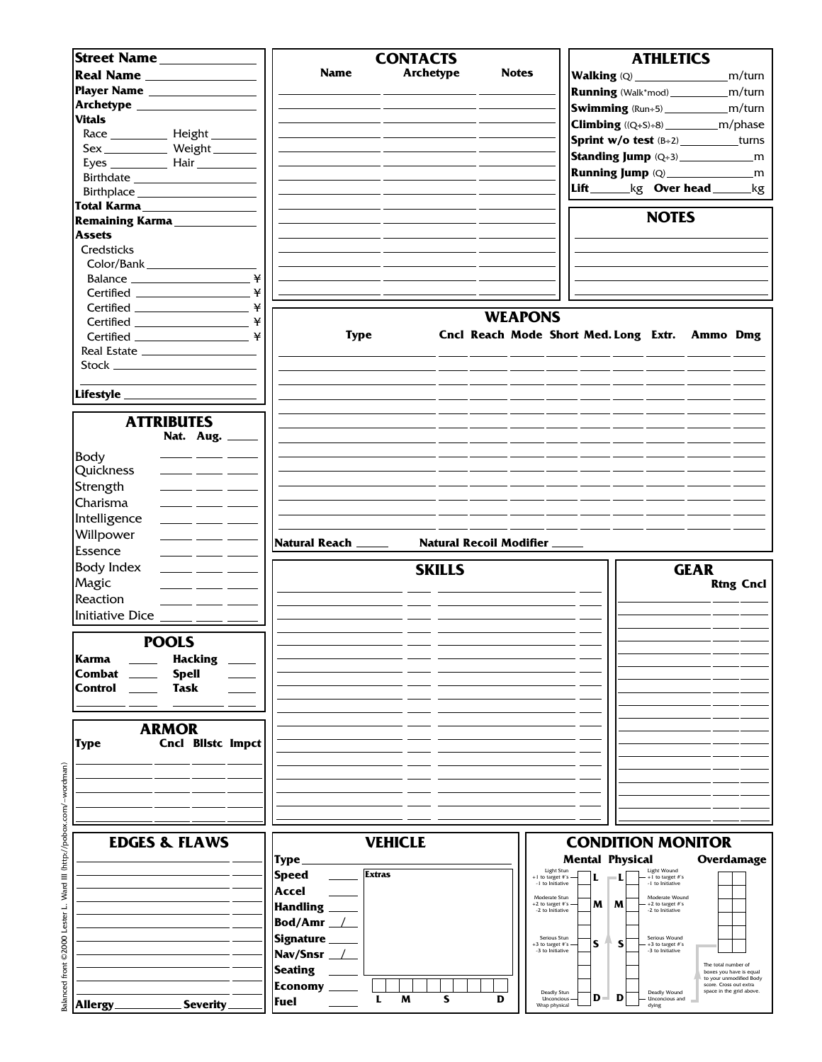| Street Name                                                        |                               | <b>CONTACTS</b>  |                            |                                                | <b>ATHLETICS</b>                         |                                                    |
|--------------------------------------------------------------------|-------------------------------|------------------|----------------------------|------------------------------------------------|------------------------------------------|----------------------------------------------------|
|                                                                    | <b>Name</b>                   | <b>Archetype</b> | <b>Notes</b>               |                                                |                                          | m/turn                                             |
|                                                                    |                               |                  |                            |                                                |                                          |                                                    |
|                                                                    |                               |                  |                            |                                                |                                          | <b>Running</b> (Walk*mod)______________m/turn      |
|                                                                    |                               |                  |                            |                                                |                                          | <b>Swimming</b> (Run÷5)________________m/turn      |
| <b>Vitals</b>                                                      |                               |                  |                            |                                                |                                          |                                                    |
|                                                                    |                               |                  |                            |                                                |                                          | <b>Sprint w/o test</b> $(B+2)$ _________turns      |
| Sex ______________ Weight ________                                 |                               |                  |                            |                                                |                                          |                                                    |
|                                                                    |                               |                  |                            |                                                |                                          |                                                    |
|                                                                    |                               |                  |                            |                                                |                                          |                                                    |
|                                                                    |                               |                  |                            |                                                |                                          | Lift_______kg Over head ______kg                   |
| Total Karma <b>Mana</b>                                            |                               |                  |                            |                                                |                                          |                                                    |
| Remaining Karma                                                    |                               |                  |                            |                                                | <b>NOTES</b>                             |                                                    |
| <b>Assets</b>                                                      |                               |                  |                            |                                                |                                          |                                                    |
| Credsticks                                                         |                               |                  |                            |                                                |                                          |                                                    |
| Color/Bank                                                         |                               |                  |                            |                                                |                                          |                                                    |
|                                                                    | ¥                             |                  |                            |                                                |                                          |                                                    |
|                                                                    | ¥                             |                  |                            |                                                |                                          |                                                    |
|                                                                    |                               |                  |                            |                                                |                                          |                                                    |
|                                                                    | ¥                             |                  | <b>WEAPONS</b>             |                                                |                                          |                                                    |
|                                                                    | <b>Type</b>                   |                  |                            | Cncl Reach Mode Short Med. Long Extr. Ammo Dmg |                                          |                                                    |
|                                                                    |                               |                  |                            |                                                |                                          |                                                    |
|                                                                    |                               |                  |                            |                                                |                                          |                                                    |
|                                                                    |                               |                  |                            |                                                |                                          |                                                    |
|                                                                    |                               |                  |                            |                                                |                                          |                                                    |
|                                                                    |                               |                  |                            |                                                |                                          |                                                    |
| <b>ATTRIBUTES</b>                                                  |                               |                  |                            |                                                |                                          |                                                    |
| Nat. Aug. _____                                                    |                               |                  |                            |                                                |                                          |                                                    |
|                                                                    |                               |                  |                            |                                                |                                          |                                                    |
| <b>Body</b>                                                        |                               |                  |                            |                                                |                                          |                                                    |
| Quickness                                                          |                               |                  |                            |                                                |                                          |                                                    |
| Strength                                                           |                               |                  |                            |                                                |                                          |                                                    |
| Charisma                                                           |                               |                  |                            |                                                |                                          |                                                    |
| Intelligence                                                       |                               |                  |                            |                                                |                                          |                                                    |
|                                                                    |                               |                  |                            |                                                |                                          |                                                    |
|                                                                    |                               |                  |                            |                                                |                                          |                                                    |
| Willpower<br>$\overline{\phantom{a}}$ and $\overline{\phantom{a}}$ |                               |                  | Natural Recoil Modifier __ |                                                |                                          |                                                    |
| Essence                                                            | Natural Reach _____           |                  |                            |                                                |                                          |                                                    |
| <b>Body Index</b>                                                  |                               | <b>SKILLS</b>    |                            |                                                |                                          | <b>GEAR</b>                                        |
| Magic                                                              |                               |                  |                            |                                                |                                          | <b>Rtng Cncl</b>                                   |
| Reaction                                                           |                               |                  |                            |                                                |                                          |                                                    |
|                                                                    |                               |                  |                            |                                                |                                          |                                                    |
| Initiative Dice ____ __ _                                          |                               |                  |                            |                                                |                                          |                                                    |
|                                                                    |                               |                  |                            |                                                |                                          |                                                    |
| <b>POOLS</b>                                                       |                               |                  |                            |                                                |                                          |                                                    |
| Karma<br><b>Hacking</b>                                            |                               |                  |                            |                                                |                                          |                                                    |
| Combat<br><b>Spell</b>                                             |                               |                  |                            |                                                |                                          |                                                    |
| Control<br>Task                                                    |                               |                  |                            |                                                |                                          |                                                    |
|                                                                    |                               |                  |                            |                                                |                                          |                                                    |
|                                                                    |                               |                  |                            |                                                |                                          |                                                    |
| <b>ARMOR</b>                                                       |                               |                  |                            |                                                |                                          |                                                    |
| <b>Cncl Bilstc Impct</b><br>Type                                   |                               |                  |                            |                                                |                                          |                                                    |
|                                                                    |                               |                  |                            |                                                |                                          |                                                    |
|                                                                    |                               |                  |                            |                                                |                                          |                                                    |
|                                                                    |                               |                  |                            |                                                |                                          |                                                    |
|                                                                    |                               |                  |                            |                                                |                                          |                                                    |
|                                                                    |                               |                  |                            |                                                |                                          |                                                    |
|                                                                    |                               |                  |                            |                                                |                                          |                                                    |
| <b>EDGES &amp; FLAWS</b>                                           |                               | <b>VEHICLE</b>   |                            |                                                | <b>CONDITION MONITOR</b>                 |                                                    |
|                                                                    | Type                          |                  |                            | <b>Mental Physical</b>                         |                                          | Overdamage                                         |
|                                                                    | <b>Extras</b><br><b>Speed</b> |                  |                            | Light Stun<br>+1 to target #'s<br>ш            | Light Wound<br>+1 to target #'s          |                                                    |
|                                                                    | Accel                         |                  |                            | -1 to Initiative                               | -1 to Initiative                         |                                                    |
|                                                                    | <b>Handling</b>               |                  |                            | Moderate Stun<br>M<br>M<br>+2 to target #'s    | Moderate Wound<br>+2 to target #'s       |                                                    |
|                                                                    |                               |                  |                            | -2 to Initiative                               | -2 to Initiative                         |                                                    |
|                                                                    | Bod/Amr _                     |                  |                            | Serious Stun                                   | Serious Wound                            |                                                    |
|                                                                    | <b>Signature</b>              |                  |                            | S<br>S<br>+3 to target #'s<br>-3 to Initiative | $+3$ to target $\#s$<br>-3 to Initiative |                                                    |
|                                                                    | Nav/Snsr                      |                  |                            |                                                |                                          | The total number of                                |
|                                                                    | <b>Seating</b>                |                  |                            |                                                |                                          | boxes you have is equal<br>to your unmodified Body |
|                                                                    | <b>Economy</b>                | S<br>L<br>M      | D                          | Deadly Stun<br>D<br>D<br>Unconcious            | Deadly Wound<br>Unconcious and           | score. Cross out extra<br>space in the grid above. |

Balanced front ©2000 Lester L. Ward III (http://pobox.com/~wordman) Balanced front ©2000 Lester L. Ward III (http://pobox.com/~wordman)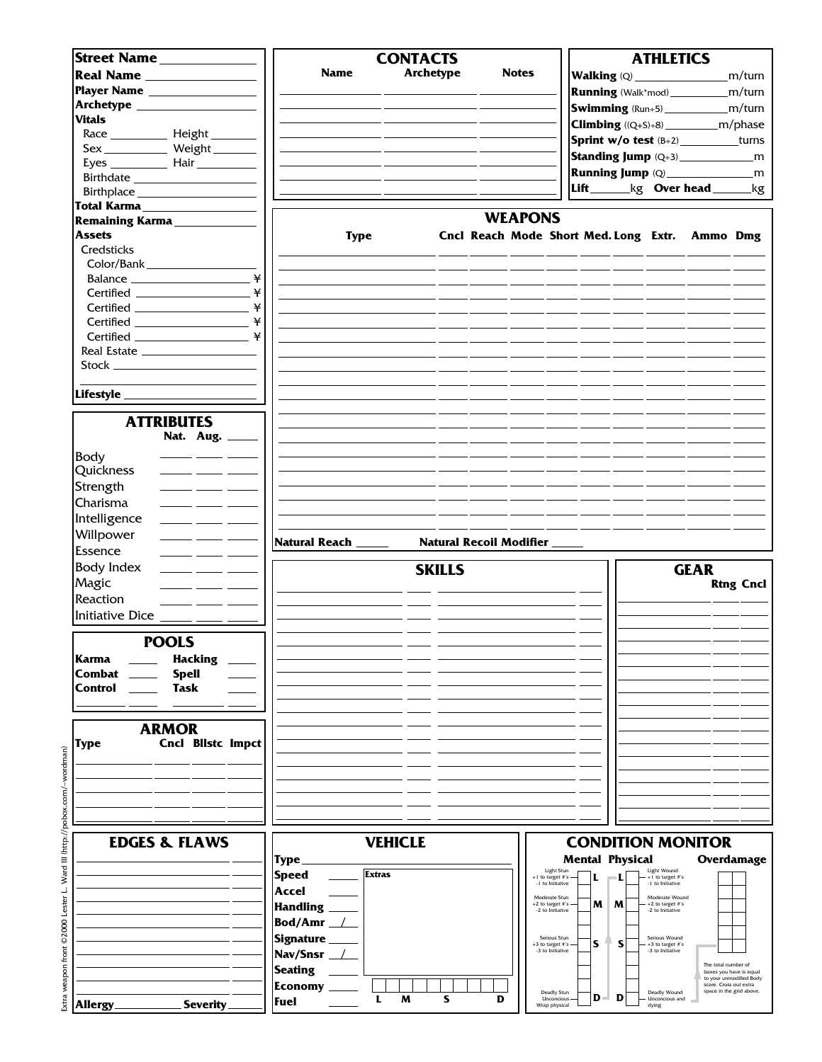| Street Name                                      |                                                                                                                                                                  |                        |               | <b>CONTACTS</b>  |               |   |                           |                                        |       |                        | <b>ATHLETICS</b>                     |                                                 |                          |
|--------------------------------------------------|------------------------------------------------------------------------------------------------------------------------------------------------------------------|------------------------|---------------|------------------|---------------|---|---------------------------|----------------------------------------|-------|------------------------|--------------------------------------|-------------------------------------------------|--------------------------|
|                                                  |                                                                                                                                                                  |                        |               |                  |               |   |                           |                                        |       |                        |                                      |                                                 |                          |
|                                                  | Real Name                                                                                                                                                        | <b>Name</b>            |               | <b>Archetype</b> |               |   | <b>Notes</b>              |                                        |       |                        |                                      |                                                 | m/turn                   |
|                                                  | Player Name __________________                                                                                                                                   |                        |               |                  |               |   |                           |                                        |       |                        |                                      | <b>Running</b> (Walk*mod)______________m/turn   |                          |
|                                                  |                                                                                                                                                                  |                        |               |                  |               |   |                           |                                        |       |                        |                                      | <b>Swimming</b> (Run÷5)______________m/turn     |                          |
| <b>Vitals</b>                                    |                                                                                                                                                                  |                        |               |                  |               |   |                           |                                        |       |                        |                                      |                                                 |                          |
|                                                  |                                                                                                                                                                  |                        |               |                  |               |   |                           |                                        |       |                        |                                      | <b>Climbing</b> ((Q+S)÷8) ______________m/phase |                          |
|                                                  |                                                                                                                                                                  |                        |               |                  |               |   |                           |                                        |       |                        |                                      | Sprint w/o test (B+2) _________turns            |                          |
|                                                  | Sex_____________ Weight________                                                                                                                                  |                        |               |                  |               |   |                           |                                        |       |                        |                                      |                                                 |                          |
|                                                  |                                                                                                                                                                  |                        |               |                  |               |   |                           |                                        |       |                        |                                      |                                                 |                          |
|                                                  |                                                                                                                                                                  |                        |               |                  |               |   |                           |                                        |       |                        |                                      |                                                 |                          |
|                                                  |                                                                                                                                                                  |                        |               |                  |               |   |                           |                                        |       |                        |                                      | Lift_______kg Over head ______kg                |                          |
|                                                  | Total Karma                                                                                                                                                      |                        |               |                  |               |   |                           |                                        |       |                        |                                      |                                                 |                          |
|                                                  | Remaining Karma                                                                                                                                                  |                        |               |                  |               |   | <b>WEAPONS</b>            |                                        |       |                        |                                      |                                                 |                          |
|                                                  |                                                                                                                                                                  |                        |               |                  |               |   |                           |                                        |       |                        |                                      |                                                 |                          |
| <b>Assets</b>                                    |                                                                                                                                                                  |                        | <b>Type</b>   |                  |               |   |                           |                                        |       |                        |                                      | Cncl Reach Mode Short Med. Long Extr. Ammo Dmg  |                          |
| Credsticks                                       |                                                                                                                                                                  |                        |               |                  |               |   |                           |                                        |       |                        |                                      |                                                 |                          |
| Color/Bank                                       |                                                                                                                                                                  |                        |               |                  |               |   |                           |                                        |       |                        |                                      |                                                 |                          |
|                                                  | ¥                                                                                                                                                                |                        |               |                  |               |   |                           |                                        |       |                        |                                      |                                                 |                          |
|                                                  | ¥                                                                                                                                                                |                        |               |                  |               |   |                           |                                        |       |                        |                                      |                                                 |                          |
|                                                  |                                                                                                                                                                  |                        |               |                  |               |   |                           |                                        |       |                        |                                      |                                                 |                          |
|                                                  |                                                                                                                                                                  |                        |               |                  |               |   |                           |                                        |       |                        |                                      |                                                 |                          |
|                                                  | ¥<br>Certified _____________________                                                                                                                             |                        |               |                  |               |   |                           |                                        |       |                        |                                      |                                                 |                          |
|                                                  | ¥<br>$\begin{tabular}{c} \bf{Certified} \end{tabular} \begin{tabular}{c} \textbf{1} & \textbf{2} & \textbf{3} & \textbf{4} & \textbf{5} \\ \hline \end{tabular}$ |                        |               |                  |               |   |                           |                                        |       |                        |                                      |                                                 |                          |
|                                                  |                                                                                                                                                                  |                        |               |                  |               |   |                           |                                        |       |                        |                                      |                                                 |                          |
|                                                  |                                                                                                                                                                  |                        |               |                  |               |   |                           |                                        |       |                        |                                      |                                                 |                          |
|                                                  |                                                                                                                                                                  |                        |               |                  |               |   |                           |                                        |       |                        |                                      |                                                 |                          |
|                                                  |                                                                                                                                                                  |                        |               |                  |               |   |                           |                                        |       |                        |                                      |                                                 |                          |
| Lifestyle ________                               |                                                                                                                                                                  |                        |               |                  |               |   |                           |                                        |       |                        |                                      |                                                 |                          |
|                                                  |                                                                                                                                                                  |                        |               |                  |               |   |                           |                                        |       |                        |                                      |                                                 |                          |
|                                                  | <b>ATTRIBUTES</b>                                                                                                                                                |                        |               |                  |               |   |                           |                                        |       |                        |                                      |                                                 |                          |
|                                                  | Nat. Aug. _                                                                                                                                                      |                        |               |                  |               |   |                           |                                        |       |                        |                                      |                                                 |                          |
|                                                  |                                                                                                                                                                  |                        |               |                  |               |   |                           |                                        |       |                        |                                      |                                                 |                          |
| Body                                             |                                                                                                                                                                  |                        |               |                  |               |   |                           |                                        |       |                        |                                      |                                                 |                          |
| Quickness                                        | للمستر المستنقص المستنقص                                                                                                                                         |                        |               |                  |               |   |                           |                                        |       |                        |                                      |                                                 |                          |
| Strength                                         |                                                                                                                                                                  |                        |               |                  |               |   |                           |                                        |       |                        |                                      |                                                 |                          |
|                                                  |                                                                                                                                                                  |                        |               |                  |               |   |                           |                                        |       |                        |                                      |                                                 |                          |
| Charisma                                         |                                                                                                                                                                  |                        |               |                  |               |   |                           |                                        |       |                        |                                      |                                                 |                          |
| Intelligence                                     |                                                                                                                                                                  |                        |               |                  |               |   |                           |                                        |       |                        |                                      |                                                 |                          |
|                                                  |                                                                                                                                                                  |                        |               |                  |               |   |                           |                                        |       |                        |                                      |                                                 |                          |
|                                                  |                                                                                                                                                                  |                        |               |                  |               |   |                           |                                        |       |                        |                                      |                                                 |                          |
| Willpower                                        | $  -$                                                                                                                                                            | Natural Reach _____    |               |                  |               |   | Natural Recoil Modifier _ |                                        |       |                        |                                      |                                                 |                          |
| Essence                                          | للمستنقذ المستند                                                                                                                                                 |                        |               |                  |               |   |                           |                                        |       |                        |                                      |                                                 |                          |
| Body Index                                       |                                                                                                                                                                  |                        |               |                  |               |   |                           |                                        |       |                        |                                      |                                                 |                          |
|                                                  |                                                                                                                                                                  |                        |               |                  | <b>SKILLS</b> |   |                           |                                        |       |                        |                                      | <b>GEAR</b>                                     |                          |
| Magic                                            | للمستنقذ المستند                                                                                                                                                 |                        |               |                  |               |   |                           |                                        |       |                        |                                      |                                                 | <b>Rtng Cncl</b>         |
| Reaction                                         | <u> 1989 - Johann Stoff, Amerikaansk konst</u>                                                                                                                   |                        |               |                  |               |   |                           |                                        |       |                        |                                      |                                                 |                          |
| Initiative Dice $\frac{1}{\sqrt{1-\frac{1}{2}}}$ |                                                                                                                                                                  |                        |               |                  |               |   |                           |                                        |       |                        |                                      |                                                 |                          |
|                                                  |                                                                                                                                                                  |                        |               |                  |               |   |                           |                                        |       |                        |                                      |                                                 |                          |
|                                                  |                                                                                                                                                                  |                        |               |                  |               |   |                           |                                        |       |                        |                                      |                                                 |                          |
|                                                  | <b>POOLS</b>                                                                                                                                                     |                        |               |                  |               |   |                           |                                        |       |                        |                                      |                                                 |                          |
| Karma                                            | <b>Hacking</b>                                                                                                                                                   |                        |               |                  |               |   |                           |                                        |       |                        |                                      |                                                 |                          |
| Combat                                           | <b>Spell</b>                                                                                                                                                     |                        |               |                  |               |   |                           |                                        |       |                        |                                      |                                                 |                          |
| Control                                          | <b>Task</b>                                                                                                                                                      |                        |               |                  |               |   |                           |                                        |       |                        |                                      |                                                 |                          |
|                                                  |                                                                                                                                                                  |                        |               |                  |               |   |                           |                                        |       |                        |                                      |                                                 |                          |
|                                                  |                                                                                                                                                                  |                        |               |                  |               |   |                           |                                        |       |                        |                                      |                                                 |                          |
|                                                  |                                                                                                                                                                  |                        |               |                  |               |   |                           |                                        |       |                        |                                      |                                                 |                          |
|                                                  | <b>ARMOR</b>                                                                                                                                                     |                        |               |                  |               |   |                           |                                        |       |                        |                                      |                                                 |                          |
| Type                                             | <b>Cncl Bilstc Impct</b>                                                                                                                                         |                        |               |                  |               |   |                           |                                        |       |                        |                                      |                                                 |                          |
|                                                  |                                                                                                                                                                  |                        |               |                  |               |   |                           |                                        |       |                        |                                      |                                                 |                          |
|                                                  |                                                                                                                                                                  |                        |               |                  |               |   |                           |                                        |       |                        |                                      |                                                 |                          |
|                                                  |                                                                                                                                                                  |                        |               |                  |               |   |                           |                                        |       |                        |                                      |                                                 |                          |
|                                                  |                                                                                                                                                                  |                        |               |                  |               |   |                           |                                        |       |                        |                                      |                                                 |                          |
|                                                  |                                                                                                                                                                  |                        |               |                  |               |   |                           |                                        |       |                        |                                      |                                                 |                          |
|                                                  |                                                                                                                                                                  |                        |               |                  |               |   |                           |                                        |       |                        |                                      |                                                 |                          |
|                                                  |                                                                                                                                                                  |                        |               |                  |               |   |                           |                                        |       |                        |                                      |                                                 |                          |
|                                                  | <b>EDGES &amp; FLAWS</b>                                                                                                                                         |                        |               | <b>VEHICLE</b>   |               |   |                           |                                        |       |                        |                                      | <b>CONDITION MONITOR</b>                        |                          |
|                                                  |                                                                                                                                                                  | <b>Type</b>            |               |                  |               |   |                           |                                        |       | <b>Mental Physical</b> |                                      |                                                 | Overdamage               |
|                                                  |                                                                                                                                                                  | <b>Speed</b>           | <b>Extras</b> |                  |               |   |                           | Light Stun<br>+1 to target #'s         | L     |                        | Light Wound<br>+1 to target #'s      |                                                 |                          |
|                                                  |                                                                                                                                                                  |                        |               |                  |               |   |                           | -1 to Initiative                       |       |                        | -1 to Initiative                     |                                                 |                          |
|                                                  |                                                                                                                                                                  | Accel                  |               |                  |               |   |                           | Moderate Stun                          |       |                        | Moderate Wound                       |                                                 |                          |
|                                                  |                                                                                                                                                                  | <b>Handling</b>        |               |                  |               |   |                           | $+2$ to target #'s<br>-2 to Initiative | M     | M                      | +2 to target #'s<br>-2 to Initiative |                                                 |                          |
|                                                  |                                                                                                                                                                  | Bod/Amr $\_\perp$      |               |                  |               |   |                           |                                        |       |                        |                                      |                                                 |                          |
|                                                  |                                                                                                                                                                  |                        |               |                  |               |   |                           |                                        |       |                        |                                      |                                                 |                          |
|                                                  |                                                                                                                                                                  | <b>Signature</b>       |               |                  |               |   |                           | Serious Stun<br>+3 to target #'s       | S     | S                      | Serious Wound<br>+3 to target #'s    |                                                 |                          |
|                                                  |                                                                                                                                                                  | Nav/Snsr _             |               |                  |               |   |                           | -3 to Initiative                       |       |                        | -3 to Initiative                     |                                                 |                          |
|                                                  |                                                                                                                                                                  | <b>Seating</b>         |               |                  |               |   |                           |                                        |       |                        |                                      | The total number of                             | boxes you have is equal  |
|                                                  |                                                                                                                                                                  |                        |               |                  |               |   |                           |                                        |       |                        |                                      | score. Cross out extra                          | to your unmodified Body  |
| Allergy                                          | <b>Severity</b>                                                                                                                                                  | <b>Economy</b><br>Fuel | L             | M                | S             | D |                           | Deadly Stun<br>Unconcious              | $D -$ | D                      | Deadly Wound<br>Unconcious and       |                                                 | space in the grid above. |

Extra weapon front ©2000 Lester L. Ward III (http://pobox.com/~wordman) Extra weapon front ©2000 Lester L. Ward III (http://pobox.com/~wordman)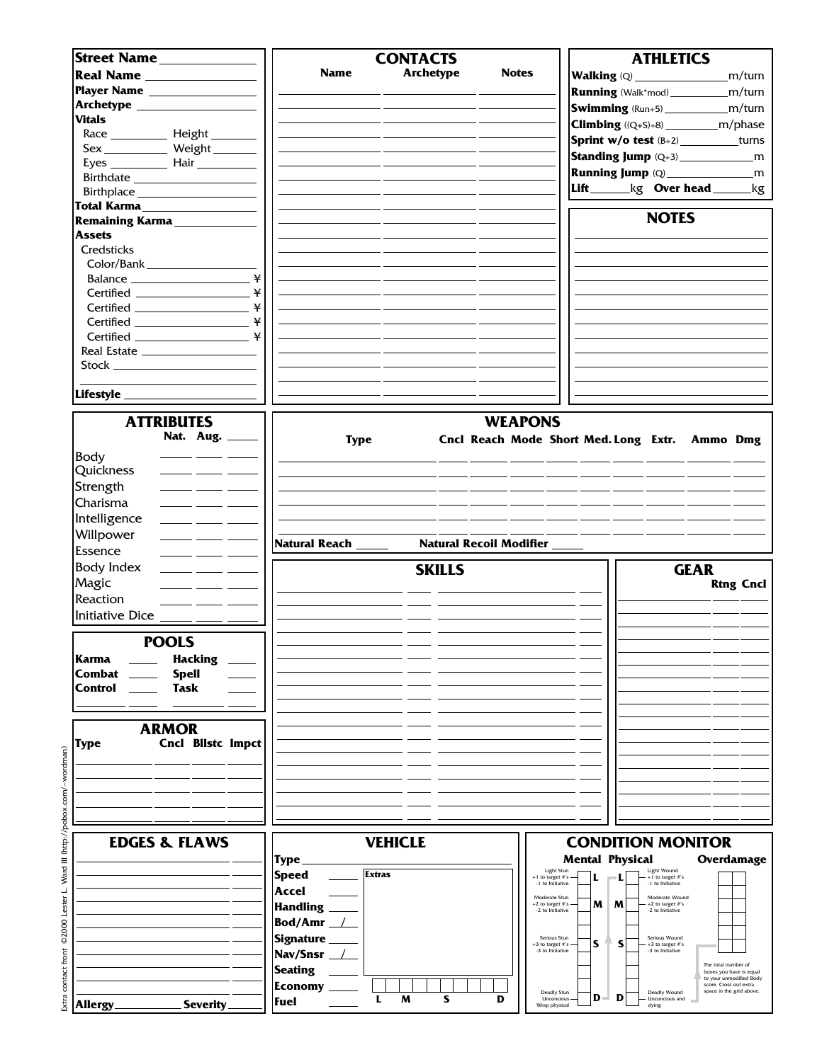| Street Name                                                          |                               | <b>CONTACTS</b>  |                                                |                          | <b>ATHLETICS</b>                       |                                                   |
|----------------------------------------------------------------------|-------------------------------|------------------|------------------------------------------------|--------------------------|----------------------------------------|---------------------------------------------------|
| Real Name                                                            | <b>Name</b>                   | <b>Archetype</b> | <b>Notes</b>                                   |                          |                                        | m/turn                                            |
| Player Name                                                          |                               |                  |                                                |                          |                                        |                                                   |
|                                                                      |                               |                  |                                                |                          |                                        | <b>Running</b> (Walk*mod)______________m/turn     |
| <b>Vitals</b>                                                        |                               |                  |                                                |                          |                                        | Swimming (Run÷5)________________m/turn            |
|                                                                      |                               |                  |                                                |                          |                                        |                                                   |
|                                                                      |                               |                  |                                                |                          |                                        | <b>Sprint w/o test</b> (B+2) _________turns       |
| Sex_____________ Weight________                                      |                               |                  |                                                |                          |                                        |                                                   |
|                                                                      |                               |                  |                                                |                          |                                        |                                                   |
|                                                                      |                               |                  |                                                |                          |                                        |                                                   |
| Birthplace _____________________                                     |                               |                  |                                                |                          |                                        | Lift_______kg Over head_______kg                  |
| Total Karma____________________                                      |                               |                  |                                                |                          |                                        |                                                   |
| Remaining Karma                                                      |                               |                  |                                                |                          | <b>NOTES</b>                           |                                                   |
| <b>Assets</b>                                                        |                               |                  |                                                |                          |                                        |                                                   |
| Credsticks                                                           |                               |                  |                                                |                          |                                        |                                                   |
| Color/Bank                                                           |                               |                  |                                                |                          |                                        |                                                   |
| ¥                                                                    |                               |                  |                                                |                          |                                        |                                                   |
|                                                                      |                               |                  |                                                |                          |                                        |                                                   |
|                                                                      |                               |                  |                                                |                          |                                        |                                                   |
| ¥<br>Certified ____________________                                  |                               |                  |                                                |                          |                                        |                                                   |
|                                                                      |                               |                  |                                                |                          |                                        |                                                   |
|                                                                      |                               |                  |                                                |                          |                                        |                                                   |
|                                                                      |                               |                  |                                                |                          |                                        |                                                   |
|                                                                      |                               |                  |                                                |                          |                                        |                                                   |
|                                                                      |                               |                  |                                                |                          |                                        |                                                   |
|                                                                      |                               |                  |                                                |                          |                                        |                                                   |
| <b>ATTRIBUTES</b>                                                    |                               |                  | <b>WEAPONS</b>                                 |                          |                                        |                                                   |
| Nat. Aug. _____                                                      | <b>Type</b>                   |                  | Cncl Reach Mode Short Med. Long Extr. Ammo Dmg |                          |                                        |                                                   |
|                                                                      |                               |                  |                                                |                          |                                        |                                                   |
| $\overline{\phantom{a}}$ and $\overline{\phantom{a}}$<br><b>Body</b> |                               |                  |                                                |                          |                                        |                                                   |
| Quickness                                                            |                               |                  |                                                |                          |                                        |                                                   |
| Strength                                                             |                               |                  |                                                |                          |                                        |                                                   |
| Charisma                                                             |                               |                  |                                                |                          |                                        |                                                   |
| Intelligence                                                         |                               |                  |                                                |                          |                                        |                                                   |
| Willpower                                                            |                               |                  |                                                |                          |                                        |                                                   |
| Essence                                                              | Natural Reach _____           |                  | Natural Recoil Modifier _                      |                          |                                        |                                                   |
| <b>Body Index</b><br><u> 1999 - Jan James James</u>                  |                               |                  |                                                |                          |                                        | <b>GEAR</b>                                       |
|                                                                      |                               | <b>SKILLS</b>    |                                                |                          |                                        |                                                   |
| Magic<br>المستنقل المستنب                                            |                               |                  |                                                |                          |                                        | <b>Rtng Cncl</b>                                  |
| Reaction                                                             |                               |                  |                                                |                          |                                        |                                                   |
| Initiative Dice _____ ___ _                                          |                               |                  |                                                |                          |                                        |                                                   |
|                                                                      |                               |                  |                                                |                          |                                        |                                                   |
| <b>POOLS</b>                                                         |                               |                  |                                                |                          |                                        |                                                   |
| Karma<br><b>Hacking</b>                                              |                               |                  |                                                |                          |                                        |                                                   |
| Combat<br><b>Spell</b>                                               |                               |                  |                                                |                          |                                        |                                                   |
| Control<br>Task                                                      |                               |                  |                                                |                          |                                        |                                                   |
|                                                                      |                               |                  |                                                |                          |                                        |                                                   |
|                                                                      |                               |                  |                                                |                          |                                        |                                                   |
| <b>ARMOR</b>                                                         |                               |                  |                                                |                          |                                        |                                                   |
| Cncl Bllstc Impct<br>Type                                            |                               |                  |                                                |                          |                                        |                                                   |
|                                                                      |                               |                  |                                                |                          |                                        |                                                   |
|                                                                      |                               |                  |                                                |                          |                                        |                                                   |
|                                                                      |                               |                  |                                                |                          |                                        |                                                   |
|                                                                      |                               |                  |                                                |                          |                                        |                                                   |
|                                                                      |                               |                  |                                                |                          |                                        |                                                   |
|                                                                      |                               |                  |                                                |                          |                                        |                                                   |
| <b>EDGES &amp; FLAWS</b>                                             |                               | <b>VEHICLE</b>   |                                                | <b>CONDITION MONITOR</b> |                                        |                                                   |
|                                                                      | Type.                         |                  |                                                | <b>Mental Physical</b>   |                                        | Overdamage                                        |
|                                                                      | <b>Extras</b><br><b>Speed</b> |                  | Light Stun<br>+1 to target #'s                 |                          | Light Wound<br>+1 to target #'s        |                                                   |
|                                                                      | Accel                         |                  | -1 to Initiative                               |                          | -1 to Initiative                       |                                                   |
|                                                                      |                               |                  | Moderate Stun<br>+2 to target #'s              | M<br>M                   | Moderate Wound<br>$+2$ to target $\#s$ |                                                   |
|                                                                      | <b>Handling</b>               |                  | -2 to Initiative                               |                          | -2 to Initiative                       |                                                   |
|                                                                      | Bod/Amr _                     |                  |                                                |                          |                                        |                                                   |
|                                                                      | <b>Signature</b>              |                  | Serious Stun<br>+3 to target #'s               | s<br>S                   | Serious Wound<br>+3 to target #'s      |                                                   |
|                                                                      | Nav/Snsr _                    |                  | -3 to Initiative                               |                          | -3 to Initiative                       |                                                   |
|                                                                      | <b>Seating</b>                |                  |                                                |                          |                                        | The total number of<br>boxes you have is equal    |
|                                                                      | <b>Economy</b>                |                  |                                                |                          |                                        | to your unmodified Body<br>score. Cross out extra |
| Severity.<br><b>Allergy</b>                                          | L<br>Fuel                     | M<br>s           | Deadly Stun<br>D<br>Unconcious                 | D<br>D<br>o.             | Deadly Wound<br><b>Unconcious</b> and  | space in the grid above.                          |
|                                                                      |                               |                  | Wrap physical                                  |                          | dying                                  |                                                   |

Extra contact front ©2000 Lester L. Ward III (http://pobox.com/~wordman) Extra contact front ©2000 Lester L. Ward III (http://pobox.com/~wordman)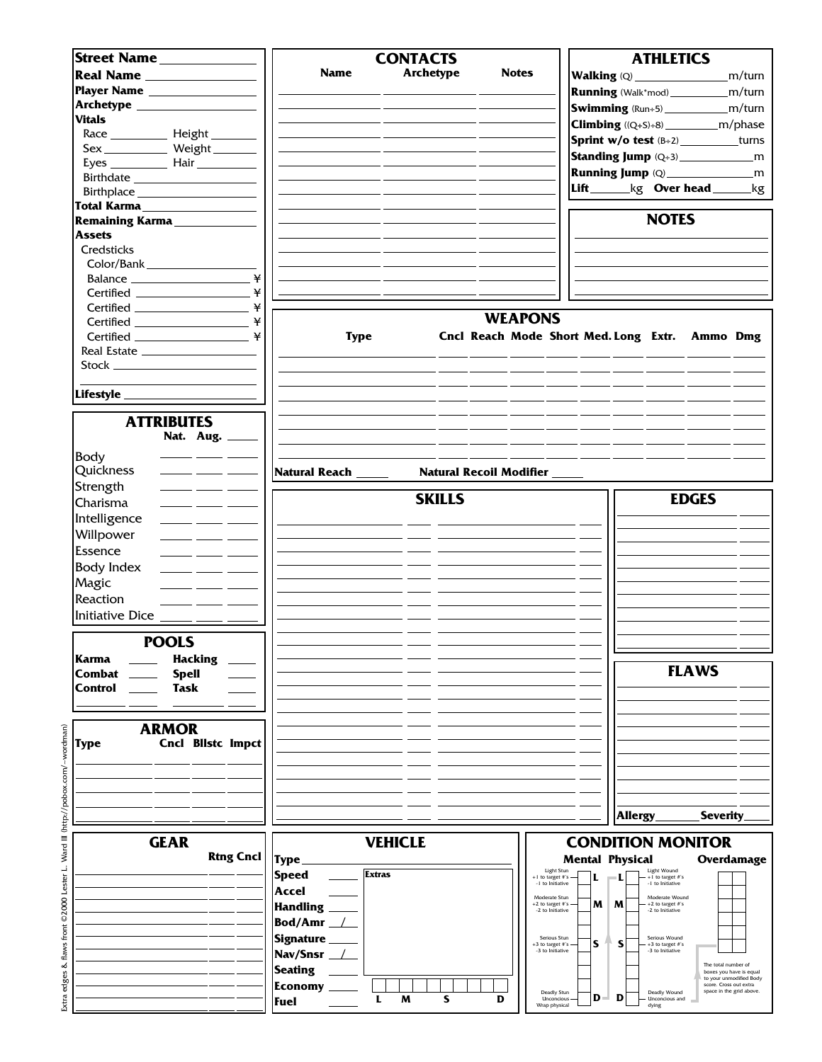| Street Name                                                       | <b>CONTACTS</b>                                   | <b>ATHLETICS</b>                                                                       |
|-------------------------------------------------------------------|---------------------------------------------------|----------------------------------------------------------------------------------------|
|                                                                   | <b>Name</b><br><b>Archetype</b><br><b>Notes</b>   | m/turn                                                                                 |
| Player Name ___________________                                   |                                                   |                                                                                        |
|                                                                   |                                                   | <b>Running</b> (Walk*mod)______________m/turn                                          |
|                                                                   |                                                   | <b>Swimming</b> (Run÷5)_________________m/turn                                         |
| <b>Vitals</b>                                                     |                                                   | <b>Climbing</b> ((Q+S)+8) _______________m/phase                                       |
|                                                                   |                                                   | Sprint w/o test (B+2) _________turns                                                   |
| Sex______________ Weight ________                                 |                                                   |                                                                                        |
|                                                                   |                                                   |                                                                                        |
|                                                                   |                                                   |                                                                                        |
|                                                                   |                                                   | Lift_______kg Over head ______kg                                                       |
| Total Karma__________________                                     |                                                   |                                                                                        |
| Remaining Karma                                                   |                                                   | <b>NOTES</b>                                                                           |
| <b>Assets</b>                                                     |                                                   |                                                                                        |
| Credsticks                                                        |                                                   |                                                                                        |
| Color/Bank                                                        |                                                   |                                                                                        |
| ¥                                                                 |                                                   |                                                                                        |
| ¥                                                                 |                                                   |                                                                                        |
|                                                                   |                                                   |                                                                                        |
| ¥                                                                 |                                                   | <b>WEAPONS</b>                                                                         |
|                                                                   | <b>Type</b>                                       | Cncl Reach Mode Short Med. Long Extr. Ammo Dmg                                         |
|                                                                   |                                                   |                                                                                        |
| Real Estate                                                       |                                                   |                                                                                        |
|                                                                   |                                                   |                                                                                        |
|                                                                   |                                                   |                                                                                        |
|                                                                   |                                                   |                                                                                        |
|                                                                   |                                                   |                                                                                        |
| <b>ATTRIBUTES</b>                                                 |                                                   |                                                                                        |
| Nat. Aug. _____                                                   |                                                   |                                                                                        |
| Body                                                              |                                                   |                                                                                        |
| Quickness                                                         | Natural Reach _____<br>Natural Recoil Modifier __ |                                                                                        |
| Strength<br>$\overline{\phantom{a}}$ and $\overline{\phantom{a}}$ |                                                   |                                                                                        |
|                                                                   | <b>SKILLS</b>                                     | <b>EDGES</b>                                                                           |
| Charisma<br>$\overline{\phantom{a}}$ and $\overline{\phantom{a}}$ |                                                   |                                                                                        |
| Intelligence                                                      |                                                   |                                                                                        |
| Willpower                                                         |                                                   |                                                                                        |
| Essence<br>المستنا المستندر المستندر                              |                                                   |                                                                                        |
| <b>Body Index</b>                                                 |                                                   |                                                                                        |
| Magic                                                             |                                                   |                                                                                        |
| Reaction                                                          |                                                   |                                                                                        |
|                                                                   |                                                   |                                                                                        |
| Initiative Dice ____ __ _                                         |                                                   |                                                                                        |
|                                                                   |                                                   |                                                                                        |
| <b>POOLS</b>                                                      |                                                   |                                                                                        |
| Karma<br><b>Hacking</b>                                           |                                                   |                                                                                        |
| Combat<br><b>Spell</b>                                            |                                                   | <b>FLAWS</b>                                                                           |
| Control<br>Task                                                   |                                                   |                                                                                        |
|                                                                   |                                                   |                                                                                        |
|                                                                   |                                                   |                                                                                        |
| <b>ARMOR</b>                                                      |                                                   |                                                                                        |
| <b>Cncl Blistc Impct</b><br>Type                                  |                                                   |                                                                                        |
|                                                                   |                                                   |                                                                                        |
|                                                                   |                                                   |                                                                                        |
|                                                                   |                                                   |                                                                                        |
|                                                                   |                                                   |                                                                                        |
|                                                                   |                                                   | <b>Allergy</b><br><b>Severity</b>                                                      |
|                                                                   |                                                   |                                                                                        |
| <b>GEAR</b>                                                       | <b>VEHICLE</b>                                    | <b>CONDITION MONITOR</b>                                                               |
| <b>Rtng Cncl</b>                                                  | <b>Type</b>                                       | <b>Mental Physical</b><br><b>Overdamage</b>                                            |
|                                                                   | <b>Extras</b><br><b>Speed</b>                     | Light Wound<br>Light Stun                                                              |
|                                                                   |                                                   | +1 to target #'s<br>+1 to target #'s<br>ш<br>-1 to Initiative<br>-1 to Initiative      |
|                                                                   | Accel                                             | Moderate Stun<br>Moderate Wound                                                        |
|                                                                   | <b>Handling</b>                                   | M<br>M<br>+2 to target #'s<br>+2 to target #'s<br>-2 to Initiative<br>-2 to Initiative |
|                                                                   | Bod/Amr_                                          |                                                                                        |
|                                                                   | <b>Signature</b>                                  | Serious Stun<br>Serious Wound<br>S<br>S                                                |
|                                                                   | Nav/Snsr_                                         | +3 to target #'s<br>$+3$ to target $\#s$<br>-3 to Initiative<br>-3 to Initiative       |
|                                                                   | <b>Seating</b>                                    | The total number of<br>boxes you have is equal                                         |
|                                                                   |                                                   | to your unmodified Body<br>score. Cross out extra                                      |
|                                                                   | <b>Economy</b><br>S                               | space in the grid above.<br>Deadly Wound<br>Deadly Stun<br>D<br>D                      |
|                                                                   | L<br>M<br>D<br>Fuel                               | Unconcious<br>Unconcious and<br>Wrap physical<br>dying                                 |

Extra edges & flaws front ©2000 Lester L. Ward III (http://pobox.com/~wordman) Extra edges & flaws front ©2000 Lester L. Ward III (http://pobox.com/~wordman)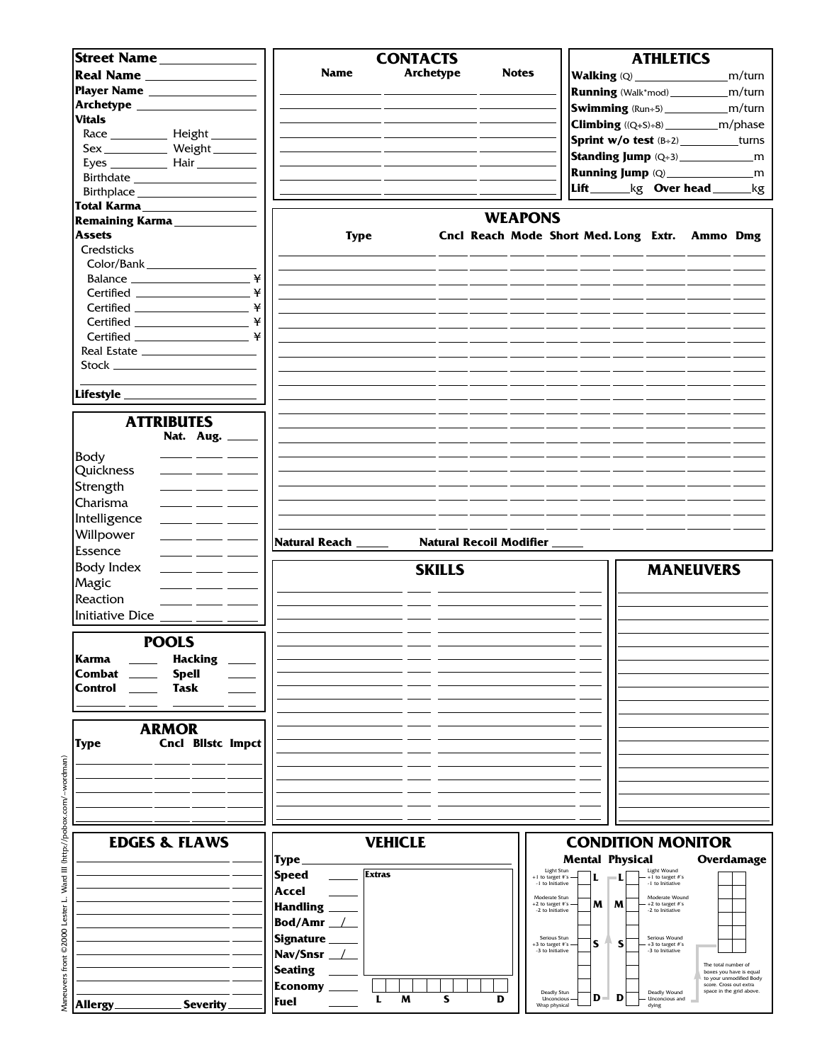| Street Name                                      |                                                                                                                                                                  |                        |               | <b>CONTACTS</b>  |               |   |                           |                                            |       |                        | <b>ATHLETICS</b>                               |                                                 |                          |
|--------------------------------------------------|------------------------------------------------------------------------------------------------------------------------------------------------------------------|------------------------|---------------|------------------|---------------|---|---------------------------|--------------------------------------------|-------|------------------------|------------------------------------------------|-------------------------------------------------|--------------------------|
|                                                  |                                                                                                                                                                  |                        |               |                  |               |   |                           |                                            |       |                        |                                                |                                                 |                          |
|                                                  | Real Name                                                                                                                                                        | <b>Name</b>            |               | <b>Archetype</b> |               |   | <b>Notes</b>              |                                            |       |                        |                                                |                                                 | m/turn                   |
|                                                  | Player Name __________________                                                                                                                                   |                        |               |                  |               |   |                           |                                            |       |                        |                                                | <b>Running</b> (Walk*mod)______________m/turn   |                          |
|                                                  |                                                                                                                                                                  |                        |               |                  |               |   |                           |                                            |       |                        |                                                | <b>Swimming</b> (Run÷5)______________m/turn     |                          |
| <b>Vitals</b>                                    |                                                                                                                                                                  |                        |               |                  |               |   |                           |                                            |       |                        |                                                |                                                 |                          |
|                                                  |                                                                                                                                                                  |                        |               |                  |               |   |                           |                                            |       |                        |                                                | <b>Climbing</b> ((Q+S)÷8) ______________m/phase |                          |
|                                                  |                                                                                                                                                                  |                        |               |                  |               |   |                           |                                            |       |                        |                                                | Sprint w/o test (B+2) _________turns            |                          |
|                                                  | Sex_____________ Weight________                                                                                                                                  |                        |               |                  |               |   |                           |                                            |       |                        |                                                |                                                 |                          |
|                                                  |                                                                                                                                                                  |                        |               |                  |               |   |                           |                                            |       |                        |                                                |                                                 |                          |
|                                                  |                                                                                                                                                                  |                        |               |                  |               |   |                           |                                            |       |                        |                                                |                                                 |                          |
|                                                  |                                                                                                                                                                  |                        |               |                  |               |   |                           |                                            |       |                        |                                                | Lift_______kg Over head ______kg                |                          |
|                                                  |                                                                                                                                                                  |                        |               |                  |               |   |                           |                                            |       |                        |                                                |                                                 |                          |
|                                                  | Total Karma                                                                                                                                                      |                        |               |                  |               |   |                           |                                            |       |                        |                                                |                                                 |                          |
|                                                  | Remaining Karma                                                                                                                                                  |                        |               |                  |               |   | <b>WEAPONS</b>            |                                            |       |                        |                                                |                                                 |                          |
| <b>Assets</b>                                    |                                                                                                                                                                  |                        | <b>Type</b>   |                  |               |   |                           |                                            |       |                        |                                                | Cncl Reach Mode Short Med. Long Extr. Ammo Dmg  |                          |
| Credsticks                                       |                                                                                                                                                                  |                        |               |                  |               |   |                           |                                            |       |                        |                                                |                                                 |                          |
| Color/Bank                                       |                                                                                                                                                                  |                        |               |                  |               |   |                           |                                            |       |                        |                                                |                                                 |                          |
|                                                  |                                                                                                                                                                  |                        |               |                  |               |   |                           |                                            |       |                        |                                                |                                                 |                          |
|                                                  | ¥                                                                                                                                                                |                        |               |                  |               |   |                           |                                            |       |                        |                                                |                                                 |                          |
|                                                  | ¥                                                                                                                                                                |                        |               |                  |               |   |                           |                                            |       |                        |                                                |                                                 |                          |
|                                                  |                                                                                                                                                                  |                        |               |                  |               |   |                           |                                            |       |                        |                                                |                                                 |                          |
|                                                  | ¥<br>Certified _____________________                                                                                                                             |                        |               |                  |               |   |                           |                                            |       |                        |                                                |                                                 |                          |
|                                                  |                                                                                                                                                                  |                        |               |                  |               |   |                           |                                            |       |                        |                                                |                                                 |                          |
|                                                  | ¥<br>$\begin{tabular}{c} \bf{Certified} \end{tabular} \begin{tabular}{c} \textbf{1} & \textbf{2} & \textbf{3} & \textbf{4} & \textbf{5} \\ \hline \end{tabular}$ |                        |               |                  |               |   |                           |                                            |       |                        |                                                |                                                 |                          |
|                                                  |                                                                                                                                                                  |                        |               |                  |               |   |                           |                                            |       |                        |                                                |                                                 |                          |
|                                                  |                                                                                                                                                                  |                        |               |                  |               |   |                           |                                            |       |                        |                                                |                                                 |                          |
|                                                  |                                                                                                                                                                  |                        |               |                  |               |   |                           |                                            |       |                        |                                                |                                                 |                          |
|                                                  |                                                                                                                                                                  |                        |               |                  |               |   |                           |                                            |       |                        |                                                |                                                 |                          |
| Lifestyle ________                               |                                                                                                                                                                  |                        |               |                  |               |   |                           |                                            |       |                        |                                                |                                                 |                          |
|                                                  |                                                                                                                                                                  |                        |               |                  |               |   |                           |                                            |       |                        |                                                |                                                 |                          |
|                                                  | <b>ATTRIBUTES</b>                                                                                                                                                |                        |               |                  |               |   |                           |                                            |       |                        |                                                |                                                 |                          |
|                                                  | Nat. Aug. _                                                                                                                                                      |                        |               |                  |               |   |                           |                                            |       |                        |                                                |                                                 |                          |
|                                                  |                                                                                                                                                                  |                        |               |                  |               |   |                           |                                            |       |                        |                                                |                                                 |                          |
| Body                                             |                                                                                                                                                                  |                        |               |                  |               |   |                           |                                            |       |                        |                                                |                                                 |                          |
| Quickness                                        |                                                                                                                                                                  |                        |               |                  |               |   |                           |                                            |       |                        |                                                |                                                 |                          |
|                                                  |                                                                                                                                                                  |                        |               |                  |               |   |                           |                                            |       |                        |                                                |                                                 |                          |
| Strength                                         |                                                                                                                                                                  |                        |               |                  |               |   |                           |                                            |       |                        |                                                |                                                 |                          |
| Charisma                                         |                                                                                                                                                                  |                        |               |                  |               |   |                           |                                            |       |                        |                                                |                                                 |                          |
|                                                  |                                                                                                                                                                  |                        |               |                  |               |   |                           |                                            |       |                        |                                                |                                                 |                          |
| Intelligence                                     |                                                                                                                                                                  |                        |               |                  |               |   |                           |                                            |       |                        |                                                |                                                 |                          |
|                                                  |                                                                                                                                                                  |                        |               |                  |               |   |                           |                                            |       |                        |                                                |                                                 |                          |
|                                                  | $\overline{\phantom{a}}$ and $\overline{\phantom{a}}$                                                                                                            |                        |               |                  |               |   |                           |                                            |       |                        |                                                |                                                 |                          |
| Willpower                                        |                                                                                                                                                                  | Natural Reach _____    |               |                  |               |   | Natural Recoil Modifier _ |                                            |       |                        |                                                |                                                 |                          |
| Essence                                          | $\overline{\phantom{a}}$ and $\overline{\phantom{a}}$                                                                                                            |                        |               |                  |               |   |                           |                                            |       |                        |                                                |                                                 |                          |
| Body Index                                       |                                                                                                                                                                  |                        |               |                  | <b>SKILLS</b> |   |                           |                                            |       |                        |                                                | <b>MANEUVERS</b>                                |                          |
|                                                  |                                                                                                                                                                  |                        |               |                  |               |   |                           |                                            |       |                        |                                                |                                                 |                          |
| Magic                                            | للمستحدث المستنب                                                                                                                                                 |                        |               |                  |               |   |                           |                                            |       |                        |                                                |                                                 |                          |
| Reaction                                         |                                                                                                                                                                  |                        |               |                  |               |   |                           |                                            |       |                        |                                                |                                                 |                          |
|                                                  |                                                                                                                                                                  |                        |               |                  |               |   |                           |                                            |       |                        |                                                |                                                 |                          |
| Initiative Dice $\frac{1}{\sqrt{1-\frac{1}{2}}}$ |                                                                                                                                                                  |                        |               |                  |               |   |                           |                                            |       |                        |                                                |                                                 |                          |
|                                                  |                                                                                                                                                                  |                        |               |                  |               |   |                           |                                            |       |                        |                                                |                                                 |                          |
|                                                  | <b>POOLS</b>                                                                                                                                                     |                        |               |                  |               |   |                           |                                            |       |                        |                                                |                                                 |                          |
| Karma                                            | <b>Hacking</b>                                                                                                                                                   |                        |               |                  |               |   |                           |                                            |       |                        |                                                |                                                 |                          |
| Combat                                           | <b>Spell</b>                                                                                                                                                     |                        |               |                  |               |   |                           |                                            |       |                        |                                                |                                                 |                          |
| Control                                          |                                                                                                                                                                  |                        |               |                  |               |   |                           |                                            |       |                        |                                                |                                                 |                          |
|                                                  | <b>Task</b>                                                                                                                                                      |                        |               |                  |               |   |                           |                                            |       |                        |                                                |                                                 |                          |
|                                                  |                                                                                                                                                                  |                        |               |                  |               |   |                           |                                            |       |                        |                                                |                                                 |                          |
|                                                  |                                                                                                                                                                  |                        |               |                  |               |   |                           |                                            |       |                        |                                                |                                                 |                          |
|                                                  | <b>ARMOR</b>                                                                                                                                                     |                        |               |                  |               |   |                           |                                            |       |                        |                                                |                                                 |                          |
|                                                  | <b>Cncl Bilstc Impct</b>                                                                                                                                         |                        |               |                  |               |   |                           |                                            |       |                        |                                                |                                                 |                          |
| <b>Type</b>                                      |                                                                                                                                                                  |                        |               |                  |               |   |                           |                                            |       |                        |                                                |                                                 |                          |
|                                                  |                                                                                                                                                                  |                        |               |                  |               |   |                           |                                            |       |                        |                                                |                                                 |                          |
|                                                  |                                                                                                                                                                  |                        |               |                  |               |   |                           |                                            |       |                        |                                                |                                                 |                          |
|                                                  |                                                                                                                                                                  |                        |               |                  |               |   |                           |                                            |       |                        |                                                |                                                 |                          |
|                                                  |                                                                                                                                                                  |                        |               |                  |               |   |                           |                                            |       |                        |                                                |                                                 |                          |
|                                                  |                                                                                                                                                                  |                        |               |                  |               |   |                           |                                            |       |                        |                                                |                                                 |                          |
|                                                  |                                                                                                                                                                  |                        |               |                  |               |   |                           |                                            |       |                        |                                                |                                                 |                          |
|                                                  |                                                                                                                                                                  |                        |               |                  |               |   |                           |                                            |       |                        |                                                |                                                 |                          |
|                                                  | <b>EDGES &amp; FLAWS</b>                                                                                                                                         |                        |               | <b>VEHICLE</b>   |               |   |                           |                                            |       |                        |                                                | <b>CONDITION MONITOR</b>                        |                          |
|                                                  |                                                                                                                                                                  | <b>Type</b>            |               |                  |               |   |                           |                                            |       | <b>Mental Physical</b> |                                                |                                                 | Overdamage               |
|                                                  |                                                                                                                                                                  |                        |               |                  |               |   |                           | Light Stun                                 |       |                        | Light Wound                                    |                                                 |                          |
|                                                  |                                                                                                                                                                  | <b>Speed</b>           | <b>Extras</b> |                  |               |   |                           | +1 to target #'s<br>-1 to Initiative       | L     |                        | +1 to target #'s<br>-1 to Initiative           |                                                 |                          |
|                                                  |                                                                                                                                                                  | Accel                  |               |                  |               |   |                           | Moderate Stun                              |       |                        | Moderate Wound                                 |                                                 |                          |
|                                                  |                                                                                                                                                                  |                        |               |                  |               |   |                           | $+2$ to target #'s                         | M     | M                      | +2 to target #'s                               |                                                 |                          |
|                                                  |                                                                                                                                                                  | <b>Handling</b>        |               |                  |               |   |                           | -2 to Initiative                           |       |                        | -2 to Initiative                               |                                                 |                          |
|                                                  |                                                                                                                                                                  | Bod/Amr $\perp$        |               |                  |               |   |                           |                                            |       |                        |                                                |                                                 |                          |
|                                                  |                                                                                                                                                                  | Signature              |               |                  |               |   |                           | Serious Stun                               |       |                        | Serious Wound                                  |                                                 |                          |
|                                                  |                                                                                                                                                                  |                        |               |                  |               |   |                           | +3 to target #'s<br>-3 to Initiative       | S     | S                      | +3 to target #'s<br>-3 to Initiative           |                                                 |                          |
|                                                  |                                                                                                                                                                  | Nav/Snsr _             |               |                  |               |   |                           |                                            |       |                        |                                                | The total number of                             |                          |
|                                                  |                                                                                                                                                                  | <b>Seating</b>         |               |                  |               |   |                           |                                            |       |                        |                                                |                                                 | boxes you have is equal  |
|                                                  |                                                                                                                                                                  |                        |               |                  |               |   |                           |                                            |       |                        |                                                | score. Cross out extra                          | to your unmodified Body  |
| Allergy                                          | <b>Severity</b>                                                                                                                                                  | <b>Economy</b><br>Fuel | L             | M                | S             | D |                           | Deadly Stun<br>Unconcious<br>Wrap physical | $D -$ | D                      | Deadly Wound<br><b>Unconcious</b> and<br>dying |                                                 | space in the grid above. |

Maneuvers front ©2000 Lester L. Ward III (http://pobox.com/~wordman) Maneuvers front ©2000 Lester L. Ward III (http://pobox.com/~wordman)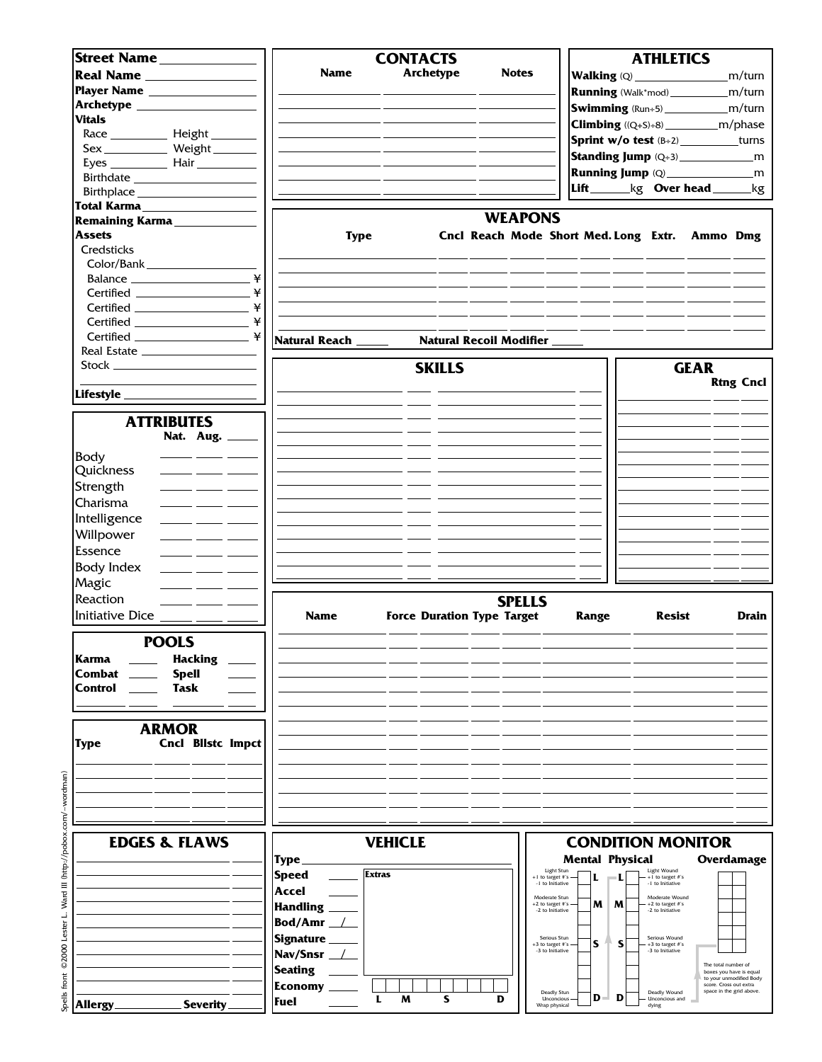| <b>Street Name</b>                                                                           |                     | <b>CONTACTS</b> |                                   |                                           | <b>ATHLETICS</b>                               |                                                                              |
|----------------------------------------------------------------------------------------------|---------------------|-----------------|-----------------------------------|-------------------------------------------|------------------------------------------------|------------------------------------------------------------------------------|
|                                                                                              | <b>Name</b>         | Archetype       | <b>Notes</b>                      |                                           | Walking (Q) _________________                  | m/turn                                                                       |
|                                                                                              |                     |                 |                                   |                                           |                                                |                                                                              |
| Player Name __________________                                                               |                     |                 |                                   |                                           | <b>Running</b> (Walk*mod)_______________m/turn |                                                                              |
|                                                                                              |                     |                 |                                   |                                           | <b>Swimming</b> (Run÷5)________________m/turn  |                                                                              |
| <b>Vitals</b>                                                                                |                     |                 |                                   |                                           |                                                |                                                                              |
|                                                                                              |                     |                 |                                   |                                           | <b>Sprint w/o test</b> $(B+2)$ _________turns  |                                                                              |
| Sex _____________ Weight ________                                                            |                     |                 |                                   |                                           |                                                |                                                                              |
|                                                                                              |                     |                 |                                   |                                           |                                                |                                                                              |
|                                                                                              |                     |                 |                                   |                                           |                                                |                                                                              |
|                                                                                              |                     |                 |                                   |                                           | Lift________kg Over head ______kg              |                                                                              |
| Total Karma                                                                                  |                     |                 |                                   |                                           |                                                |                                                                              |
| Remaining Karma                                                                              |                     |                 | <b>WEAPONS</b>                    |                                           |                                                |                                                                              |
| <b>Assets</b>                                                                                | <b>Type</b>         |                 |                                   |                                           | Cncl Reach Mode Short Med. Long Extr. Ammo Dmg |                                                                              |
| Credsticks                                                                                   |                     |                 |                                   |                                           |                                                |                                                                              |
| Color/Bank                                                                                   |                     |                 |                                   |                                           |                                                |                                                                              |
| ¥                                                                                            |                     |                 |                                   |                                           |                                                |                                                                              |
| ¥                                                                                            |                     |                 |                                   |                                           |                                                |                                                                              |
|                                                                                              |                     |                 |                                   |                                           |                                                |                                                                              |
| ¥                                                                                            |                     |                 |                                   |                                           |                                                |                                                                              |
|                                                                                              | Natural Reach _____ |                 | Natural Recoil Modifier _         |                                           |                                                |                                                                              |
|                                                                                              |                     |                 |                                   |                                           |                                                |                                                                              |
|                                                                                              |                     |                 |                                   |                                           |                                                | <b>GEAR</b>                                                                  |
|                                                                                              |                     | <b>SKILLS</b>   |                                   |                                           |                                                |                                                                              |
|                                                                                              |                     |                 |                                   |                                           |                                                | <b>Rtng Cncl</b>                                                             |
|                                                                                              |                     |                 |                                   |                                           |                                                |                                                                              |
| <b>ATTRIBUTES</b>                                                                            |                     |                 |                                   |                                           |                                                |                                                                              |
| Nat. Aug. _____                                                                              |                     |                 |                                   |                                           |                                                |                                                                              |
|                                                                                              |                     |                 |                                   |                                           |                                                |                                                                              |
| Body                                                                                         |                     |                 |                                   |                                           |                                                |                                                                              |
| Quickness                                                                                    |                     |                 |                                   |                                           |                                                |                                                                              |
| Strength<br>$\frac{1}{2}$ and $\frac{1}{2}$ and $\frac{1}{2}$                                |                     |                 |                                   |                                           |                                                |                                                                              |
| Charisma                                                                                     |                     |                 |                                   |                                           |                                                |                                                                              |
| Intelligence<br>$\frac{1}{\sqrt{1-\frac{1}{2}}}\left( \frac{1}{\sqrt{1-\frac{1}{2}}}\right)$ |                     |                 |                                   |                                           |                                                |                                                                              |
| Willpower                                                                                    |                     |                 |                                   |                                           |                                                |                                                                              |
|                                                                                              |                     |                 |                                   |                                           |                                                |                                                                              |
| Essence<br>للمستنقذ المستنقذ                                                                 |                     |                 |                                   |                                           |                                                |                                                                              |
| <b>Body Index</b>                                                                            |                     |                 |                                   |                                           |                                                |                                                                              |
| Magic                                                                                        |                     |                 |                                   |                                           |                                                |                                                                              |
| Reaction                                                                                     |                     |                 | <b>SPELLS</b>                     |                                           |                                                |                                                                              |
| Initiative Dice _____ ___ _                                                                  | <b>Name</b>         |                 | <b>Force Duration Type Target</b> | <b>Range</b>                              | <b>Resist</b>                                  | Drain                                                                        |
|                                                                                              |                     |                 |                                   |                                           |                                                |                                                                              |
| <b>POOLS</b>                                                                                 |                     |                 |                                   |                                           |                                                |                                                                              |
| <b>Karma</b><br><b>Hacking</b>                                                               |                     |                 |                                   |                                           |                                                |                                                                              |
| Combat<br><b>Spell</b>                                                                       |                     |                 |                                   |                                           |                                                |                                                                              |
| <b>Task</b><br>Control                                                                       |                     |                 |                                   |                                           |                                                |                                                                              |
|                                                                                              |                     |                 |                                   |                                           |                                                |                                                                              |
|                                                                                              |                     |                 |                                   |                                           |                                                |                                                                              |
| <b>ARMOR</b>                                                                                 |                     |                 |                                   |                                           |                                                |                                                                              |
| <b>Cncl Blistc Impct</b><br>Type                                                             |                     |                 |                                   |                                           |                                                |                                                                              |
|                                                                                              |                     |                 |                                   |                                           |                                                |                                                                              |
|                                                                                              |                     |                 |                                   |                                           |                                                |                                                                              |
|                                                                                              |                     |                 |                                   |                                           |                                                |                                                                              |
|                                                                                              |                     |                 |                                   |                                           |                                                |                                                                              |
|                                                                                              |                     |                 |                                   |                                           |                                                |                                                                              |
|                                                                                              |                     |                 |                                   |                                           |                                                |                                                                              |
| <b>EDGES &amp; FLAWS</b>                                                                     |                     | <b>VEHICLE</b>  |                                   |                                           | <b>CONDITION MONITOR</b>                       |                                                                              |
|                                                                                              | <b>Type</b>         |                 |                                   | <b>Mental Physical</b><br>Light Stun      | Light Wound                                    | Overdamage                                                                   |
|                                                                                              | <b>Speed</b>        | <b>Extras</b>   |                                   | +1 to target #'s<br>L<br>-1 to Initiative | +1 to target #'s<br>-1 to Initiative           |                                                                              |
|                                                                                              | Accel               |                 |                                   | Moderate Stun                             | Moderate Wound                                 |                                                                              |
|                                                                                              | <b>Handling</b>     |                 |                                   | M<br>+2 to target #'s<br>-2 to Initiative | M<br>+2 to target #'s<br>-2 to Initiative      |                                                                              |
|                                                                                              | Bod/Amr $\_\perp$   |                 |                                   |                                           |                                                |                                                                              |
|                                                                                              | Signature _         |                 |                                   | Serious Stun                              | Serious Wound                                  |                                                                              |
|                                                                                              | Nav/Snsr __/        |                 |                                   | S<br>+3 to target #'s<br>-3 to Initiative | S<br>+3 to target #'s<br>-3 to Initiative      |                                                                              |
|                                                                                              | <b>Seating</b>      |                 |                                   |                                           |                                                | The total number of                                                          |
|                                                                                              |                     |                 |                                   |                                           |                                                | boxes you have is equal<br>to your unmodified Body<br>score. Cross out extra |
|                                                                                              | <b>Economy</b>      | S<br>L<br>M     | D                                 | Deadly Stun<br>D<br>Unconcious            | Deadly Wound<br>D<br>Unconcious and            | space in the grid above.                                                     |
| Allergy<br><b>Severity</b>                                                                   | Fuel                |                 |                                   | Wrap physical                             | dying                                          |                                                                              |

Spells front ©2000 Lester L. Ward III (http://pobox.com/~wordman) Spells front ©2000 Lester L. Ward III (http://pobox.com/~wordman)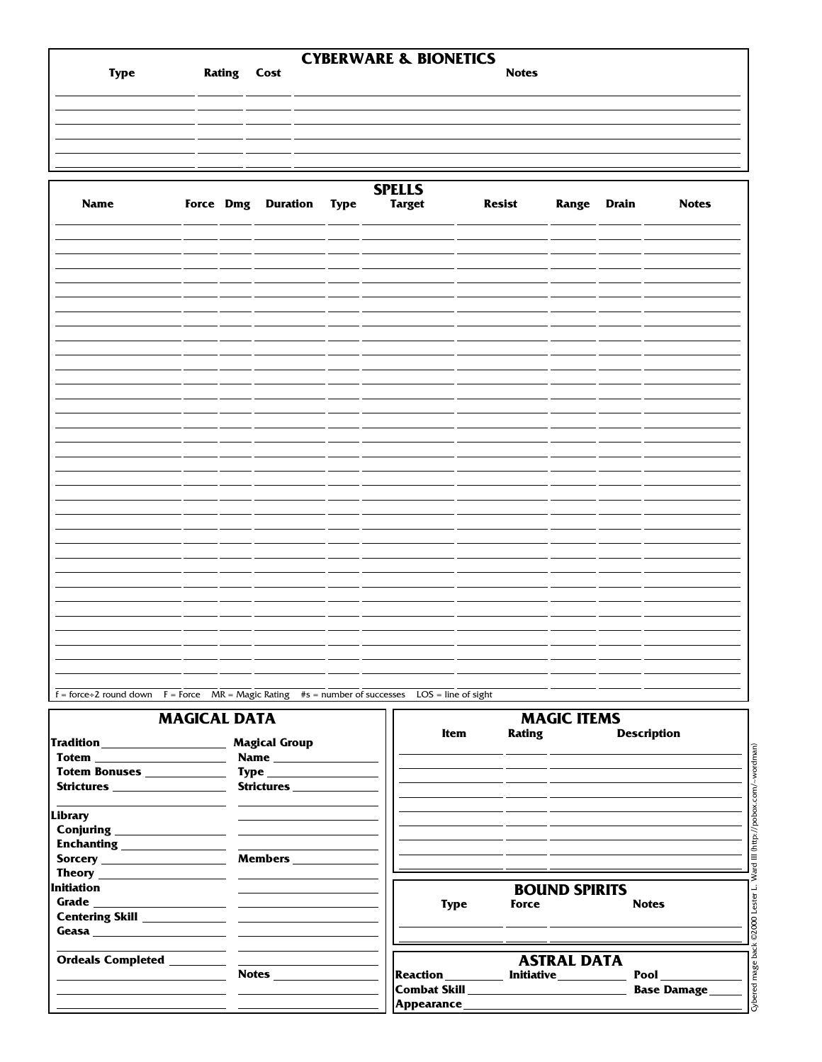| <b>Type</b> | <b>Rating Cost</b> | <b>CYBERWARE &amp; BIONETICS</b> | <b>Notes</b> |
|-------------|--------------------|----------------------------------|--------------|
|             |                    |                                  |              |
|             |                    |                                  |              |
|             |                    |                                  |              |

| Name |  | Force Dmg Duration Type | <b>SPELLS</b><br>Target | <b>Resist</b> |  | Range Drain Notes |
|------|--|-------------------------|-------------------------|---------------|--|-------------------|
|      |  |                         |                         |               |  |                   |
|      |  |                         |                         |               |  |                   |
|      |  |                         |                         |               |  |                   |
|      |  |                         |                         |               |  |                   |
|      |  |                         |                         |               |  |                   |
|      |  |                         |                         |               |  |                   |
|      |  |                         |                         |               |  |                   |
|      |  |                         |                         |               |  |                   |
|      |  |                         |                         |               |  |                   |
|      |  |                         |                         |               |  |                   |
|      |  |                         |                         |               |  |                   |
|      |  |                         |                         |               |  |                   |
|      |  |                         |                         |               |  |                   |
|      |  |                         |                         |               |  |                   |
|      |  |                         |                         |               |  |                   |
|      |  |                         |                         |               |  |                   |
|      |  |                         |                         |               |  |                   |
|      |  |                         |                         |               |  |                   |

 $f =$  force÷2 round down  $F =$  Force  $MR =$  Magic Rating #s = number of successes LOS = line of sight

## **MAGICAL DATA**

|                                                                                                  | <b>MAGICAL DATA</b>                       |                   | <b>MAGIC ITEMS</b>                                 |                                   |
|--------------------------------------------------------------------------------------------------|-------------------------------------------|-------------------|----------------------------------------------------|-----------------------------------|
| Tradition____________________<br>Totem ________________________<br>Strictures __________________ | <b>Magical Group</b><br><b>Strictures</b> | <b>Item</b>       | <b>Rating</b>                                      | <b>Description</b>                |
| Library                                                                                          | Conjuring <u>containing</u>               |                   |                                                    |                                   |
| Initiation                                                                                       | <u> The Common State Common</u>           | <b>Type</b>       | <b>BOUND SPIRITS</b><br>Force                      | <b>Notes</b>                      |
| <b>Ordeals Completed</b>                                                                         | Notes                                     | Reaction ________ | <b>ASTRAL DATA</b><br><b>Initiative___________</b> | <b>Pool</b><br><b>Base Damage</b> |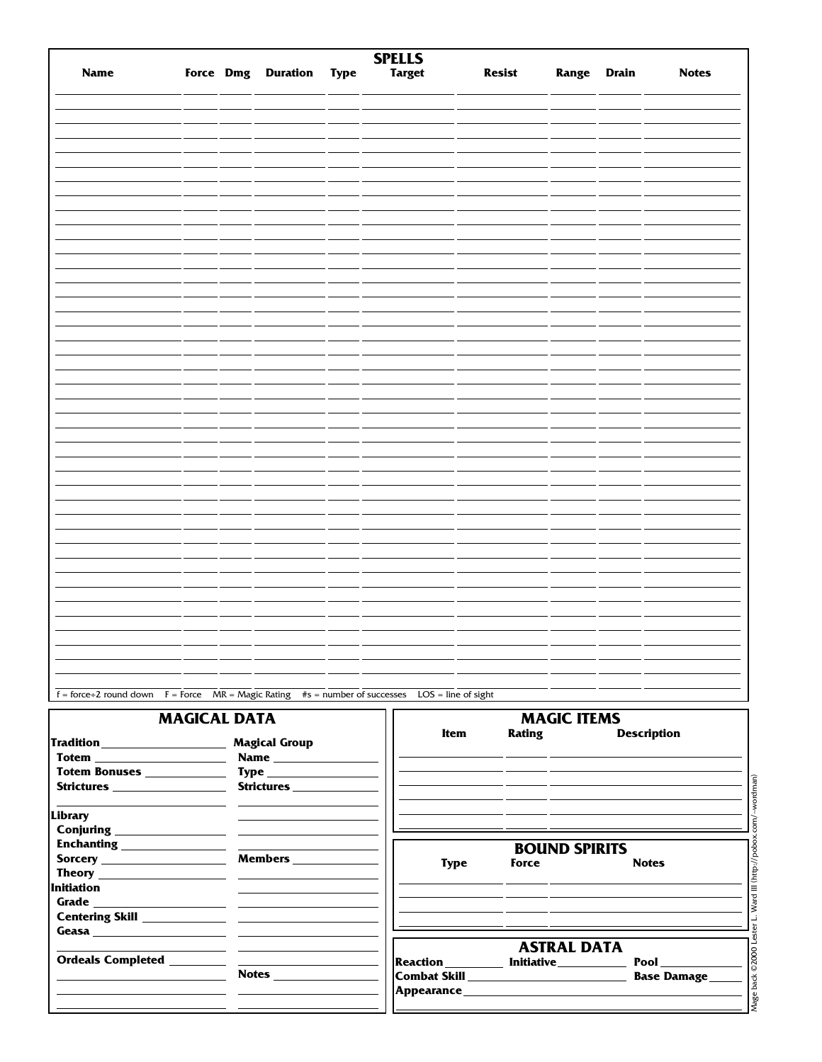| Name |  | <b>SPELLS</b><br>Force Dmg Duration Type Target |  | <b>Resist</b> Range Drain |  | <b>Notes</b> |
|------|--|-------------------------------------------------|--|---------------------------|--|--------------|
|      |  |                                                 |  |                           |  |              |
|      |  |                                                 |  |                           |  |              |
|      |  |                                                 |  |                           |  |              |
|      |  |                                                 |  |                           |  |              |
|      |  |                                                 |  |                           |  |              |
|      |  |                                                 |  |                           |  |              |
|      |  |                                                 |  |                           |  |              |
|      |  |                                                 |  |                           |  |              |
|      |  |                                                 |  |                           |  |              |
|      |  |                                                 |  |                           |  |              |
|      |  |                                                 |  |                           |  |              |
|      |  |                                                 |  |                           |  |              |
|      |  |                                                 |  |                           |  |              |
|      |  |                                                 |  |                           |  |              |
|      |  |                                                 |  |                           |  |              |
|      |  |                                                 |  |                           |  |              |
|      |  |                                                 |  |                           |  |              |
|      |  |                                                 |  |                           |  |              |
|      |  |                                                 |  |                           |  |              |
|      |  |                                                 |  |                           |  |              |
|      |  |                                                 |  |                           |  |              |
|      |  |                                                 |  |                           |  |              |
|      |  |                                                 |  |                           |  |              |
|      |  |                                                 |  |                           |  |              |
|      |  |                                                 |  |                           |  |              |
|      |  |                                                 |  |                           |  |              |
|      |  |                                                 |  |                           |  |              |
|      |  |                                                 |  |                           |  |              |

### **MAGICAL DATA**

|                                                                                             | <b>MAGICAL DATA</b>                                                                                                                                                                                                                  | <b>MAGIC ITEMS</b>                        |                                                                                                                                         |                                                                                                                                                                                                                                                                    |  |  |  |
|---------------------------------------------------------------------------------------------|--------------------------------------------------------------------------------------------------------------------------------------------------------------------------------------------------------------------------------------|-------------------------------------------|-----------------------------------------------------------------------------------------------------------------------------------------|--------------------------------------------------------------------------------------------------------------------------------------------------------------------------------------------------------------------------------------------------------------------|--|--|--|
| Tradition ____________________<br><b>Totem _______________________</b><br><b>Strictures</b> | <b>Magical Group</b><br><b>Strictures</b>                                                                                                                                                                                            | Item                                      | <b>Rating</b><br><u> 1989 - Andrea Samhain, ann an t-Aontaithe ann an t-Aontaithe ann an t-Aontaithe ann an t-Aontaithe ann an t-Ao</u> | <b>Description</b>                                                                                                                                                                                                                                                 |  |  |  |
| Library<br>Conjuring <u>containing</u>                                                      |                                                                                                                                                                                                                                      | <b>Type</b>                               | <b>BOUND SPIRITS</b><br>Force                                                                                                           | <b>Notes</b>                                                                                                                                                                                                                                                       |  |  |  |
| Initiation                                                                                  |                                                                                                                                                                                                                                      |                                           | <u> 1989 - Andrea Santa Andrea Andrea Andrea Andrea Andrea Andrea Andrea Andrea Andrea Andrea Andrea Andrea Andr</u>                    |                                                                                                                                                                                                                                                                    |  |  |  |
|                                                                                             | <u> 1999 - Johann Harry Harry Harry Harry Harry Harry Harry Harry Harry Harry Harry Harry Harry Harry Harry Harry Harry Harry Harry Harry Harry Harry Harry Harry Harry Harry Harry Harry Harry Harry Harry Harry Harry Harry Ha</u> | Reaction___________ Initiative___________ | <b>ASTRAL DATA</b>                                                                                                                      | <b>Pool</b><br><b>Base Damage</b><br>Appearance Appearance and the contract of the contract of the contract of the contract of the contract of the contract of the contract of the contract of the contract of the contract of the contract of the contract of the |  |  |  |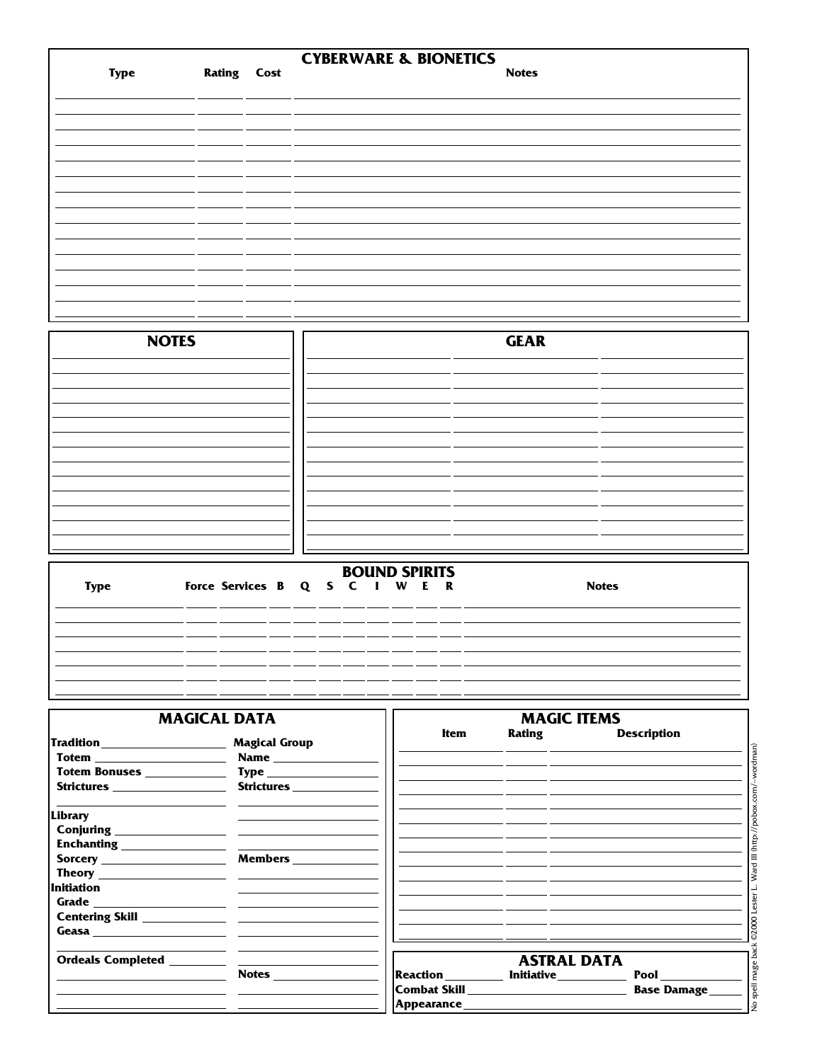|             |                    | <b>CYBERWARE &amp; BIONETICS</b> |
|-------------|--------------------|----------------------------------|
| <b>Type</b> | <b>Rating Cost</b> | <b>Notes</b>                     |
|             |                    |                                  |
|             |                    |                                  |
|             |                    |                                  |
|             |                    |                                  |
|             |                    |                                  |
|             |                    |                                  |
|             |                    |                                  |
|             |                    |                                  |
|             |                    |                                  |
|             |                    |                                  |

| <b>NOTES</b> | <b>GEAR</b> |  |
|--------------|-------------|--|
|              |             |  |
|              |             |  |
|              |             |  |
|              |             |  |
|              |             |  |
|              |             |  |
|              |             |  |

|             | <b>BOUND SPIRITS</b> |                                |  |  |  |  |  |  |  |  |              |
|-------------|----------------------|--------------------------------|--|--|--|--|--|--|--|--|--------------|
| <b>Type</b> |                      | Force Services B Q S C I W E R |  |  |  |  |  |  |  |  | <b>Notes</b> |
|             |                      |                                |  |  |  |  |  |  |  |  |              |
|             |                      |                                |  |  |  |  |  |  |  |  |              |
|             |                      |                                |  |  |  |  |  |  |  |  |              |
|             |                      |                                |  |  |  |  |  |  |  |  |              |
|             |                      |                                |  |  |  |  |  |  |  |  |              |
|             |                      |                                |  |  |  |  |  |  |  |  |              |

|                                                                                                      | <b>MAGICAL DATA</b>                                                                    |      | <b>MAGIC ITEMS</b>                                                                                                                              |                    |
|------------------------------------------------------------------------------------------------------|----------------------------------------------------------------------------------------|------|-------------------------------------------------------------------------------------------------------------------------------------------------|--------------------|
| Tradition ____________________<br><b>Totem _______________________</b><br>Totem Bonuses ____________ | <b>Magical Group</b><br><b>Name</b> ______________<br>$\mathbf{Type}\_\_\_\_\_\_\_\_\$ | Item | <b>Rating Example 1</b><br><u> 1989 - Jan James James James James James James James James James James James James James James James James J</u> | <b>Description</b> |
| Strictures __________________                                                                        | Strictures                                                                             |      | <u> 1989 - Andrea San Aonaichte ann an Comhair ann an Comhair ann an Comhair ann an Comhair ann an Comhair ann an </u>                          |                    |
| Library<br>Conjuring <u>containing</u><br>Enchanting ________________                                |                                                                                        |      |                                                                                                                                                 |                    |
| Sorcery _____________________                                                                        | Members ____________                                                                   |      |                                                                                                                                                 |                    |
| <b>Initiation</b>                                                                                    |                                                                                        |      |                                                                                                                                                 |                    |
|                                                                                                      |                                                                                        |      | <u> 1989 - Andrea San Andrea Andrea Andrea Andrea Andrea Andrea Andrea Andrea Andrea Andrea Andrea Andrea Andrea </u>                           |                    |
|                                                                                                      |                                                                                        |      | <b>ASTRAL DATA</b><br>Reaction _________ Initiative __________                                                                                  | <b>Pool</b>        |
|                                                                                                      |                                                                                        |      |                                                                                                                                                 | <b>Base Damage</b> |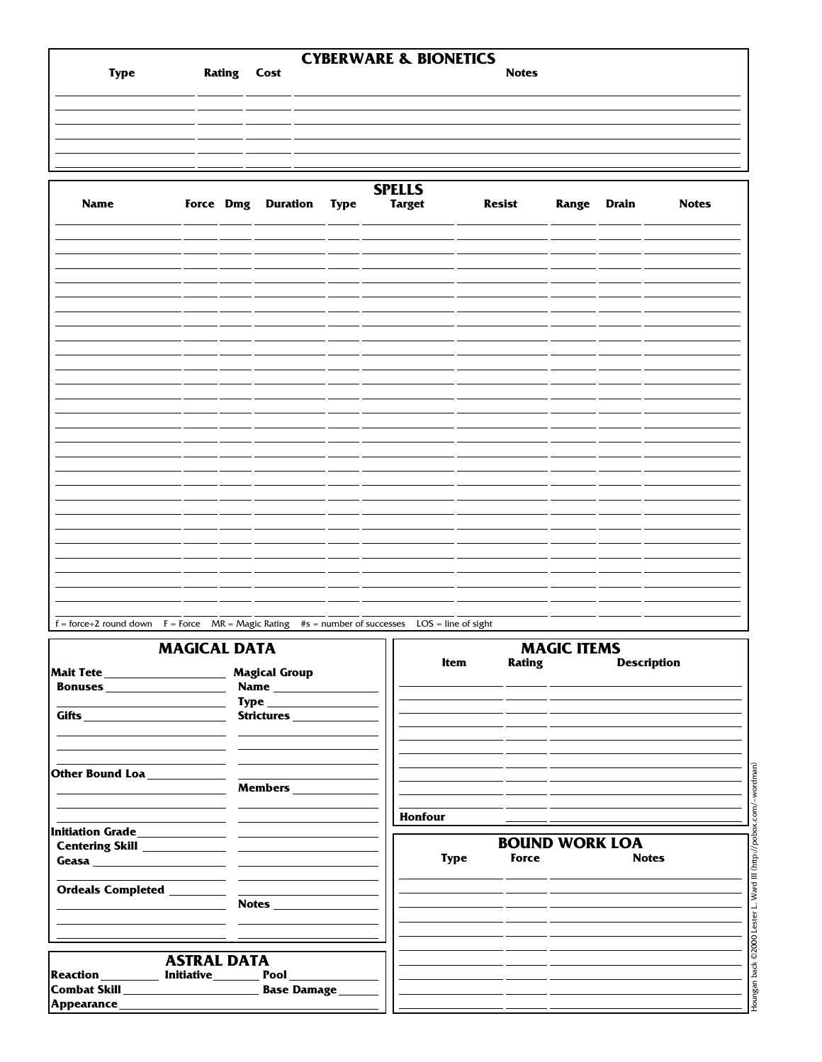| <b>Type</b> | <b>Rating Cost</b> | <b>CYBERWARE &amp; BIONETICS</b> | <b>Notes</b> |
|-------------|--------------------|----------------------------------|--------------|
|             |                    |                                  |              |
|             |                    |                                  |              |
|             |                    |                                  |              |
|             |                    |                                  |              |

| <b>Name</b> |  | Force Dmg Duration Type | <b>SPELLS</b><br><b>Target</b> | <b>Resist</b> | Range Drain | <b>Notes</b> |
|-------------|--|-------------------------|--------------------------------|---------------|-------------|--------------|
|             |  |                         |                                |               |             |              |
|             |  |                         |                                |               |             |              |
|             |  |                         |                                |               |             |              |
|             |  |                         |                                |               |             |              |
|             |  |                         |                                |               |             |              |
|             |  |                         |                                |               |             |              |
|             |  |                         |                                |               |             |              |
|             |  |                         |                                |               |             |              |
|             |  |                         |                                |               |             |              |
|             |  |                         |                                |               |             |              |
|             |  |                         |                                |               |             |              |
|             |  |                         |                                |               |             |              |
|             |  |                         |                                |               |             |              |
|             |  |                         |                                |               |             |              |

 $f = force + 2$  round down  $F = Force$   $MR = Magic$  Rating  $#s = number of successes$   $LOS = line of sight$ **MAGICAL DATA MAGIC ITEMS**<br> **D Item Rating Description Mait Tete Magical Group Bonuses Name Type Gifts Strictures**  $\sim$ **Other Bound Loa**  $\overline{\phantom{0}}$ **Members HonfourInitiation Grade BOUND WORK LOA**<br>Force Notes **Centering Skill Type** Force **Geasa Ordeals Completed Notes ASTRAL DATA** Reaction **Initiative Pool**<br>Combat Skill **Combat Skill Combat Skill Base Damage Appearance**

Houngan back ©2000 Lester L. Ward III (http://pobox.com/~wordman)

Houngan back ©2000 Lester L. Ward III (http://pobox.com/~wordman)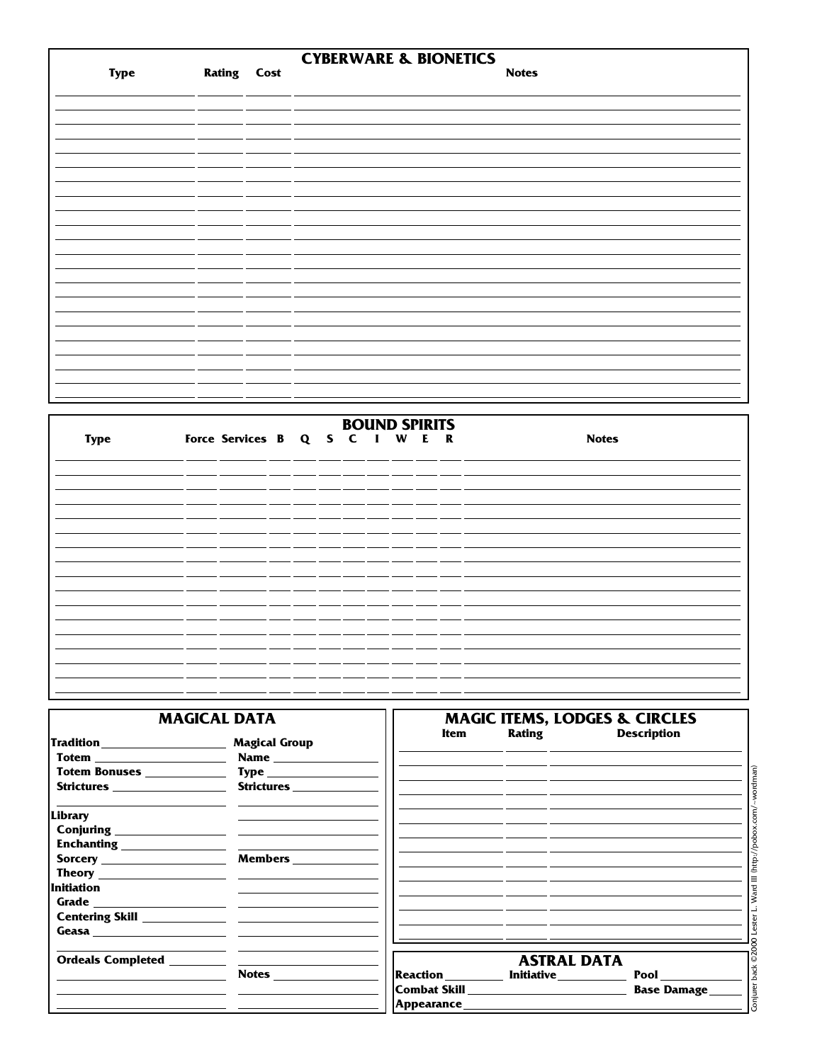|             |                    | <b>CYBERWARE &amp; BIONETICS</b> |              |
|-------------|--------------------|----------------------------------|--------------|
| <b>Type</b> | <b>Rating Cost</b> |                                  | <b>Notes</b> |
|             |                    |                                  |              |
|             |                    |                                  |              |
|             |                    |                                  |              |
|             |                    |                                  |              |
|             |                    |                                  |              |
|             |                    |                                  |              |
|             |                    |                                  |              |
|             |                    |                                  |              |
|             |                    |                                  |              |
|             |                    |                                  |              |
|             |                    |                                  |              |
|             |                    |                                  |              |
|             |                    |                                  |              |
|             |                    |                                  |              |
|             |                    |                                  |              |
|             |                    |                                  |              |
|             |                    |                                  |              |
|             |                    |                                  |              |
|             |                    |                                  |              |
|             |                    |                                  |              |

|             |                                |  |  | <b>BOUND SPIRITS</b> |  |              |
|-------------|--------------------------------|--|--|----------------------|--|--------------|
| <b>Type</b> | Force Services B Q S C I W E R |  |  |                      |  | <b>Notes</b> |
|             |                                |  |  |                      |  |              |
|             |                                |  |  |                      |  |              |
|             |                                |  |  |                      |  |              |
|             |                                |  |  |                      |  |              |
|             |                                |  |  |                      |  |              |
|             |                                |  |  |                      |  |              |
|             |                                |  |  |                      |  |              |
|             |                                |  |  |                      |  |              |
|             |                                |  |  |                      |  |              |

|                                                               | <b>MAGICAL DATA</b>                       | <b>MAGIC ITEMS, LODGES &amp; CIRCLES</b>                                                                                                                                           |
|---------------------------------------------------------------|-------------------------------------------|------------------------------------------------------------------------------------------------------------------------------------------------------------------------------------|
| Tradition____________________<br><b>Strictures Strictures</b> | <b>Magical Group</b><br><b>Strictures</b> | <b>Rating Example</b><br><b>Description</b><br><b>Item</b><br><u> 1989 - Andrea Santa Andrea Andrea Andrea Andrea Andrea Andrea Andrea Andrea Andrea Andrea Andrea Andrea Andr</u> |
| Library<br>Conjuring <u>_________________</u>                 | Sorcery Members                           | <u> 1989 - Jan Sterling von de Sterling von de Sterling von de Sterling von de Sterling von de Sterling von de S</u>                                                               |
| Initiation                                                    |                                           |                                                                                                                                                                                    |
|                                                               |                                           | <b>ASTRAL DATA</b><br>Reaction __________ Initiative __________<br><b>Pool</b><br>Combat Skill ____________________________<br><b>Base Damage</b>                                  |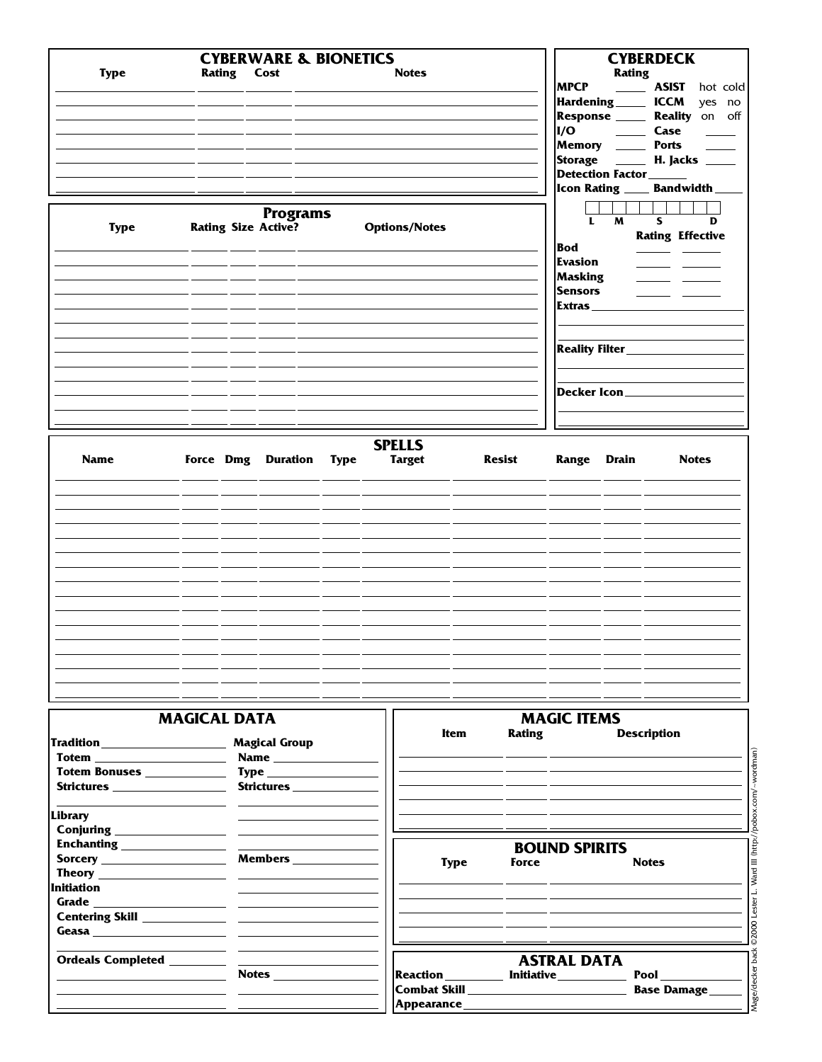| <b>Type</b> | <b>Rating Cost</b>         | <b>CYBERWARE &amp; BIONETICS</b> | <b>Notes</b>                                    |               | <b>MPCP</b><br>I/O                                                                         | <b>CYBERDECK</b><br><b>Rating</b><br>$\sim$ 100 $\sim$<br>Hardening ______ ICCM<br>Response ____<br>$\frac{1}{2}$ and $\frac{1}{2}$<br>Memory _____<br>Storage _____<br><b>Detection Factor</b> | <b>ASIST</b><br>hot cold<br>yes no<br>Reality on off<br>Case<br><b>Ports</b><br><b>H.</b> Jacks _____<br>Icon Rating _____ Bandwidth_ |
|-------------|----------------------------|----------------------------------|-------------------------------------------------|---------------|--------------------------------------------------------------------------------------------|-------------------------------------------------------------------------------------------------------------------------------------------------------------------------------------------------|---------------------------------------------------------------------------------------------------------------------------------------|
| <b>Type</b> | <b>Rating Size Active?</b> | <b>Programs</b>                  | <b>Options/Notes</b>                            |               | $\mathbf{L}$<br><b>Bod</b><br><b>Evasion</b><br><b>Masking</b><br><b>Sensors</b><br>Extras | $\overline{M}$<br><b>Reality Filter</b><br>Decker Icon_____                                                                                                                                     | $\overline{\mathbf{s}}$<br>$\overline{D}$<br><b>Rating Effective</b>                                                                  |
| <b>Name</b> |                            |                                  | <b>SPELLS</b><br>Force Dmg Duration Type Target | <b>Resist</b> |                                                                                            | <b>Range Drain</b>                                                                                                                                                                              | <b>Notes</b>                                                                                                                          |
|             |                            |                                  |                                                 |               |                                                                                            |                                                                                                                                                                                                 |                                                                                                                                       |

| <b>MAGICAL DATA</b> | <b>MAGIC ITEMS</b> |
|---------------------|--------------------|
|                     |                    |
|                     |                    |
|                     |                    |

| Tradition_________________           | <b>Magical Group</b>                                                                                                                                                                                                                                                                                                                                                                                                                   | <b>Item</b>                                | Rating               | <b>Description</b>             |
|--------------------------------------|----------------------------------------------------------------------------------------------------------------------------------------------------------------------------------------------------------------------------------------------------------------------------------------------------------------------------------------------------------------------------------------------------------------------------------------|--------------------------------------------|----------------------|--------------------------------|
|                                      |                                                                                                                                                                                                                                                                                                                                                                                                                                        |                                            |                      |                                |
| Totem Bonuses <u>_______________</u> | $\mathbf{Type} \begin{tabular}{c} \hspace{-0.1cm} \textbf{Type} \hspace{-0.1cm} \textbf{1} & \textbf{1} & \textbf{1} & \textbf{1} & \textbf{1} \\ \hspace{-0.1cm} \textbf{1} & \textbf{1} & \textbf{1} & \textbf{1} & \textbf{1} & \textbf{1} \\ \textbf{1} & \textbf{1} & \textbf{1} & \textbf{1} & \textbf{1} & \textbf{1} \\ \textbf{1} & \textbf{1} & \textbf{1} & \textbf{1} & \textbf{1} & \textbf{1} \\ \textbf{1} & \textbf{1$ |                                            |                      |                                |
|                                      | Strictures <b>Strictures</b>                                                                                                                                                                                                                                                                                                                                                                                                           |                                            |                      |                                |
| Library                              |                                                                                                                                                                                                                                                                                                                                                                                                                                        |                                            |                      |                                |
| Conjuring <u>containing</u>          |                                                                                                                                                                                                                                                                                                                                                                                                                                        |                                            |                      |                                |
| Enchanting ________________          |                                                                                                                                                                                                                                                                                                                                                                                                                                        |                                            | <b>BOUND SPIRITS</b> |                                |
|                                      | <b>Members</b>                                                                                                                                                                                                                                                                                                                                                                                                                         | <b>Type</b>                                | Force                | Vard III (http<br><b>Notes</b> |
|                                      |                                                                                                                                                                                                                                                                                                                                                                                                                                        |                                            |                      |                                |
| <b>Initiation</b>                    |                                                                                                                                                                                                                                                                                                                                                                                                                                        |                                            |                      |                                |
|                                      |                                                                                                                                                                                                                                                                                                                                                                                                                                        |                                            |                      |                                |
|                                      |                                                                                                                                                                                                                                                                                                                                                                                                                                        |                                            |                      |                                |
|                                      |                                                                                                                                                                                                                                                                                                                                                                                                                                        |                                            |                      |                                |
|                                      |                                                                                                                                                                                                                                                                                                                                                                                                                                        |                                            | <b>ASTRAL DATA</b>   |                                |
|                                      |                                                                                                                                                                                                                                                                                                                                                                                                                                        | Reaction _________ Initiative __________   |                      |                                |
|                                      |                                                                                                                                                                                                                                                                                                                                                                                                                                        | Combat Skill _____________________________ |                      | <b>Base Damage</b>             |
|                                      |                                                                                                                                                                                                                                                                                                                                                                                                                                        | Appearance ______________                  |                      | Mage/decker                    |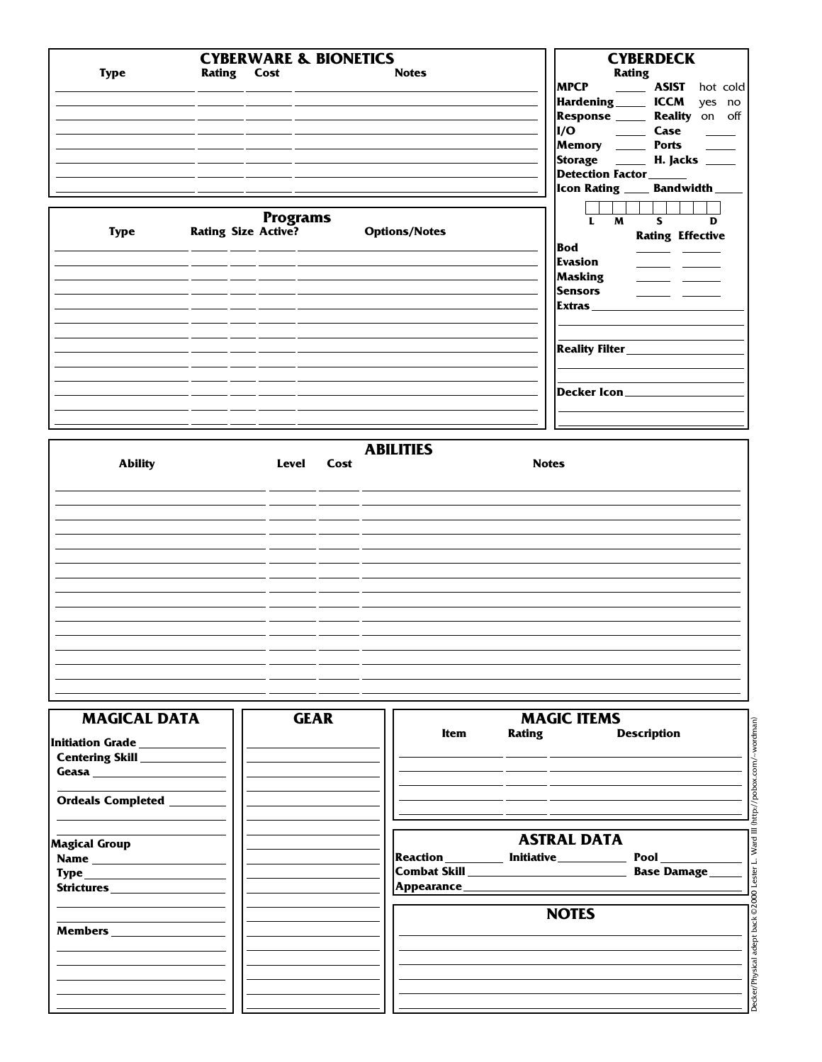| <b>Type</b><br>Rating Cost<br><b>Notes</b>                        | <b>Rating</b>                          |
|-------------------------------------------------------------------|----------------------------------------|
|                                                                   |                                        |
| <b>MPCP</b>                                                       | <b>ASIST</b><br>hot cold               |
|                                                                   | Hardening ______ ICCM<br>yes no        |
|                                                                   | Response ______ Reality on off         |
|                                                                   | I/O Case                               |
|                                                                   | Memory _______ Ports                   |
|                                                                   | Storage _____ H. Jacks ____            |
|                                                                   | Detection Factor_______                |
|                                                                   | Icon Rating _____ Bandwidth __         |
|                                                                   |                                        |
| <b>Programs</b>                                                   | M<br>$\mathbf{s}$<br>$\mathbf{L}$<br>D |
| <b>Rating Size Active?</b><br><b>Options/Notes</b><br><b>Type</b> | <b>Rating Effective</b>                |
| <b>Bod</b>                                                        | <b>Contract Contract</b>               |
| Evasion                                                           |                                        |
| Masking                                                           |                                        |
| <b>Sensors</b>                                                    |                                        |
| Extras                                                            |                                        |
|                                                                   |                                        |
|                                                                   |                                        |
|                                                                   |                                        |
|                                                                   |                                        |
|                                                                   | Decker Icon__________________          |
|                                                                   |                                        |
|                                                                   |                                        |
|                                                                   |                                        |
| <b>ABILITIES</b>                                                  |                                        |
| <b>Ability</b><br><b>Notes</b><br>Level<br>Cost                   |                                        |

| <b>Ability</b> | Level Cost | <b>Notes</b> |
|----------------|------------|--------------|
|                |            |              |
|                |            |              |
|                |            |              |
|                |            |              |
|                |            |              |
|                |            |              |
|                |            |              |
|                |            |              |
|                |            |              |
|                |            |              |
|                |            |              |
|                |            |              |
|                |            |              |
|                |            |              |
|                |            |              |

| <b>MAGICAL DATA</b><br>Initiation Grade _____________                                                                                                                                                                                                                 | <b>GEAR</b> | Item            | <b>MAGIC ITEMS</b>           | wordman)<br>Rating Description |
|-----------------------------------------------------------------------------------------------------------------------------------------------------------------------------------------------------------------------------------------------------------------------|-------------|-----------------|------------------------------|--------------------------------|
| Centering Skill _____________<br>Geasa <b>Experimental Contract Contract Contract Contract Contract Contract Contract Contract Contract Contract Contract Contract Contract Contract Contract Contract Contract Contract Contract Contract Contract Contract Cont</b> |             |                 |                              |                                |
| Ordeals Completed ________                                                                                                                                                                                                                                            |             |                 |                              | http://pobox.com               |
| <b>Magical Group</b>                                                                                                                                                                                                                                                  |             |                 | <b>ASTRAL DATA</b>           | Ward III                       |
|                                                                                                                                                                                                                                                                       |             | <b>Reaction</b> | <b>Initiative___________</b> | <b>Base Damage_</b>            |
| $\mathbf{Type} \_\_\_\_\_\_$                                                                                                                                                                                                                                          |             |                 |                              | <b>DOO</b> Lester              |
|                                                                                                                                                                                                                                                                       |             |                 | <b>NOTES</b>                 | adept back ©2                  |
|                                                                                                                                                                                                                                                                       |             |                 |                              |                                |
|                                                                                                                                                                                                                                                                       |             |                 |                              | <b>Decker/Physical</b>         |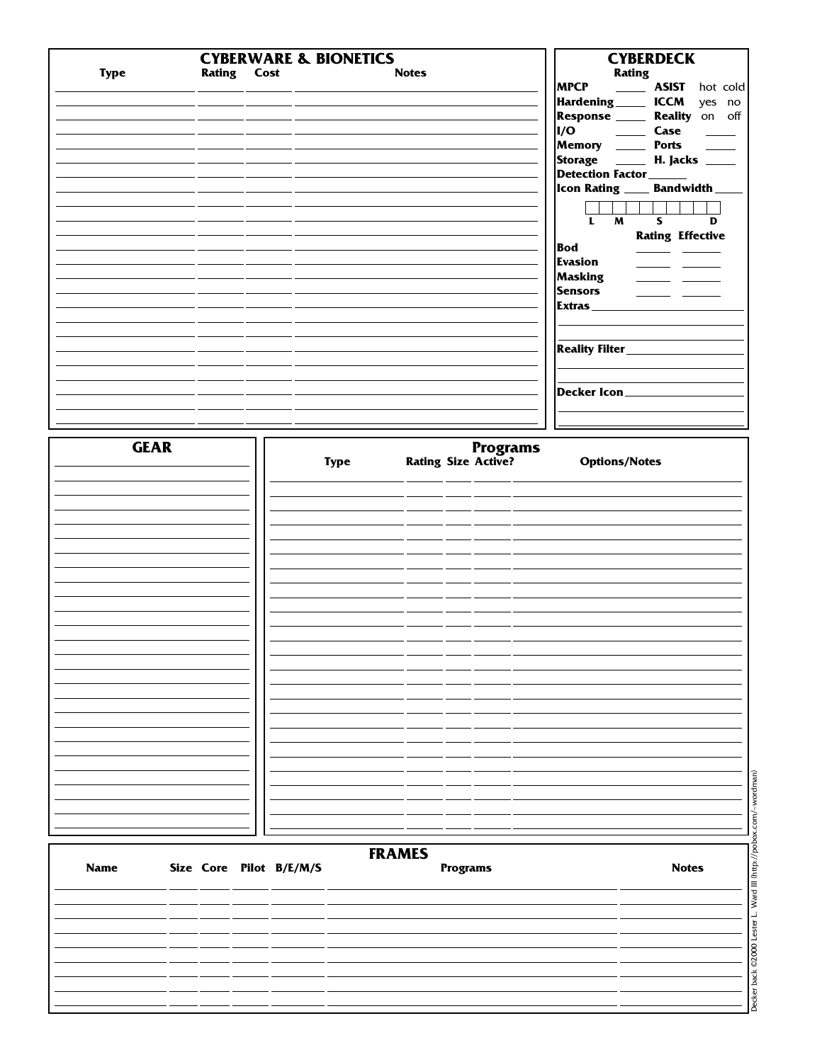|             |                    | <b>CYBERWARE &amp; BIONETICS</b> |                            |                 | <b>CYBERDECK</b>                                                                               |
|-------------|--------------------|----------------------------------|----------------------------|-----------------|------------------------------------------------------------------------------------------------|
| <b>Type</b> | <b>Rating Cost</b> |                                  | <b>Notes</b>               |                 | Rating                                                                                         |
|             |                    |                                  |                            |                 | MPCP _______ ASIST hot cold<br>Hardening ______ ICCM yes no                                    |
|             |                    |                                  |                            |                 | Response ______ Reality on off                                                                 |
|             |                    |                                  |                            |                 | I/O<br>Case<br>$\frac{1}{2}$                                                                   |
|             |                    |                                  |                            |                 | Memory _____ Ports ____                                                                        |
|             |                    |                                  |                            |                 | Storage ______ H. Jacks _____                                                                  |
|             |                    |                                  |                            |                 | Detection Factor______                                                                         |
|             |                    |                                  |                            |                 | Icon Rating ____ Bandwidth __                                                                  |
|             |                    |                                  |                            |                 | 1111<br>$\overline{\mathbf{s}}$<br>$\overline{M}$<br>$\overline{\mathbf{L}}$<br>$\overline{D}$ |
|             |                    |                                  |                            |                 | <b>Rating Effective</b>                                                                        |
|             |                    |                                  |                            |                 | <b>Bod</b><br>$\overline{\phantom{a}}$                                                         |
|             |                    |                                  |                            |                 | <b>Evasion</b><br>للمراجع المستنب                                                              |
|             |                    |                                  |                            |                 | Masking<br>$\overline{\phantom{a}}$                                                            |
|             |                    |                                  |                            |                 | <b>Sensors</b><br>$\overline{\phantom{a}}$<br>Extras                                           |
|             |                    |                                  |                            |                 |                                                                                                |
|             |                    |                                  |                            |                 |                                                                                                |
|             |                    |                                  |                            |                 | Reality Filter__________                                                                       |
|             |                    |                                  |                            |                 |                                                                                                |
|             |                    |                                  |                            |                 | Decker Icon                                                                                    |
|             |                    |                                  |                            |                 |                                                                                                |
|             |                    |                                  |                            |                 |                                                                                                |
|             |                    |                                  |                            |                 |                                                                                                |
| <b>GEAR</b> |                    | <b>Type</b>                      | <b>Rating Size Active?</b> | <b>Programs</b> | <b>Options/Notes</b>                                                                           |
|             |                    |                                  |                            |                 |                                                                                                |
|             |                    |                                  |                            |                 |                                                                                                |
|             |                    |                                  |                            |                 |                                                                                                |
|             |                    |                                  |                            |                 |                                                                                                |
|             |                    |                                  |                            |                 |                                                                                                |
|             |                    |                                  |                            |                 |                                                                                                |
|             |                    |                                  |                            |                 |                                                                                                |
|             |                    |                                  |                            |                 |                                                                                                |
|             |                    |                                  |                            |                 |                                                                                                |
|             |                    |                                  |                            |                 |                                                                                                |
|             |                    |                                  |                            |                 |                                                                                                |
|             |                    |                                  |                            |                 |                                                                                                |
|             |                    |                                  |                            |                 |                                                                                                |
|             |                    |                                  |                            |                 |                                                                                                |
|             |                    |                                  |                            |                 |                                                                                                |
|             |                    |                                  |                            |                 |                                                                                                |
|             |                    |                                  |                            |                 |                                                                                                |
|             |                    |                                  |                            |                 |                                                                                                |
|             |                    |                                  |                            |                 |                                                                                                |
|             |                    |                                  |                            |                 |                                                                                                |

| Name |  | Size Core Pilot B/E/M/S | ********<br><b>Programs</b> | <b>Notes</b> |
|------|--|-------------------------|-----------------------------|--------------|
|      |  |                         |                             |              |
|      |  |                         |                             |              |
|      |  |                         |                             |              |
|      |  |                         |                             |              |
|      |  |                         |                             |              |
|      |  |                         |                             |              |
|      |  |                         |                             |              |

Decker back © 2000 Lester L. Ward III (http://pobox.com/~wordman) Decker back ©2000 Lester L. Ward III (http://pobox.com/~wordman)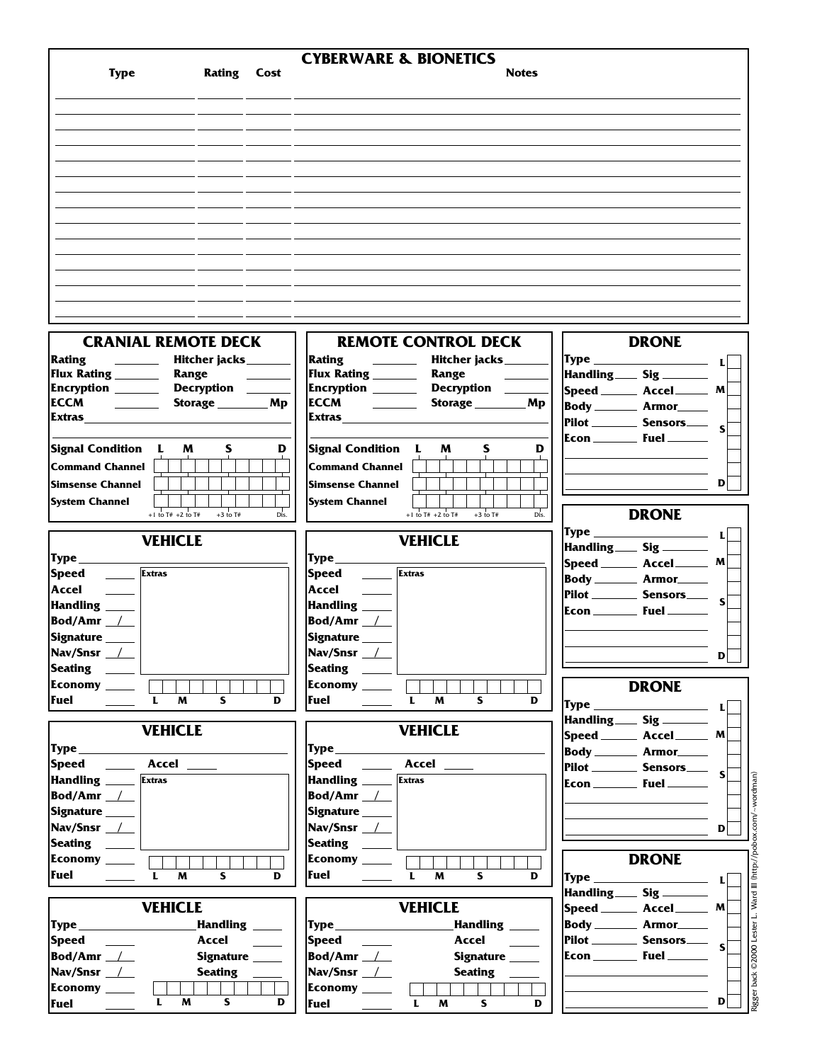|                                                                              | <b>CYBERWARE &amp; BIONETICS</b>                           |                                                                                                                                                                                                                                                                                                                                                                           |
|------------------------------------------------------------------------------|------------------------------------------------------------|---------------------------------------------------------------------------------------------------------------------------------------------------------------------------------------------------------------------------------------------------------------------------------------------------------------------------------------------------------------------------|
| <b>Rating Cost</b><br><b>Type</b>                                            | <b>Notes</b>                                               |                                                                                                                                                                                                                                                                                                                                                                           |
|                                                                              |                                                            |                                                                                                                                                                                                                                                                                                                                                                           |
|                                                                              |                                                            |                                                                                                                                                                                                                                                                                                                                                                           |
|                                                                              |                                                            |                                                                                                                                                                                                                                                                                                                                                                           |
|                                                                              |                                                            |                                                                                                                                                                                                                                                                                                                                                                           |
|                                                                              |                                                            |                                                                                                                                                                                                                                                                                                                                                                           |
|                                                                              |                                                            |                                                                                                                                                                                                                                                                                                                                                                           |
|                                                                              |                                                            |                                                                                                                                                                                                                                                                                                                                                                           |
|                                                                              |                                                            |                                                                                                                                                                                                                                                                                                                                                                           |
|                                                                              |                                                            |                                                                                                                                                                                                                                                                                                                                                                           |
|                                                                              |                                                            |                                                                                                                                                                                                                                                                                                                                                                           |
|                                                                              |                                                            |                                                                                                                                                                                                                                                                                                                                                                           |
|                                                                              |                                                            |                                                                                                                                                                                                                                                                                                                                                                           |
|                                                                              |                                                            |                                                                                                                                                                                                                                                                                                                                                                           |
|                                                                              |                                                            |                                                                                                                                                                                                                                                                                                                                                                           |
|                                                                              |                                                            |                                                                                                                                                                                                                                                                                                                                                                           |
|                                                                              |                                                            |                                                                                                                                                                                                                                                                                                                                                                           |
|                                                                              |                                                            |                                                                                                                                                                                                                                                                                                                                                                           |
| <b>CRANIAL REMOTE DECK</b>                                                   | <b>REMOTE CONTROL DECK</b>                                 | <b>DRONE</b>                                                                                                                                                                                                                                                                                                                                                              |
|                                                                              |                                                            |                                                                                                                                                                                                                                                                                                                                                                           |
| Rating<br>Hitcher jacks________                                              | Rating <u>_________</u><br>Hitcher jacks________           | $\mathsf{Type} \qquad \qquad \qquad \mathsf{L}$                                                                                                                                                                                                                                                                                                                           |
| Flux Rating _______<br>Range                                                 | Flux Rating _______<br>Range                               | Handling Sig _____                                                                                                                                                                                                                                                                                                                                                        |
| Encryption ______<br>Decryption ______                                       | Encryption _______ Decryption _____                        | $ Speed$ Accel $M$                                                                                                                                                                                                                                                                                                                                                        |
| <b>ECCM</b><br>Storage __________ Mp<br><b>Contract Contract</b>             | ECCM $\qquad \qquad \qquad$<br>Storage __________ Mp       | Body _________ Armor_____                                                                                                                                                                                                                                                                                                                                                 |
| Extras                                                                       | Extras                                                     | $\left \text{Pilot}\right \right \rightleftharpoons\text{Sensors}\right\rule{1.5ex}{0.5ex}$                                                                                                                                                                                                                                                                               |
|                                                                              |                                                            |                                                                                                                                                                                                                                                                                                                                                                           |
| Signal Condition L<br>M<br>D<br>s                                            | Signal Condition L<br>S<br>D<br>M                          |                                                                                                                                                                                                                                                                                                                                                                           |
| <b>Command Channel</b>                                                       | <b>Command Channel</b>                                     |                                                                                                                                                                                                                                                                                                                                                                           |
| <b>Simsense Channel</b>                                                      | <b>Simsense Channel</b>                                    | $\mathbf{D}$                                                                                                                                                                                                                                                                                                                                                              |
|                                                                              |                                                            |                                                                                                                                                                                                                                                                                                                                                                           |
| <b>System Channel</b>                                                        | <b>System Channel</b>                                      |                                                                                                                                                                                                                                                                                                                                                                           |
| +1 to $T#$ +2 to $T#$<br>$+3$ to T#<br>Dis.                                  | +1 to $T# + 2$ to $T#$<br>$+3$ to T#<br>Dis.               | <b>DRONE</b>                                                                                                                                                                                                                                                                                                                                                              |
| <b>VEHICLE</b>                                                               | <b>VEHICLE</b>                                             | L                                                                                                                                                                                                                                                                                                                                                                         |
|                                                                              |                                                            | Handling ____ Sig ______                                                                                                                                                                                                                                                                                                                                                  |
| ${Type_{\_}}$                                                                | Type                                                       | Speed _______ Accel_______ M                                                                                                                                                                                                                                                                                                                                              |
| <b>Extras</b><br><b>Speed</b>                                                | Speed<br>$\frac{1}{\sqrt{2}}$ Extras                       | Body _________ Armor______                                                                                                                                                                                                                                                                                                                                                |
| Accel                                                                        | Accel                                                      | $\left  \text{Pilot} \right $ Sensors $\left  \text{S} \right $                                                                                                                                                                                                                                                                                                           |
| Handling ____                                                                | Handling ____                                              | $\mathsf{Econ}$ Fuel                                                                                                                                                                                                                                                                                                                                                      |
| <b>Bod/Amr</b> $\angle$                                                      | Bod/Amr /                                                  |                                                                                                                                                                                                                                                                                                                                                                           |
| Signature                                                                    | Signature                                                  |                                                                                                                                                                                                                                                                                                                                                                           |
| Nav/Snsr <u>/</u>                                                            | Nav/Snsr /                                                 |                                                                                                                                                                                                                                                                                                                                                                           |
| <b>Seating</b>                                                               | Seating _____                                              | D                                                                                                                                                                                                                                                                                                                                                                         |
|                                                                              |                                                            |                                                                                                                                                                                                                                                                                                                                                                           |
| Economy $\begin{array}{ c c }\n\hline\n\hline\n\hline\n\hline\n\end{array}$  | Economy ____ $\begin{array}{ c c } \hline \end{array}$     | <b>DRONE</b>                                                                                                                                                                                                                                                                                                                                                              |
| Fuel<br>$\mathbf{L}$<br>M<br>S.<br>D                                         | Fuel<br>$\mathbf{L}$<br>M<br>S.<br>D                       | $\mathsf{Type} \hspace{1.5cm} \begin{picture}(10,10) \put(0,0){\dashbox{0.5}(10,0){ }} \put(15,0){\dashbox{0.5}(10,0){ }} \put(15,0){\dashbox{0.5}(10,0){ }} \put(15,0){\dashbox{0.5}(10,0){ }} \put(15,0){\dashbox{0.5}(10,0){ }} \put(15,0){\dashbox{0.5}(10,0){ }} \put(15,0){\dashbox{0.5}(10,0){ }} \put(15,0){\dashbox{0.5}(10,0){ }} \put(15,0){\dashbox{0.5}(10,$ |
|                                                                              |                                                            | Handling Sig _____                                                                                                                                                                                                                                                                                                                                                        |
| <b>VEHICLE</b>                                                               | <b>VEHICLE</b>                                             | $ Speed $ Accel $M$                                                                                                                                                                                                                                                                                                                                                       |
|                                                                              | $Type \_\_$                                                | Body _________ Armor______                                                                                                                                                                                                                                                                                                                                                |
| Speed ______ Accel _____                                                     | Speed ______ Accel _____                                   | Pilot ________ Sensors____ $\left.\mathsf{s}\right $                                                                                                                                                                                                                                                                                                                      |
| Handling _____ Extras                                                        | Handling ______ Extras                                     |                                                                                                                                                                                                                                                                                                                                                                           |
| Bod/Amr <sub>1</sub>                                                         | Bod/Amr <sub>1</sub>                                       |                                                                                                                                                                                                                                                                                                                                                                           |
|                                                                              | Signature ____                                             |                                                                                                                                                                                                                                                                                                                                                                           |
| Signature _____                                                              |                                                            |                                                                                                                                                                                                                                                                                                                                                                           |
| Nav/Snsr /                                                                   | Nav/Snsr _ <u>/</u>                                        | $\mathbf{D}$                                                                                                                                                                                                                                                                                                                                                              |
|                                                                              | $ $ Seating $\quad \_$                                     |                                                                                                                                                                                                                                                                                                                                                                           |
| Economy $\begin{array}{ccc}\n\hline\n\end{array}$                            | Economy ________ 「                                         | <b>DRONE</b>                                                                                                                                                                                                                                                                                                                                                              |
| <b>Fuel</b><br>$\mathbf{L}$<br>S.<br>D<br>M                                  | Fuel<br>L<br>S.<br>D<br>M                                  | $\mathsf{Type} \hspace{25pt} \begin{picture}(10,10) \put(0,0){\dashbox{0.5}(10,0){ }} \put(15,0){\dashbox{0.5}(10,0){ }} \put(15,0){\dashbox{0.5}(10,0){ }} \put(15,0){\dashbox{0.5}(10,0){ }} \put(15,0){\dashbox{0.5}(10,0){ }} \put(15,0){\dashbox{0.5}(10,0){ }} \put(15,0){\dashbox{0.5}(10,0){ }} \put(15,0){\dashbox{0.5}(10,0){ }} \put(15,0){\dashbox{0.5}(10,0$ |
|                                                                              |                                                            | Handling____ Sig ______                                                                                                                                                                                                                                                                                                                                                   |
| <b>VEHICLE</b>                                                               | <b>VEHICLE</b>                                             | $ {\sf Speed}$ _________ Accel _________ M $[$                                                                                                                                                                                                                                                                                                                            |
|                                                                              | Handling                                                   | Body _________ Armor______                                                                                                                                                                                                                                                                                                                                                |
| Accel                                                                        | Accel                                                      |                                                                                                                                                                                                                                                                                                                                                                           |
| <b>Speed</b><br><u>and the state</u>                                         |                                                            | $\left  \text{Pilot} \right $ Sensors $\left  \right $                                                                                                                                                                                                                                                                                                                    |
| Bod/Amr $\_\$<br>Signature _____                                             | Bod/Amr $\_\_\_\$<br>Signature _____                       |                                                                                                                                                                                                                                                                                                                                                                           |
| Nav/Snsr _____                                                               | Nav/Snsr __/__<br>Seating _______                          |                                                                                                                                                                                                                                                                                                                                                                           |
| Economy ____                                                                 | Economy ____<br>$\mathcal{L}(\mathcal{A})$                 |                                                                                                                                                                                                                                                                                                                                                                           |
| $\mathsf{S}$<br>$\mathbf{L}$<br><b>M</b><br>D<br>Fuel $\qquad \qquad \qquad$ | S<br>Fuel $\qquad \qquad \qquad$<br>$\mathbf{L}$<br>M<br>D | $\mathbf{D}$                                                                                                                                                                                                                                                                                                                                                              |
|                                                                              |                                                            |                                                                                                                                                                                                                                                                                                                                                                           |

Rigger back © 2000 Lester L. Ward III (http://pobox.com/~wordman) Rigger back ©2000 Lester L. Ward III (http://pobox.com/~wordman)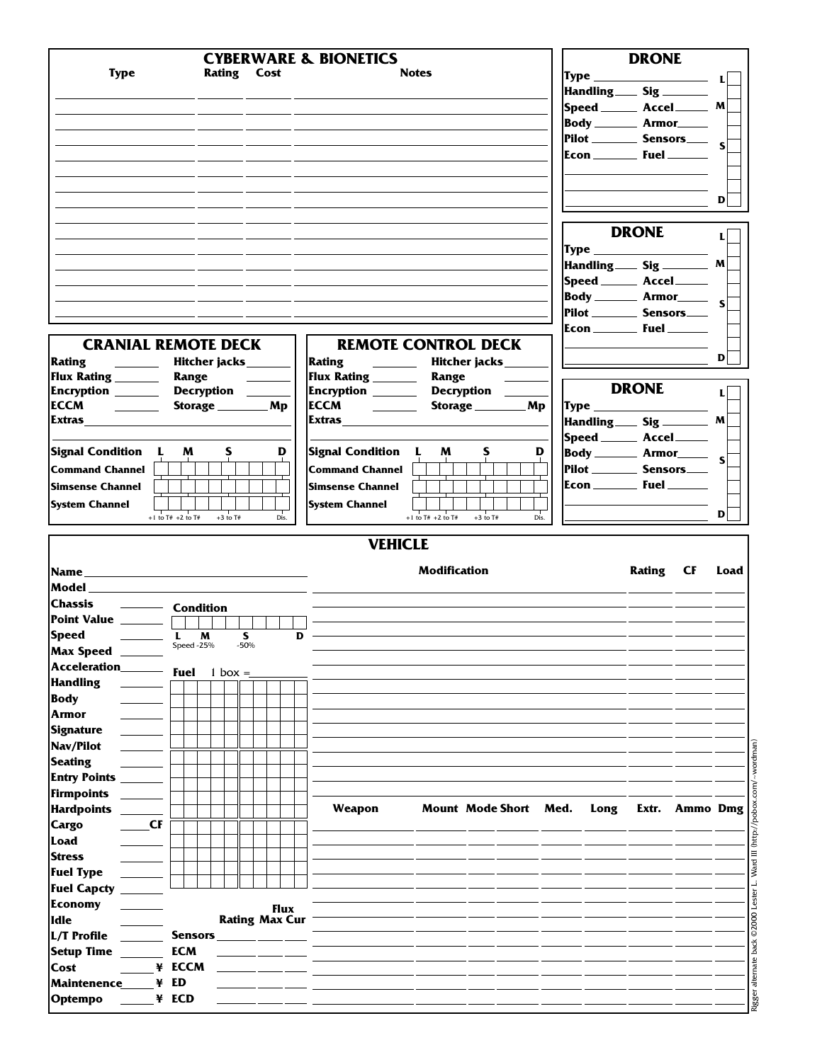|                                                                                                                                                                                                                                                                                                                                                                                                                                                     |                       |            |                    |                      |              |                       |   | <b>CYBERWARE &amp; BIONETICS</b>        |                       |                       |      |      | <b>DRONE</b>                               |                |      |
|-----------------------------------------------------------------------------------------------------------------------------------------------------------------------------------------------------------------------------------------------------------------------------------------------------------------------------------------------------------------------------------------------------------------------------------------------------|-----------------------|------------|--------------------|----------------------|--------------|-----------------------|---|-----------------------------------------|-----------------------|-----------------------|------|------|--------------------------------------------|----------------|------|
| <b>Type</b>                                                                                                                                                                                                                                                                                                                                                                                                                                         |                       |            | <b>Rating Cost</b> |                      |              |                       |   |                                         | <b>Notes</b>          |                       |      |      |                                            |                |      |
|                                                                                                                                                                                                                                                                                                                                                                                                                                                     |                       |            |                    |                      |              |                       |   |                                         |                       |                       |      |      | Handling Sig _____                         |                |      |
|                                                                                                                                                                                                                                                                                                                                                                                                                                                     |                       |            |                    |                      |              |                       |   |                                         |                       |                       |      |      | $ {\sf Speed} \_\_\_$ Accel $\_\_\_$ M $ $ |                |      |
|                                                                                                                                                                                                                                                                                                                                                                                                                                                     |                       |            |                    |                      |              |                       |   |                                         |                       |                       |      |      | Body ________ Armor_____                   |                |      |
|                                                                                                                                                                                                                                                                                                                                                                                                                                                     |                       |            |                    |                      |              |                       |   |                                         |                       |                       |      |      | Pilot _________ Sensors_____ s             |                |      |
|                                                                                                                                                                                                                                                                                                                                                                                                                                                     |                       |            |                    |                      |              |                       |   |                                         |                       |                       |      |      |                                            |                |      |
|                                                                                                                                                                                                                                                                                                                                                                                                                                                     |                       |            |                    |                      |              |                       |   |                                         |                       |                       |      |      |                                            |                |      |
|                                                                                                                                                                                                                                                                                                                                                                                                                                                     |                       |            |                    |                      |              |                       |   |                                         |                       |                       |      |      |                                            |                |      |
|                                                                                                                                                                                                                                                                                                                                                                                                                                                     |                       |            |                    |                      |              |                       |   |                                         |                       |                       |      |      |                                            |                | D    |
|                                                                                                                                                                                                                                                                                                                                                                                                                                                     |                       |            |                    |                      |              |                       |   |                                         |                       |                       |      |      |                                            |                |      |
|                                                                                                                                                                                                                                                                                                                                                                                                                                                     |                       |            |                    |                      |              |                       |   |                                         |                       |                       |      |      | <b>DRONE</b>                               |                | IJ   |
|                                                                                                                                                                                                                                                                                                                                                                                                                                                     |                       |            |                    |                      |              |                       |   |                                         |                       |                       |      |      |                                            |                |      |
|                                                                                                                                                                                                                                                                                                                                                                                                                                                     |                       |            |                    |                      |              |                       |   |                                         |                       |                       |      |      |                                            |                |      |
|                                                                                                                                                                                                                                                                                                                                                                                                                                                     |                       |            |                    |                      |              |                       |   |                                         |                       |                       |      |      | Speed ________ Accel _______               |                |      |
|                                                                                                                                                                                                                                                                                                                                                                                                                                                     |                       |            |                    |                      |              |                       |   |                                         |                       |                       |      |      | Body ______ Armor______ s                  |                |      |
|                                                                                                                                                                                                                                                                                                                                                                                                                                                     |                       |            |                    |                      |              |                       |   |                                         |                       |                       |      |      | Pilot ___________ Sensors____              |                |      |
|                                                                                                                                                                                                                                                                                                                                                                                                                                                     |                       |            |                    |                      |              |                       |   |                                         |                       |                       |      |      |                                            |                |      |
| <b>CRANIAL REMOTE DECK</b>                                                                                                                                                                                                                                                                                                                                                                                                                          |                       |            |                    |                      |              |                       |   | <b>REMOTE CONTROL DECK</b>              |                       |                       |      |      |                                            |                |      |
|                                                                                                                                                                                                                                                                                                                                                                                                                                                     |                       |            |                    |                      |              |                       |   |                                         |                       |                       |      |      |                                            |                | D    |
| Rating<br>Flux Rating __________ Range                                                                                                                                                                                                                                                                                                                                                                                                              |                       |            |                    |                      |              | Hitcher jacks_______  |   | Flux Rating ___________ Range           |                       | Hitcher jacks_______  |      |      |                                            |                |      |
| Encryption _______ Decryption _____                                                                                                                                                                                                                                                                                                                                                                                                                 |                       |            |                    | <u>and the state</u> |              |                       |   | Encryption ________ Decryption _____    |                       |                       |      |      | <b>DRONE</b>                               |                | L    |
| ECCM $\qquad \qquad \qquad$                                                                                                                                                                                                                                                                                                                                                                                                                         |                       |            |                    |                      |              | Storage __________ Mp |   |                                         |                       |                       |      |      |                                            |                |      |
| Extras                                                                                                                                                                                                                                                                                                                                                                                                                                              |                       |            |                    |                      |              |                       |   |                                         |                       |                       |      |      | Handling Sig ________ M                    |                |      |
|                                                                                                                                                                                                                                                                                                                                                                                                                                                     |                       |            |                    |                      |              |                       |   |                                         |                       |                       |      |      | Speed _______ Accel______                  |                |      |
| Signal Condition L                                                                                                                                                                                                                                                                                                                                                                                                                                  |                       | M          |                    | S                    |              | D                     |   | Signal Condition L                      | M                     | S                     | D    |      | Body ______ Armor_____ s                   |                |      |
|                                                                                                                                                                                                                                                                                                                                                                                                                                                     |                       |            |                    |                      |              |                       |   | <b>Command Channel</b>                  |                       |                       |      |      | Pilot __________ Sensors____               |                |      |
|                                                                                                                                                                                                                                                                                                                                                                                                                                                     |                       |            |                    |                      |              |                       |   |                                         |                       |                       |      |      |                                            |                |      |
|                                                                                                                                                                                                                                                                                                                                                                                                                                                     |                       |            |                    |                      |              |                       |   |                                         |                       |                       |      |      |                                            |                |      |
|                                                                                                                                                                                                                                                                                                                                                                                                                                                     |                       |            |                    |                      |              |                       |   | <b>Simsense Channel</b>                 |                       |                       |      |      |                                            |                |      |
|                                                                                                                                                                                                                                                                                                                                                                                                                                                     | $+1$ to T# $+2$ to T# |            |                    | $+3$ to T#           |              | Dis.                  |   | <b>System Channel</b><br><b>VEHICLE</b> | +1 to $T#$ +2 to $T#$ | $+3$ to T#            | Dis. |      |                                            |                | D    |
|                                                                                                                                                                                                                                                                                                                                                                                                                                                     |                       |            |                    |                      |              |                       |   |                                         | <b>Modification</b>   |                       |      |      | Rating CF                                  |                | Load |
|                                                                                                                                                                                                                                                                                                                                                                                                                                                     |                       |            |                    |                      |              |                       |   |                                         |                       |                       |      |      |                                            |                |      |
| Command Channel<br><b>Simsense Channel</b><br><b>System Channel</b><br><b>Model Model</b><br>Chassis<br><b>Condition</b>                                                                                                                                                                                                                                                                                                                            |                       |            |                    |                      |              |                       |   |                                         |                       |                       |      |      |                                            |                |      |
| Point Value ______ $\Box$                                                                                                                                                                                                                                                                                                                                                                                                                           |                       |            |                    |                      |              |                       |   |                                         |                       |                       |      |      |                                            |                |      |
| $\begin{tabular}{ll} \multicolumn{3}{c }{\textbf{}} & \multicolumn{3}{c }{\textbf{}}\\ \multicolumn{3}{c }{\textbf{}} & \multicolumn{3}{c }{\textbf{}}\\ \multicolumn{3}{c }{\textbf{}} & \multicolumn{3}{c }{\textbf{}}\\ \multicolumn{3}{c }{\textbf{}} & \multicolumn{3}{c }{\textbf{}}\\ \multicolumn{3}{c }{\textbf{}} & \multicolumn{3}{c }{\textbf{}}\\ \multicolumn{3}{c }{\textbf{}} & \multicolumn{3}{c }{\textbf{}}\\ \multicolumn{3}{c$ | Speed - $25\%$ - 50%  |            | M                  |                      | $\mathsf{s}$ |                       | D |                                         |                       |                       |      |      |                                            |                |      |
|                                                                                                                                                                                                                                                                                                                                                                                                                                                     |                       |            |                    |                      |              |                       |   |                                         |                       |                       |      |      |                                            |                |      |
|                                                                                                                                                                                                                                                                                                                                                                                                                                                     |                       | Fuel       |                    | $1$ box =            |              |                       |   |                                         |                       |                       |      |      |                                            |                |      |
|                                                                                                                                                                                                                                                                                                                                                                                                                                                     |                       |            |                    |                      |              |                       |   |                                         |                       |                       |      |      |                                            |                |      |
|                                                                                                                                                                                                                                                                                                                                                                                                                                                     |                       |            |                    |                      |              |                       |   |                                         |                       |                       |      |      |                                            |                |      |
|                                                                                                                                                                                                                                                                                                                                                                                                                                                     |                       |            |                    |                      |              |                       |   |                                         |                       |                       |      |      |                                            |                |      |
|                                                                                                                                                                                                                                                                                                                                                                                                                                                     |                       |            |                    |                      |              |                       |   |                                         |                       |                       |      |      |                                            |                |      |
|                                                                                                                                                                                                                                                                                                                                                                                                                                                     |                       |            |                    |                      |              |                       |   |                                         |                       |                       |      |      |                                            |                |      |
|                                                                                                                                                                                                                                                                                                                                                                                                                                                     |                       |            |                    |                      |              |                       |   |                                         |                       |                       |      |      |                                            |                |      |
|                                                                                                                                                                                                                                                                                                                                                                                                                                                     |                       |            |                    |                      |              |                       |   |                                         |                       |                       |      |      |                                            |                |      |
|                                                                                                                                                                                                                                                                                                                                                                                                                                                     |                       |            |                    |                      |              |                       |   |                                         |                       |                       |      |      |                                            |                |      |
|                                                                                                                                                                                                                                                                                                                                                                                                                                                     |                       |            |                    |                      |              |                       |   | Weapon                                  |                       | Mount Mode Short Med. |      | Long |                                            | Extr. Ammo Dmg |      |
|                                                                                                                                                                                                                                                                                                                                                                                                                                                     | CF                    |            |                    |                      |              |                       |   |                                         |                       |                       |      |      |                                            |                |      |
|                                                                                                                                                                                                                                                                                                                                                                                                                                                     |                       |            |                    |                      |              |                       |   |                                         |                       |                       |      |      |                                            |                |      |
|                                                                                                                                                                                                                                                                                                                                                                                                                                                     |                       |            |                    |                      |              |                       |   |                                         |                       |                       |      |      |                                            |                |      |
|                                                                                                                                                                                                                                                                                                                                                                                                                                                     |                       |            |                    |                      |              |                       |   |                                         |                       |                       |      |      |                                            |                |      |
|                                                                                                                                                                                                                                                                                                                                                                                                                                                     |                       |            |                    |                      |              |                       |   |                                         |                       |                       |      |      |                                            |                |      |
|                                                                                                                                                                                                                                                                                                                                                                                                                                                     |                       |            |                    |                      |              | <b>Flux</b>           |   |                                         |                       |                       |      |      |                                            |                |      |
|                                                                                                                                                                                                                                                                                                                                                                                                                                                     |                       |            |                    |                      |              | <b>Rating Max Cur</b> |   |                                         |                       |                       |      |      |                                            |                |      |
|                                                                                                                                                                                                                                                                                                                                                                                                                                                     |                       | Sensors_   |                    |                      |              |                       |   |                                         |                       |                       |      |      |                                            |                |      |
|                                                                                                                                                                                                                                                                                                                                                                                                                                                     |                       | <b>ECM</b> |                    |                      |              |                       |   |                                         |                       |                       |      |      |                                            |                |      |
|                                                                                                                                                                                                                                                                                                                                                                                                                                                     | ¥ ECCM                |            |                    |                      |              |                       |   |                                         |                       |                       |      |      |                                            |                |      |
| <b>Speed</b><br><b>Max Speed</b><br><b>Acceleration</b><br><b>Handling</b><br><b>Body</b><br><b>Armor</b><br><b>Signature</b><br>Nav/Pilot<br><b>Seating</b><br><b>Entry Points</b><br>Firmpoints<br><b>Hardpoints</b><br><b>Cargo</b><br>Load<br><b>Stress</b><br><b>Fuel Type</b><br><b>Fuel Capcty</b><br><b>Economy</b><br>lidle<br>L/T Profile<br><b>Setup Time</b><br>Cost<br>Maintenence                                                     | ED<br>¥               |            |                    |                      |              |                       |   |                                         |                       |                       |      |      |                                            |                |      |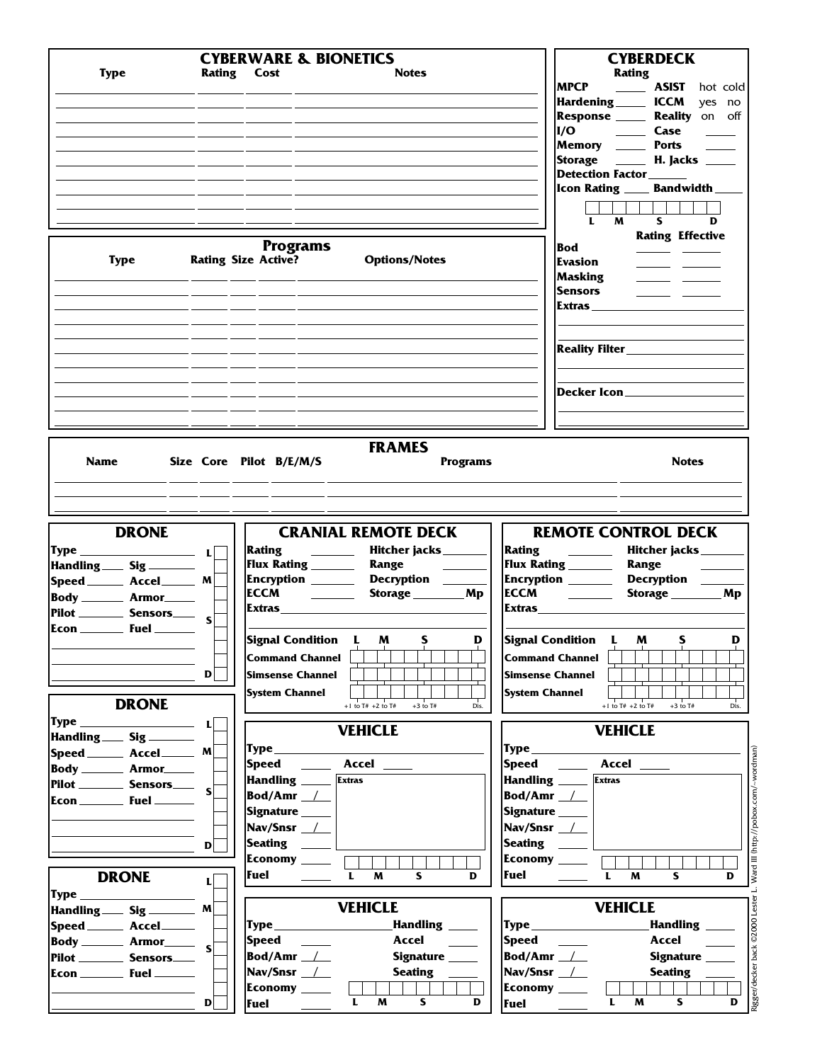| <b>Type</b>          |                                                          | <b>CYBERWARE &amp; BIONETICS</b><br><b>Notes</b><br>Rating Cost                                                                                                                                                                                                              | <b>CYBERDECK</b><br><b>Rating</b><br><b>MPCP</b><br><b>ASIST</b><br>hot cold<br>Hardening ______ ICCM<br>ves no<br>Response ______ Reality on off<br>Memory _______ Ports<br>Storage ______ H. Jacks _____<br>Detection Factor______<br>Icon Rating _____ Bandwidth __                                                                                                                                                                                                                                                                                                                     |
|----------------------|----------------------------------------------------------|------------------------------------------------------------------------------------------------------------------------------------------------------------------------------------------------------------------------------------------------------------------------------|--------------------------------------------------------------------------------------------------------------------------------------------------------------------------------------------------------------------------------------------------------------------------------------------------------------------------------------------------------------------------------------------------------------------------------------------------------------------------------------------------------------------------------------------------------------------------------------------|
|                      | <b>Type</b>                                              | <b>Programs</b><br><b>Rating Size Active?</b><br><b>Options/Notes</b>                                                                                                                                                                                                        | S.<br>M<br>D<br>L<br><b>Rating Effective</b><br><b>Bod</b><br>$\frac{1}{2} \left( \frac{1}{2} \right) \left( \frac{1}{2} \right)$<br>Evasion<br>$\frac{1}{2} \frac{1}{2} \frac{1}{2} \frac{1}{2} \frac{1}{2} \frac{1}{2} \frac{1}{2} \frac{1}{2} \frac{1}{2} \frac{1}{2} \frac{1}{2} \frac{1}{2} \frac{1}{2} \frac{1}{2} \frac{1}{2} \frac{1}{2} \frac{1}{2} \frac{1}{2} \frac{1}{2} \frac{1}{2} \frac{1}{2} \frac{1}{2} \frac{1}{2} \frac{1}{2} \frac{1}{2} \frac{1}{2} \frac{1}{2} \frac{1}{2} \frac{1}{2} \frac{1}{2} \frac{1}{2} \frac{$<br><b>Masking</b><br><b>Sensors</b><br>Extras |
|                      |                                                          |                                                                                                                                                                                                                                                                              | Decker Icon____________                                                                                                                                                                                                                                                                                                                                                                                                                                                                                                                                                                    |
|                      |                                                          |                                                                                                                                                                                                                                                                              |                                                                                                                                                                                                                                                                                                                                                                                                                                                                                                                                                                                            |
| <b>Name</b>          | <b>DRONE</b>                                             | <b>FRAMES</b><br>Size Core Pilot B/E/M/S<br><b>Programs</b><br><b>CRANIAL REMOTE DECK</b>                                                                                                                                                                                    | <b>Notes</b><br><b>REMOTE CONTROL DECK</b>                                                                                                                                                                                                                                                                                                                                                                                                                                                                                                                                                 |
|                      | Type $\sqrt{1-\frac{1}{2}}$<br>Handling Sig _____        | Hitcher jacks_________<br>Rating<br><u> 1999 - Andrea Sta</u><br>Flux Rating _______<br>Range                                                                                                                                                                                | Rating<br>Hitcher jacks____<br>$\frac{1}{2}$ and $\frac{1}{2}$<br>Flux Rating _______<br>Range                                                                                                                                                                                                                                                                                                                                                                                                                                                                                             |
|                      | Speed _______ Accel_______ M                             | Encryption _______ Decryption ___                                                                                                                                                                                                                                            | Encryption ______<br>Decryption _                                                                                                                                                                                                                                                                                                                                                                                                                                                                                                                                                          |
|                      | Body _________ Armor______                               | <b>ECCM</b><br><u>and the second part of the second part of the second part of the second part of the second part of the second part of the second part of the second part of the second part of the second part of the second part of the seco</u><br>Storage __________ Mp | <b>Storage</b><br>Mp                                                                                                                                                                                                                                                                                                                                                                                                                                                                                                                                                                       |
|                      | Pilot ________ Sensors _____ $\mathsf{s}$                | <b>Extras</b>                                                                                                                                                                                                                                                                | <b>Extras</b>                                                                                                                                                                                                                                                                                                                                                                                                                                                                                                                                                                              |
|                      | $\mathbf{D}$<br><b>DRONE</b>                             | Signal Condition L<br>D<br>S<br>M<br><b>Command Channel</b><br><b>Simsense Channel</b><br><b>System Channel</b><br>$+1$ to T# $+2$ to T#<br>$+3$ to T#<br>Dis.                                                                                                               | Signal Condition L<br>M<br>S<br>D<br><b>Command Channel</b><br><b>Simsense Channel</b><br><b>System Channel</b><br>+1 to $T#$ +2 to $T#$<br>$+3$ to T#<br>Dis.                                                                                                                                                                                                                                                                                                                                                                                                                             |
|                      |                                                          | <b>VEHICLE</b>                                                                                                                                                                                                                                                               | <b>VEHICLE</b>                                                                                                                                                                                                                                                                                                                                                                                                                                                                                                                                                                             |
|                      | Handling Sig _____<br>Speed _______ Accel_______ M       |                                                                                                                                                                                                                                                                              | $\mathbf{Type} \hspace{0.06cm} \hspace{0.08cm} \hspace{0.08cm} \hspace{0.08cm} \hspace{0.08cm} \hspace{0.08cm} \hspace{0.08cm} \hspace{0.08cm} \hspace{0.08cm} \hspace{0.08cm} \hspace{0.08cm} \hspace{0.08cm} \hspace{0.08cm} \hspace{0.08cm}$                                                                                                                                                                                                                                                                                                                                            |
|                      | <b>Body __________ Armor______</b>                       | Speed ______ Accel _____                                                                                                                                                                                                                                                     | Speed ______ Accel _____                                                                                                                                                                                                                                                                                                                                                                                                                                                                                                                                                                   |
|                      | Pilot Sensors $\frac{1}{s}$                              | Handling _____<br><b>Extras</b>                                                                                                                                                                                                                                              | Handling _____ Extras                                                                                                                                                                                                                                                                                                                                                                                                                                                                                                                                                                      |
|                      |                                                          | Bod/Amr $\_\$                                                                                                                                                                                                                                                                | Bod/Amr $\_\$                                                                                                                                                                                                                                                                                                                                                                                                                                                                                                                                                                              |
|                      |                                                          | Signature _____<br>Nav/Snsr $\_\$                                                                                                                                                                                                                                            | Signature ____<br>Nav/Snsr $\_\$                                                                                                                                                                                                                                                                                                                                                                                                                                                                                                                                                           |
|                      | $\mathbf{D}$                                             | Seating ______                                                                                                                                                                                                                                                               | Seating _____                                                                                                                                                                                                                                                                                                                                                                                                                                                                                                                                                                              |
|                      |                                                          | Economy ____                                                                                                                                                                                                                                                                 | Economy ____                                                                                                                                                                                                                                                                                                                                                                                                                                                                                                                                                                               |
|                      | <b>DRONE</b><br>$\mathbf{L}$                             | Fuel<br>L<br>M<br>S.<br>D                                                                                                                                                                                                                                                    | Fuel<br>$\mathbf{L}$<br>M<br>S.<br>D                                                                                                                                                                                                                                                                                                                                                                                                                                                                                                                                                       |
| $\mathbf{Type} \_\_$ |                                                          |                                                                                                                                                                                                                                                                              |                                                                                                                                                                                                                                                                                                                                                                                                                                                                                                                                                                                            |
|                      | Handling Sig _______ M                                   | <b>VEHICLE</b>                                                                                                                                                                                                                                                               | <b>VEHICLE</b>                                                                                                                                                                                                                                                                                                                                                                                                                                                                                                                                                                             |
|                      | Speed _______ Accel______                                | Handling <b>____</b>                                                                                                                                                                                                                                                         | Handling ____                                                                                                                                                                                                                                                                                                                                                                                                                                                                                                                                                                              |
|                      | $\overline{\mathsf{Body}}$ Armor $\overline{\mathsf{S}}$ | Speed _____<br>Accel                                                                                                                                                                                                                                                         | Accel                                                                                                                                                                                                                                                                                                                                                                                                                                                                                                                                                                                      |
|                      | Pilot ___________ Sensors_____                           | Bod/Amr $\_\$<br>Signature _____                                                                                                                                                                                                                                             | Bod/Amr $\_\_\_\$<br>Signature                                                                                                                                                                                                                                                                                                                                                                                                                                                                                                                                                             |
|                      |                                                          | Nav/Snsr $\_\_\_\_\_\_\$                                                                                                                                                                                                                                                     | $Nav/Snsr$ $\_\_\_\_\$                                                                                                                                                                                                                                                                                                                                                                                                                                                                                                                                                                     |
|                      | $\mathbf{D}$                                             | Economy ____<br>L<br>$\mathsf{s}$<br>D<br>M<br>Fuel ____                                                                                                                                                                                                                     | Economy ____<br>L<br>S.<br>D<br>M<br>Fuel ______                                                                                                                                                                                                                                                                                                                                                                                                                                                                                                                                           |

Rigger/decker back ©2000 Lester L. Ward III (http://pobox.com/~wordman) Rigger/decker back ©2000 Lester L. Ward III (http://pobox.com/~wordman)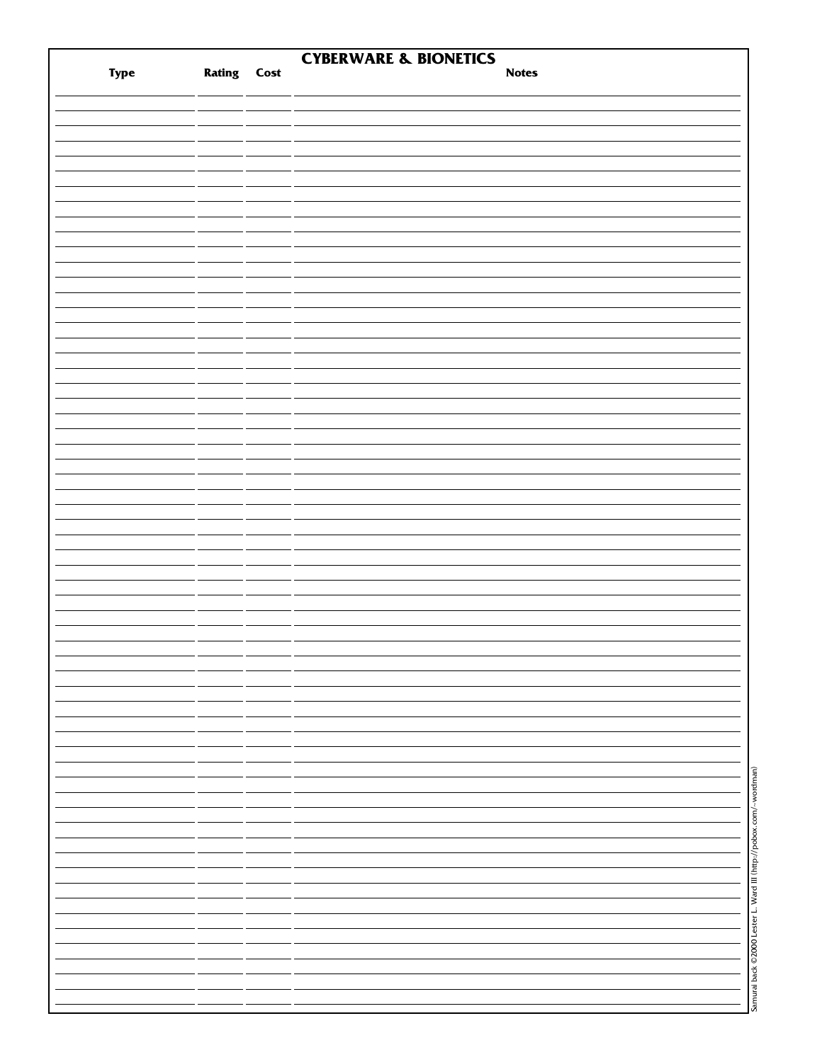|      |                    | <b>CYBERWARE &amp; BIONETICS</b>                                  |
|------|--------------------|-------------------------------------------------------------------|
| Type | <b>Rating Cost</b> | <b>Notes</b>                                                      |
|      |                    |                                                                   |
|      |                    |                                                                   |
|      |                    |                                                                   |
|      |                    |                                                                   |
|      |                    |                                                                   |
|      |                    |                                                                   |
|      |                    |                                                                   |
|      |                    |                                                                   |
|      |                    |                                                                   |
|      |                    |                                                                   |
|      |                    |                                                                   |
|      |                    |                                                                   |
|      |                    |                                                                   |
|      |                    |                                                                   |
|      |                    |                                                                   |
|      |                    |                                                                   |
|      |                    |                                                                   |
|      |                    |                                                                   |
|      |                    |                                                                   |
|      |                    |                                                                   |
|      |                    |                                                                   |
|      |                    |                                                                   |
|      |                    |                                                                   |
|      |                    |                                                                   |
|      |                    |                                                                   |
|      |                    |                                                                   |
|      |                    |                                                                   |
|      |                    |                                                                   |
|      |                    |                                                                   |
|      |                    |                                                                   |
|      |                    |                                                                   |
|      |                    |                                                                   |
|      |                    |                                                                   |
|      |                    |                                                                   |
|      |                    |                                                                   |
|      |                    |                                                                   |
|      |                    |                                                                   |
|      |                    |                                                                   |
|      |                    |                                                                   |
|      |                    |                                                                   |
|      |                    |                                                                   |
|      |                    |                                                                   |
|      |                    |                                                                   |
|      |                    |                                                                   |
|      |                    |                                                                   |
|      |                    |                                                                   |
|      |                    |                                                                   |
|      |                    |                                                                   |
|      |                    |                                                                   |
|      |                    |                                                                   |
|      |                    |                                                                   |
|      |                    |                                                                   |
|      |                    |                                                                   |
|      |                    | Samurai back ©2000 Lester L. Ward III (http://pobox.com/~wordman) |
|      |                    |                                                                   |
|      |                    |                                                                   |
|      |                    |                                                                   |
|      |                    |                                                                   |
|      |                    |                                                                   |
|      |                    |                                                                   |
|      |                    |                                                                   |
|      |                    |                                                                   |
|      |                    |                                                                   |
|      |                    |                                                                   |
|      |                    |                                                                   |
|      |                    |                                                                   |
|      |                    |                                                                   |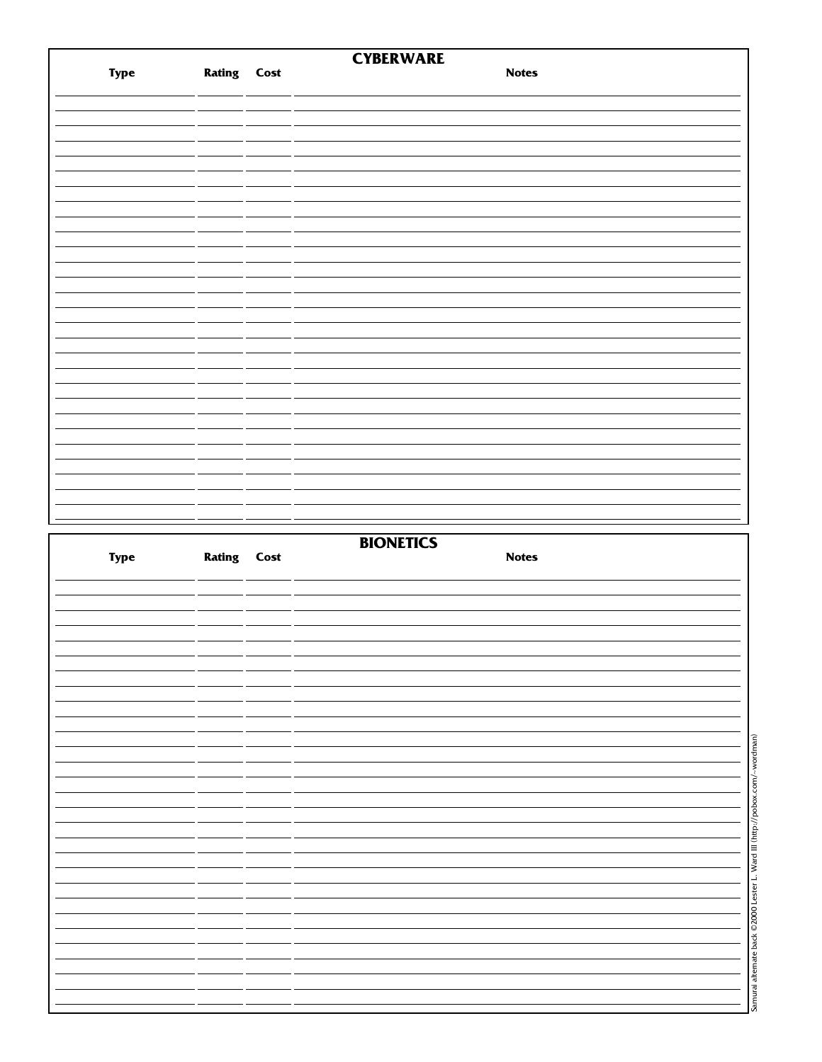|      |                    | <b>CYBERWARE</b> |  |
|------|--------------------|------------------|--|
| Type | <b>Rating Cost</b> | <b>Notes</b>     |  |
|      |                    |                  |  |
|      |                    |                  |  |
|      |                    |                  |  |
|      |                    |                  |  |
|      |                    |                  |  |
|      |                    |                  |  |
|      |                    |                  |  |
|      |                    |                  |  |
|      |                    |                  |  |
|      |                    |                  |  |
|      |                    |                  |  |
|      |                    |                  |  |
|      |                    |                  |  |
|      |                    |                  |  |
|      |                    |                  |  |
|      |                    |                  |  |
|      |                    |                  |  |
|      |                    |                  |  |
|      |                    |                  |  |
|      |                    |                  |  |
|      |                    |                  |  |
|      |                    |                  |  |
|      |                    |                  |  |
|      |                    |                  |  |
|      |                    |                  |  |
|      |                    |                  |  |
|      |                    |                  |  |
|      |                    |                  |  |
|      |                    |                  |  |
|      |                    |                  |  |
|      |                    |                  |  |
|      |                    |                  |  |
|      |                    |                  |  |
|      |                    |                  |  |
|      |                    |                  |  |
|      |                    | <b>BIONETICS</b> |  |
| Type | <b>Rating Cost</b> | <b>Notes</b>     |  |
|      |                    |                  |  |
|      |                    |                  |  |
|      |                    |                  |  |
|      |                    |                  |  |
|      |                    |                  |  |
|      |                    |                  |  |
|      |                    |                  |  |
|      |                    |                  |  |
|      |                    |                  |  |
|      |                    |                  |  |
|      |                    |                  |  |
|      |                    |                  |  |
|      |                    |                  |  |
|      |                    |                  |  |
|      |                    |                  |  |
|      |                    |                  |  |
|      |                    |                  |  |
|      |                    |                  |  |
|      |                    |                  |  |
|      |                    |                  |  |
|      |                    |                  |  |
|      |                    |                  |  |
|      |                    |                  |  |
|      |                    |                  |  |
|      |                    |                  |  |
|      |                    |                  |  |
|      |                    |                  |  |
|      |                    |                  |  |
|      |                    |                  |  |
|      |                    |                  |  |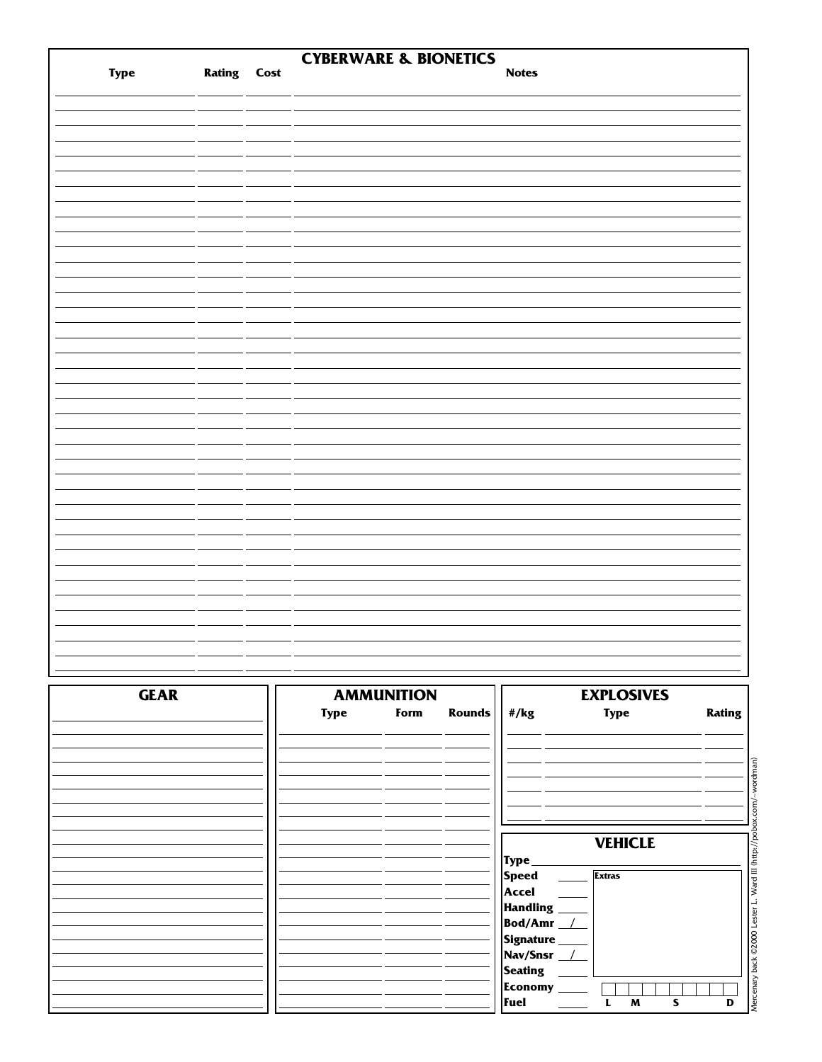|             |                    | <b>CYBERWARE &amp; BIONETICS</b> |                  |              |                   |        |
|-------------|--------------------|----------------------------------|------------------|--------------|-------------------|--------|
| <b>Type</b> | <b>Rating Cost</b> |                                  |                  | <b>Notes</b> |                   |        |
|             |                    |                                  |                  |              |                   |        |
|             |                    |                                  |                  |              |                   |        |
|             |                    |                                  |                  |              |                   |        |
|             |                    |                                  |                  |              |                   |        |
|             |                    |                                  |                  |              |                   |        |
|             |                    |                                  |                  |              |                   |        |
|             |                    |                                  |                  |              |                   |        |
|             |                    |                                  |                  |              |                   |        |
|             |                    |                                  |                  |              |                   |        |
|             |                    |                                  |                  |              |                   |        |
|             |                    |                                  |                  |              |                   |        |
|             |                    |                                  |                  |              |                   |        |
|             |                    |                                  |                  |              |                   |        |
|             |                    |                                  |                  |              |                   |        |
|             |                    |                                  |                  |              |                   |        |
|             |                    |                                  |                  |              |                   |        |
|             |                    |                                  |                  |              |                   |        |
|             |                    |                                  |                  |              |                   |        |
|             |                    |                                  |                  |              |                   |        |
|             |                    |                                  |                  |              |                   |        |
|             |                    |                                  |                  |              |                   |        |
|             |                    |                                  |                  |              |                   |        |
|             |                    |                                  |                  |              |                   |        |
|             |                    |                                  |                  |              |                   |        |
|             |                    |                                  |                  |              |                   |        |
|             |                    |                                  |                  |              |                   |        |
|             |                    |                                  |                  |              |                   |        |
|             |                    |                                  |                  |              |                   |        |
|             |                    |                                  |                  |              |                   |        |
|             |                    |                                  |                  |              |                   |        |
|             |                    |                                  |                  |              |                   |        |
|             |                    |                                  |                  |              |                   |        |
|             |                    |                                  |                  |              |                   |        |
|             |                    |                                  |                  |              |                   |        |
|             |                    |                                  |                  |              |                   |        |
|             |                    |                                  |                  |              |                   |        |
|             |                    |                                  |                  |              |                   |        |
| <b>GEAR</b> |                    | <b>AMMUNITION</b>                |                  |              | <b>EXPLOSIVES</b> |        |
|             |                    | <b>Type</b><br>Form              | Rounds $  $ #/kg |              | <b>Type</b>       | Rating |

| <b>GEAR</b> |             | <b>AMMUNITION</b> |        |                                     | <b>EXPLOSIVES</b> |                 |
|-------------|-------------|-------------------|--------|-------------------------------------|-------------------|-----------------|
|             | <b>Type</b> | Form              | Rounds | #/kg                                | <b>Type</b>       | <b>Rating</b>   |
|             |             |                   |        |                                     |                   |                 |
|             |             |                   |        |                                     |                   |                 |
|             |             |                   |        |                                     | <b>VEHICLE</b>    |                 |
|             |             |                   |        | Type<br><b>Speed</b>                | <b>Extras</b>     | Ward            |
|             |             |                   |        | Accel<br><b>Handling</b><br>Bod/Amr |                   |                 |
|             |             |                   |        | Signature<br>Nav/Snsr /             |                   | ©2000 Lester L. |
|             |             |                   |        | <b>Seating</b><br><b>Economy</b>    |                   |                 |
|             |             |                   |        | Fuel                                | M<br>S            | Mercena<br>D    |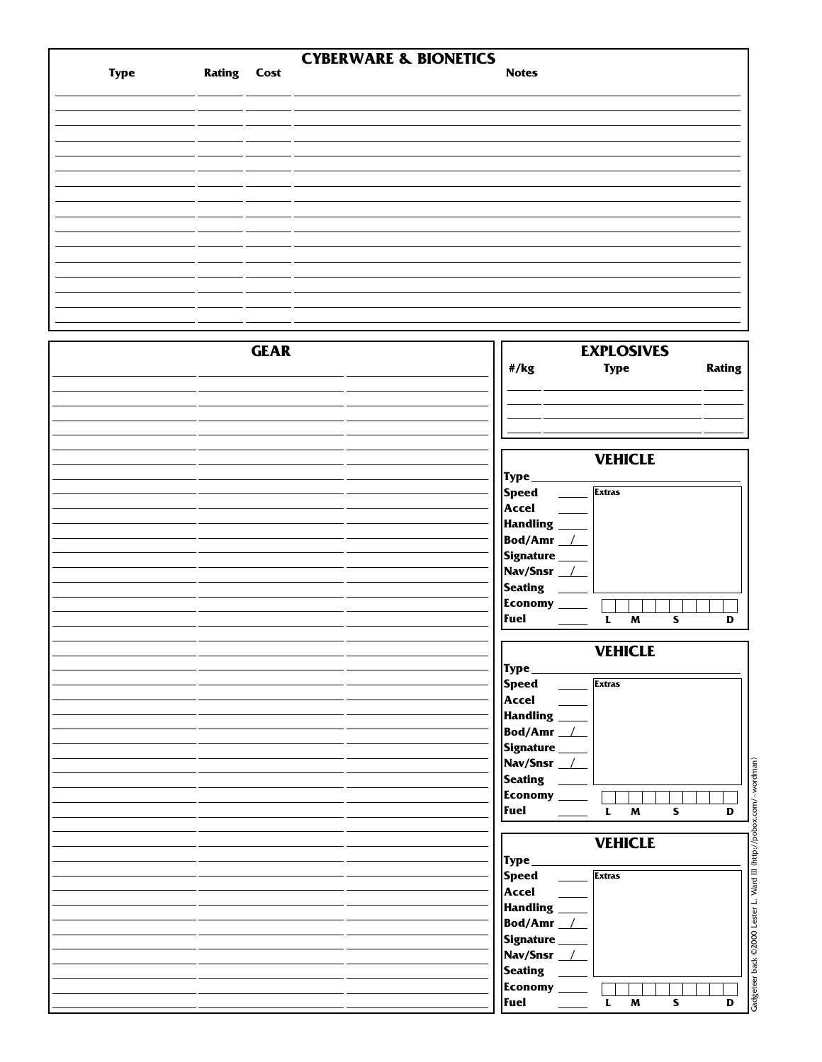|             |               |             | <b>CYBERWARE &amp; BIONETICS</b> |                                            |                                                    |               |
|-------------|---------------|-------------|----------------------------------|--------------------------------------------|----------------------------------------------------|---------------|
| <b>Type</b> | <b>Rating</b> | Cost        |                                  | <b>Notes</b>                               |                                                    |               |
|             |               |             |                                  |                                            |                                                    |               |
|             |               |             |                                  |                                            |                                                    |               |
|             |               |             |                                  |                                            |                                                    |               |
|             |               |             |                                  |                                            |                                                    |               |
|             |               |             |                                  |                                            |                                                    |               |
|             |               |             |                                  |                                            |                                                    |               |
|             |               |             |                                  |                                            |                                                    |               |
|             |               |             |                                  |                                            |                                                    |               |
|             |               |             |                                  |                                            |                                                    |               |
|             |               |             |                                  |                                            |                                                    |               |
|             |               |             |                                  |                                            |                                                    |               |
|             |               |             |                                  |                                            |                                                    |               |
|             |               |             |                                  |                                            |                                                    |               |
|             |               |             |                                  |                                            |                                                    |               |
|             |               |             |                                  |                                            |                                                    |               |
|             |               |             |                                  |                                            |                                                    |               |
|             |               |             |                                  |                                            |                                                    |               |
|             |               |             |                                  |                                            |                                                    |               |
|             |               | <b>GEAR</b> |                                  |                                            | <b>EXPLOSIVES</b>                                  |               |
|             |               |             |                                  | #/kg                                       | <b>Type</b>                                        | <b>Rating</b> |
|             |               |             |                                  |                                            |                                                    |               |
|             |               |             |                                  |                                            |                                                    |               |
|             |               |             |                                  |                                            |                                                    |               |
|             |               |             |                                  |                                            |                                                    |               |
|             |               |             |                                  |                                            |                                                    |               |
|             |               |             |                                  |                                            | <b>VEHICLE</b>                                     |               |
|             |               |             |                                  |                                            |                                                    |               |
|             |               |             |                                  | Type_                                      |                                                    |               |
|             |               |             |                                  | <b>Speed</b><br>$\mathcal{L}^{\text{max}}$ | <b>Extras</b>                                      |               |
|             |               |             |                                  | <b>Accel</b>                               |                                                    |               |
|             |               |             |                                  | Handling _                                 |                                                    |               |
|             |               |             |                                  | Bod/Amr <sub>1</sub>                       |                                                    |               |
|             |               |             |                                  | Signature _____                            |                                                    |               |
|             |               |             |                                  | Nav/Snsr __/__                             |                                                    |               |
|             |               |             |                                  | <b>Seating</b>                             |                                                    |               |
|             |               |             |                                  | Economy ____                               |                                                    |               |
|             |               |             |                                  | <b>Fuel</b>                                | $\mathbf L$<br>M<br>S                              | D             |
|             |               |             |                                  |                                            |                                                    |               |
|             |               |             |                                  |                                            | <b>VEHICLE</b>                                     |               |
|             |               |             |                                  | Type_                                      |                                                    |               |
|             |               |             |                                  |                                            | <b>Extras</b>                                      |               |
|             |               |             |                                  | <b>Speed</b>                               |                                                    |               |
|             |               |             |                                  | <b>Accel</b>                               |                                                    |               |
|             |               |             |                                  | Handling ___                               |                                                    |               |
|             |               |             |                                  | Bod/Amr <sub>1</sub>                       |                                                    |               |
|             |               |             |                                  | Signature ____                             |                                                    |               |
|             |               |             |                                  | Nav/Snsr /                                 |                                                    |               |
|             |               |             |                                  | Seating _                                  |                                                    |               |
|             |               |             |                                  | Economy ____                               |                                                    |               |
|             |               |             |                                  | <b>Fuel</b>                                | $\pmb{\mathsf{M}}$<br>$\mathbf{s}$<br>$\mathbf{L}$ | D             |
|             |               |             |                                  |                                            |                                                    |               |
|             |               |             |                                  |                                            | <b>VEHICLE</b>                                     |               |
|             |               |             |                                  | Type_                                      |                                                    |               |
|             |               |             |                                  |                                            | <b>Extras</b>                                      |               |
|             |               |             |                                  | <b>Speed</b>                               |                                                    |               |
|             |               |             |                                  | <b>Accel</b>                               |                                                    |               |
|             |               |             |                                  | Handling ____                              |                                                    |               |
|             |               |             |                                  | Bod/Amr <sub>1</sub>                       |                                                    |               |
|             |               |             |                                  | Signature ____                             |                                                    |               |
|             |               |             |                                  | Nav/Snsr _/                                |                                                    |               |
|             |               |             |                                  | <b>Seating</b>                             |                                                    |               |
|             |               |             |                                  | Economy ____                               |                                                    |               |
|             |               |             |                                  | Fuel __                                    | $\mathbf L$<br>$\pmb{\mathsf{M}}$<br>$\mathbf{s}$  | D             |
|             |               |             |                                  |                                            |                                                    |               |

Gadgeteer back ©2000 Lester L. Ward III (http://pobox.com/~wordman) Gadgeteer back ©2000 Lester L. Ward III (http://pobox.com/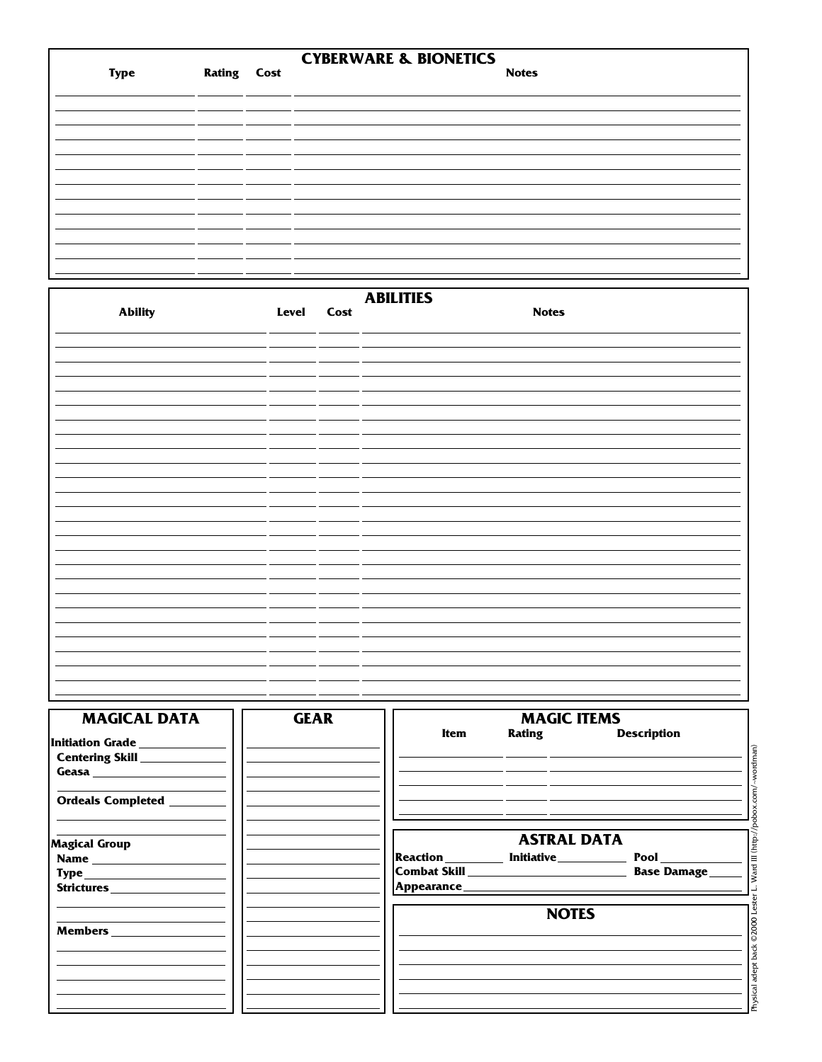|             |                    | <b>CYBERWARE &amp; BIONETICS</b> |
|-------------|--------------------|----------------------------------|
| <b>Type</b> | <b>Rating Cost</b> | <b>Notes</b>                     |
|             |                    |                                  |
|             |                    |                                  |
|             |                    |                                  |
|             |                    |                                  |
|             |                    |                                  |
|             |                    |                                  |
|             |                    |                                  |
|             |                    |                                  |
|             |                    |                                  |
|             |                    |                                  |

|                |            | <b>ABILITIES</b> |
|----------------|------------|------------------|
| <b>Ability</b> | Level Cost | <b>Notes</b>     |
|                |            |                  |
|                |            |                  |
|                |            |                  |
|                |            |                  |
|                |            |                  |
|                |            |                  |
|                |            |                  |
|                |            |                  |
|                |            |                  |
|                |            |                  |
|                |            |                  |
|                |            |                  |
|                |            |                  |
|                |            |                  |
|                |            |                  |
|                |            |                  |

| <b>MAGICAL DATA</b>             | <b>GEAR</b> |      | <b>MAGIC ITEMS</b>                       |                    |      |
|---------------------------------|-------------|------|------------------------------------------|--------------------|------|
| Initiation Grade ____________   |             | Item |                                          | Rating Description |      |
| Centering Skill _____________   |             |      |                                          |                    |      |
| Geasa _________________________ |             |      |                                          |                    |      |
| Ordeals Completed ________      |             |      |                                          |                    |      |
| <b>Magical Group</b>            |             |      | <b>ASTRAL DATA</b>                       |                    |      |
|                                 |             |      | Reaction _________ Initiative __________ | Pool               | Ξ    |
|                                 |             |      |                                          |                    | Vard |
|                                 |             |      |                                          |                    |      |
|                                 |             |      | <b>NOTES</b>                             |                    |      |
|                                 |             |      |                                          |                    |      |
|                                 |             |      |                                          |                    |      |
|                                 |             |      |                                          |                    |      |
|                                 |             |      |                                          |                    |      |
|                                 |             |      |                                          |                    |      |
|                                 |             |      |                                          |                    |      |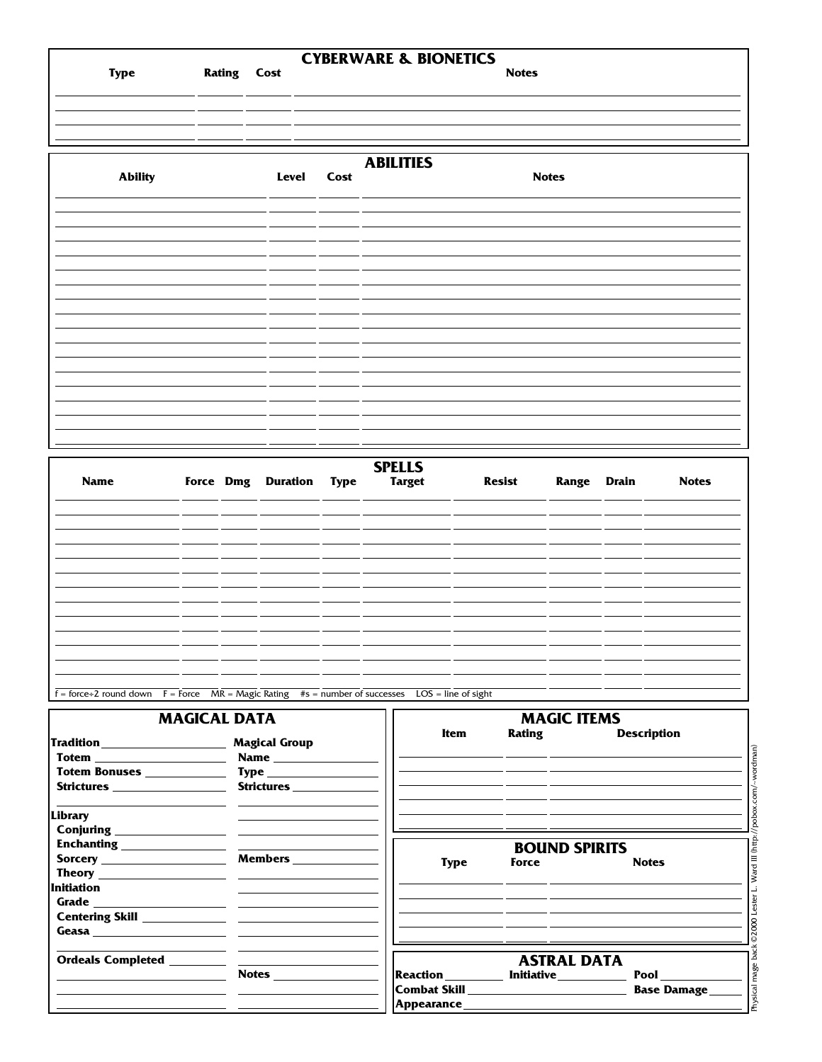|                |                    |       |      | <b>CYBERWARE &amp; BIONETICS</b> |              |  |
|----------------|--------------------|-------|------|----------------------------------|--------------|--|
| <b>Type</b>    | <b>Rating Cost</b> |       |      |                                  | <b>Notes</b> |  |
|                |                    |       |      |                                  |              |  |
|                |                    |       |      |                                  |              |  |
|                |                    |       |      |                                  |              |  |
|                |                    |       |      | <b>ABILITIES</b>                 |              |  |
| <b>Ability</b> |                    | Level | Cost |                                  | <b>Notes</b> |  |
|                |                    |       |      |                                  |              |  |
|                |                    |       |      |                                  |              |  |
|                |                    |       |      |                                  |              |  |
|                |                    |       |      |                                  |              |  |
|                |                    |       |      |                                  |              |  |
|                |                    |       |      |                                  |              |  |
|                |                    |       |      |                                  |              |  |
|                |                    |       |      |                                  |              |  |
|                |                    |       |      |                                  |              |  |
|                |                    |       |      |                                  |              |  |
|                |                    |       |      |                                  |              |  |
|                |                    |       |      |                                  |              |  |
|                |                    |       |      |                                  |              |  |
|                |                    |       |      |                                  |              |  |

| <b>Name</b> |  | Force Dmg Duration Type | <b>SPELLS</b><br><b>Target</b> | <b>Resist</b> | Range Drain | <b>Notes</b> |
|-------------|--|-------------------------|--------------------------------|---------------|-------------|--------------|
|             |  | ___                     |                                |               |             |              |
|             |  |                         |                                |               |             |              |
|             |  |                         |                                |               |             |              |
|             |  |                         |                                |               |             |              |
|             |  |                         |                                |               |             |              |
|             |  |                         |                                |               |             |              |
|             |  |                         |                                |               |             |              |
|             |  |                         |                                |               |             |              |

 $f = force + 2$  round down  $F = force$   $MR = Magic$  Rating  $#s = number of successes$  LOS = line of sight

|                                                                            | <b>MAGICAL DATA</b>                              |             | <b>MAGIC ITEMS</b>                                                                                            |                    |  |  |  |  |
|----------------------------------------------------------------------------|--------------------------------------------------|-------------|---------------------------------------------------------------------------------------------------------------|--------------------|--|--|--|--|
| <b>Totem _______________________</b>                                       |                                                  | Item        |                                                                                                               | Rating Description |  |  |  |  |
| Totem Bonuses ____________<br>Strictures __________________                | <b>Type ______________________</b><br>Strictures |             |                                                                                                               |                    |  |  |  |  |
| Library                                                                    |                                                  |             |                                                                                                               |                    |  |  |  |  |
| Conjuring <u>containing</u>                                                |                                                  |             | <b>BOUND SPIRITS</b>                                                                                          |                    |  |  |  |  |
| <b>Sorcery Example 2018</b><br><b>Initiation</b>                           | Members ____________                             | <b>Type</b> | <b>Force Example</b>                                                                                          | <b>Notes</b>       |  |  |  |  |
|                                                                            |                                                  |             |                                                                                                               |                    |  |  |  |  |
| the control of the control of the control of the control of the control of |                                                  |             |                                                                                                               |                    |  |  |  |  |
|                                                                            | <b>Notes</b>                                     |             | <b>ASTRAL DATA</b><br>Reaction __________ Initiative ___________                                              | <b>Pool</b>        |  |  |  |  |
|                                                                            |                                                  |             | Appearance Appearance Appearance Appearance Appearance Appearance Appearance Appearance Appearance Appearance | <b>Base Damage</b> |  |  |  |  |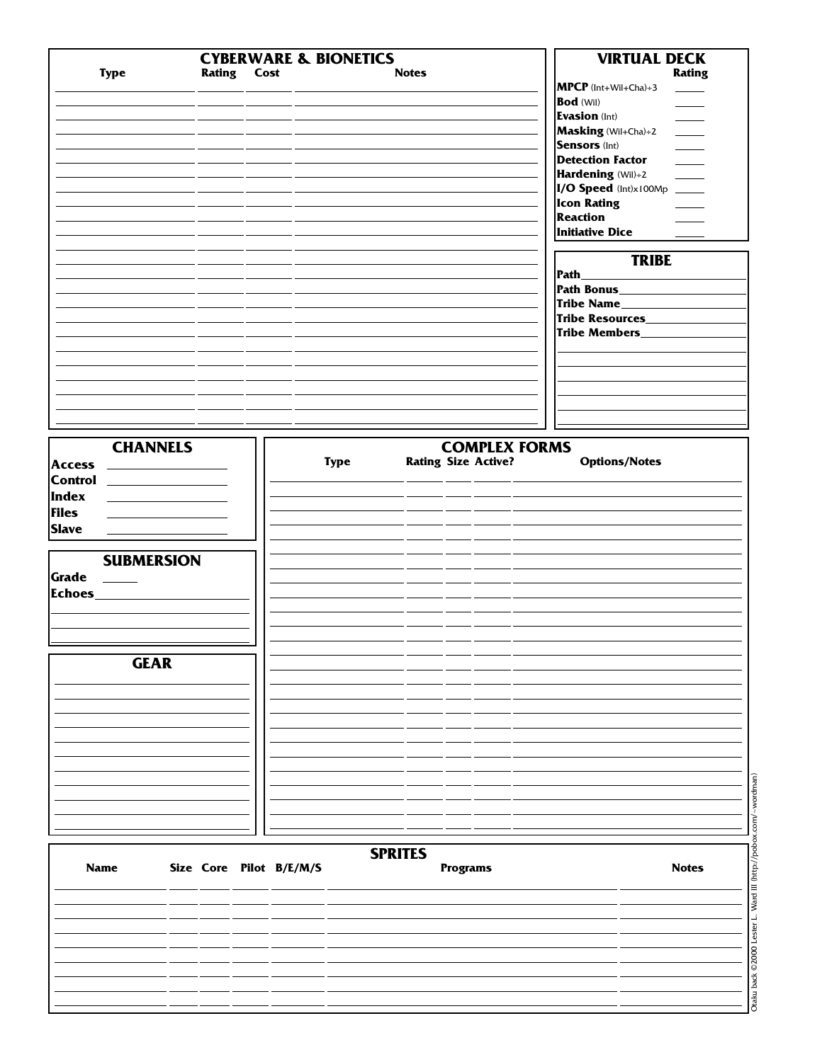| <b>Type</b>         | <b>Rating Cost</b>      | <b>CYBERWARE &amp; BIONETICS</b> | <b>Notes</b>   |                            | <b>VIRTUAL DECK</b><br><b>Rating</b><br>MPCP (Int+Wil+Cha)÷3                                                                                                                                                                                                                                                                                                                                                                                                                                                           |
|---------------------|-------------------------|----------------------------------|----------------|----------------------------|------------------------------------------------------------------------------------------------------------------------------------------------------------------------------------------------------------------------------------------------------------------------------------------------------------------------------------------------------------------------------------------------------------------------------------------------------------------------------------------------------------------------|
|                     |                         |                                  |                |                            | <b>Bod</b> (Wil)                                                                                                                                                                                                                                                                                                                                                                                                                                                                                                       |
|                     |                         |                                  |                |                            | <b>Evasion</b> (Int)<br>$\overline{\phantom{a}}$                                                                                                                                                                                                                                                                                                                                                                                                                                                                       |
|                     |                         |                                  |                |                            | Masking (Wil+Cha)÷2<br>$\frac{1}{1-\frac{1}{1-\frac{1}{1-\frac{1}{1-\frac{1}{1-\frac{1}{1-\frac{1}{1-\frac{1}{1-\frac{1}{1-\frac{1}{1-\frac{1}{1-\frac{1}{1-\frac{1}{1-\frac{1}{1-\frac{1}{1-\frac{1}{1-\frac{1}{1-\frac{1}{1-\frac{1}{1-\frac{1}{1-\frac{1}{1-\frac{1}{1-\frac{1}{1-\frac{1}{1-\frac{1}{1-\frac{1}{1-\frac{1}{1-\frac{1}{1-\frac{1}{1-\frac{1}{1-\frac{1}{1-\frac{1}{1-\frac{1}{1-\frac{1}{1-\frac{1}{1-\frac{1}{1-\frac{1$<br><b>Sensors (Int)</b>                                                   |
|                     |                         |                                  |                |                            | $\frac{1}{2} \left( \frac{1}{2} \right) \left( \frac{1}{2} \right) \left( \frac{1}{2} \right) \left( \frac{1}{2} \right) \left( \frac{1}{2} \right) \left( \frac{1}{2} \right) \left( \frac{1}{2} \right) \left( \frac{1}{2} \right) \left( \frac{1}{2} \right) \left( \frac{1}{2} \right) \left( \frac{1}{2} \right) \left( \frac{1}{2} \right) \left( \frac{1}{2} \right) \left( \frac{1}{2} \right) \left( \frac{1}{2} \right) \left( \frac{1}{2} \right) \left( \frac$<br><b>Detection Factor</b><br>$\frac{1}{2}$ |
|                     |                         |                                  |                |                            | Hardening (Wil)÷2<br>$\frac{1}{2}$                                                                                                                                                                                                                                                                                                                                                                                                                                                                                     |
|                     |                         |                                  |                |                            | I/O Speed (Int)x100Mp ____                                                                                                                                                                                                                                                                                                                                                                                                                                                                                             |
|                     |                         |                                  |                |                            | <b>Icon Rating</b>                                                                                                                                                                                                                                                                                                                                                                                                                                                                                                     |
|                     |                         |                                  |                |                            | <b>Reaction</b>                                                                                                                                                                                                                                                                                                                                                                                                                                                                                                        |
|                     |                         |                                  |                |                            | <b>Initiative Dice</b>                                                                                                                                                                                                                                                                                                                                                                                                                                                                                                 |
|                     |                         |                                  |                |                            | <b>TRIBE</b>                                                                                                                                                                                                                                                                                                                                                                                                                                                                                                           |
|                     |                         |                                  |                |                            |                                                                                                                                                                                                                                                                                                                                                                                                                                                                                                                        |
|                     |                         |                                  |                |                            | Tribe Name__________                                                                                                                                                                                                                                                                                                                                                                                                                                                                                                   |
|                     |                         |                                  |                |                            | Tribe Resources______                                                                                                                                                                                                                                                                                                                                                                                                                                                                                                  |
|                     |                         |                                  |                |                            | Tribe Members_____                                                                                                                                                                                                                                                                                                                                                                                                                                                                                                     |
|                     |                         |                                  |                |                            |                                                                                                                                                                                                                                                                                                                                                                                                                                                                                                                        |
|                     |                         |                                  |                |                            |                                                                                                                                                                                                                                                                                                                                                                                                                                                                                                                        |
|                     |                         |                                  |                |                            |                                                                                                                                                                                                                                                                                                                                                                                                                                                                                                                        |
|                     |                         |                                  |                |                            |                                                                                                                                                                                                                                                                                                                                                                                                                                                                                                                        |
|                     |                         |                                  |                |                            |                                                                                                                                                                                                                                                                                                                                                                                                                                                                                                                        |
| <b>CHANNELS</b>     |                         |                                  |                | <b>COMPLEX FORMS</b>       |                                                                                                                                                                                                                                                                                                                                                                                                                                                                                                                        |
| <b>Access</b>       |                         | <b>Type</b>                      |                | <b>Rating Size Active?</b> | <b>Options/Notes</b>                                                                                                                                                                                                                                                                                                                                                                                                                                                                                                   |
| <b>Control</b> 2008 |                         |                                  |                |                            |                                                                                                                                                                                                                                                                                                                                                                                                                                                                                                                        |
| Index               |                         |                                  |                |                            |                                                                                                                                                                                                                                                                                                                                                                                                                                                                                                                        |
| <b>Files</b>        |                         |                                  |                |                            |                                                                                                                                                                                                                                                                                                                                                                                                                                                                                                                        |
| <b>Slave</b>        |                         |                                  |                |                            |                                                                                                                                                                                                                                                                                                                                                                                                                                                                                                                        |
|                     |                         |                                  |                |                            |                                                                                                                                                                                                                                                                                                                                                                                                                                                                                                                        |
| <b>SUBMERSION</b>   |                         |                                  |                |                            |                                                                                                                                                                                                                                                                                                                                                                                                                                                                                                                        |
| Grade               |                         |                                  |                |                            |                                                                                                                                                                                                                                                                                                                                                                                                                                                                                                                        |
| Echoes_             |                         |                                  |                |                            |                                                                                                                                                                                                                                                                                                                                                                                                                                                                                                                        |
|                     |                         |                                  |                |                            |                                                                                                                                                                                                                                                                                                                                                                                                                                                                                                                        |
|                     |                         |                                  |                |                            |                                                                                                                                                                                                                                                                                                                                                                                                                                                                                                                        |
|                     |                         |                                  |                |                            |                                                                                                                                                                                                                                                                                                                                                                                                                                                                                                                        |
| <b>GEAR</b>         |                         |                                  |                |                            |                                                                                                                                                                                                                                                                                                                                                                                                                                                                                                                        |
|                     |                         |                                  |                |                            |                                                                                                                                                                                                                                                                                                                                                                                                                                                                                                                        |
|                     |                         |                                  |                |                            |                                                                                                                                                                                                                                                                                                                                                                                                                                                                                                                        |
|                     |                         |                                  |                |                            |                                                                                                                                                                                                                                                                                                                                                                                                                                                                                                                        |
|                     |                         |                                  |                |                            |                                                                                                                                                                                                                                                                                                                                                                                                                                                                                                                        |
|                     |                         |                                  |                |                            |                                                                                                                                                                                                                                                                                                                                                                                                                                                                                                                        |
|                     |                         |                                  |                |                            |                                                                                                                                                                                                                                                                                                                                                                                                                                                                                                                        |
|                     |                         |                                  |                |                            |                                                                                                                                                                                                                                                                                                                                                                                                                                                                                                                        |
|                     |                         |                                  |                |                            |                                                                                                                                                                                                                                                                                                                                                                                                                                                                                                                        |
|                     |                         |                                  |                |                            |                                                                                                                                                                                                                                                                                                                                                                                                                                                                                                                        |
|                     |                         |                                  |                |                            |                                                                                                                                                                                                                                                                                                                                                                                                                                                                                                                        |
| <b>Name</b>         | Size Core Pilot B/E/M/S |                                  | <b>SPRITES</b> | <b>Programs</b>            | <b>Notes</b>                                                                                                                                                                                                                                                                                                                                                                                                                                                                                                           |
|                     |                         |                                  |                |                            |                                                                                                                                                                                                                                                                                                                                                                                                                                                                                                                        |
|                     |                         |                                  |                |                            |                                                                                                                                                                                                                                                                                                                                                                                                                                                                                                                        |
|                     |                         |                                  |                |                            |                                                                                                                                                                                                                                                                                                                                                                                                                                                                                                                        |
|                     |                         |                                  |                |                            |                                                                                                                                                                                                                                                                                                                                                                                                                                                                                                                        |
|                     |                         |                                  |                |                            |                                                                                                                                                                                                                                                                                                                                                                                                                                                                                                                        |
|                     |                         |                                  |                |                            |                                                                                                                                                                                                                                                                                                                                                                                                                                                                                                                        |
|                     |                         |                                  |                |                            |                                                                                                                                                                                                                                                                                                                                                                                                                                                                                                                        |

Otaku back © 2000 Lester L. Ward III (http://pobox.com/~wordman) Otaku back ©2000 Lester L. Ward III (http://pobox.com/~wordman)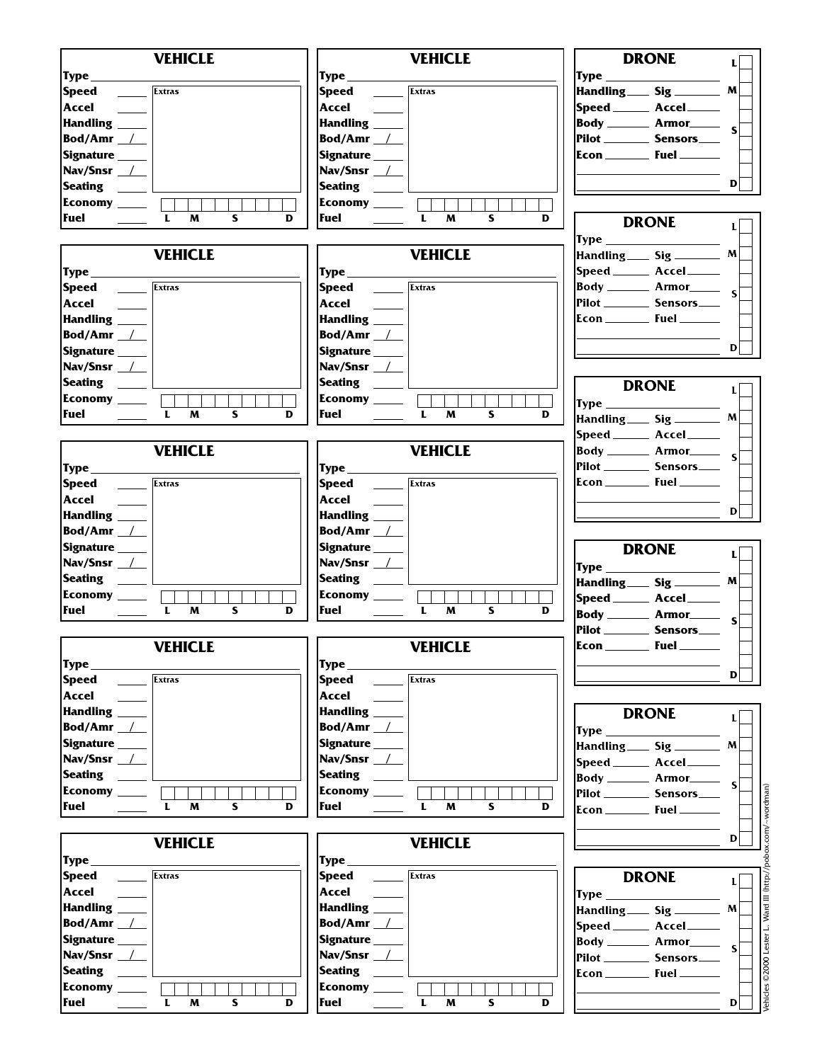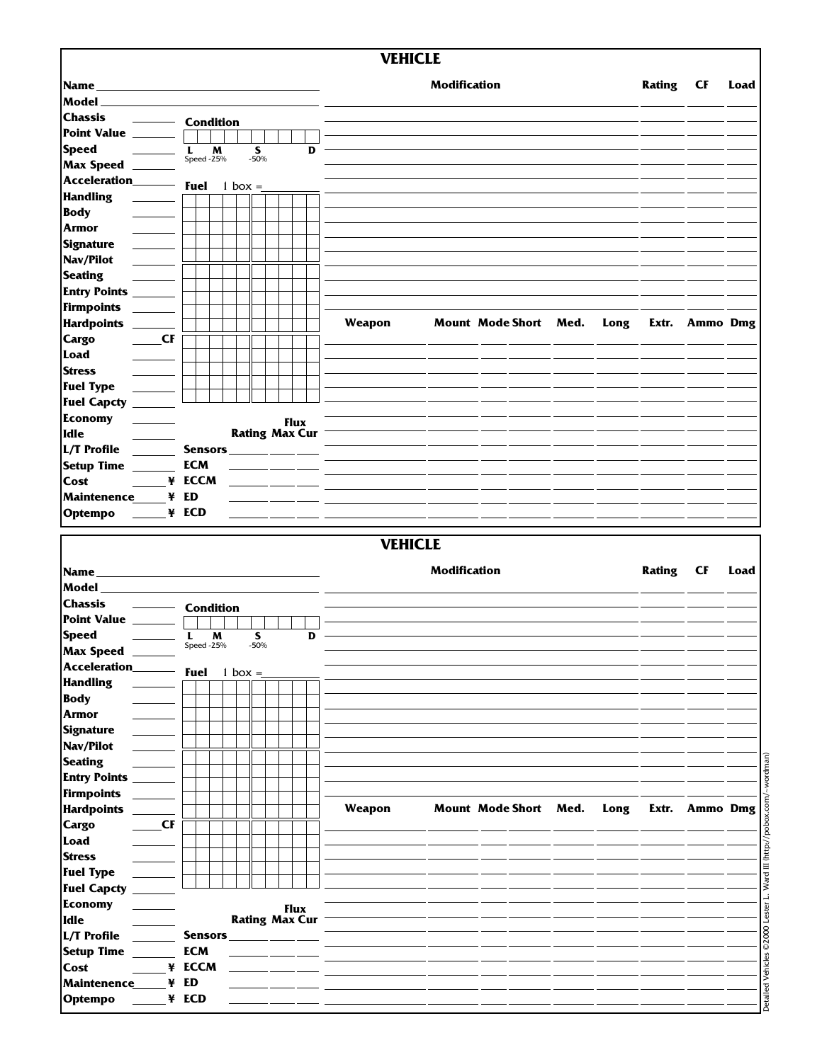|                                                                                                                                                                                                                                                                                                                                                                                                                                                         |    |                          |             |                                      |   | <b>VEHICLE</b> |                     |                       |      |               |           |      |
|---------------------------------------------------------------------------------------------------------------------------------------------------------------------------------------------------------------------------------------------------------------------------------------------------------------------------------------------------------------------------------------------------------------------------------------------------------|----|--------------------------|-------------|--------------------------------------|---|----------------|---------------------|-----------------------|------|---------------|-----------|------|
|                                                                                                                                                                                                                                                                                                                                                                                                                                                         |    |                          |             |                                      |   |                |                     |                       |      |               |           |      |
| Name                                                                                                                                                                                                                                                                                                                                                                                                                                                    |    |                          |             |                                      |   |                | <b>Modification</b> |                       |      | <b>Rating</b> | <b>CF</b> | Load |
| Model                                                                                                                                                                                                                                                                                                                                                                                                                                                   |    |                          |             |                                      |   |                |                     |                       |      |               |           |      |
| <b>Chassis</b>                                                                                                                                                                                                                                                                                                                                                                                                                                          |    | <b>Condition</b>         |             |                                      |   |                |                     |                       |      |               |           |      |
| Point Value                                                                                                                                                                                                                                                                                                                                                                                                                                             |    |                          |             |                                      |   |                |                     |                       |      |               |           |      |
| <b>Speed</b>                                                                                                                                                                                                                                                                                                                                                                                                                                            |    | M<br>L<br>Speed -25%     | S<br>$-50%$ |                                      | D |                |                     |                       |      |               |           |      |
| <b>Max Speed</b>                                                                                                                                                                                                                                                                                                                                                                                                                                        |    |                          |             |                                      |   |                |                     |                       |      |               |           |      |
| Acceleration_                                                                                                                                                                                                                                                                                                                                                                                                                                           |    | <b>Fuel</b><br>$1$ box = |             |                                      |   |                |                     |                       |      |               |           |      |
| <b>Handling</b>                                                                                                                                                                                                                                                                                                                                                                                                                                         |    |                          |             |                                      |   |                |                     |                       |      |               |           |      |
| <b>Body</b>                                                                                                                                                                                                                                                                                                                                                                                                                                             |    |                          |             |                                      |   |                |                     |                       |      |               |           |      |
| Armor                                                                                                                                                                                                                                                                                                                                                                                                                                                   |    |                          |             |                                      |   |                |                     |                       |      |               |           |      |
| <b>Signature</b>                                                                                                                                                                                                                                                                                                                                                                                                                                        |    |                          |             |                                      |   |                |                     |                       |      |               |           |      |
| Nav/Pilot                                                                                                                                                                                                                                                                                                                                                                                                                                               |    |                          |             |                                      |   |                |                     |                       |      |               |           |      |
| <b>Seating</b>                                                                                                                                                                                                                                                                                                                                                                                                                                          |    |                          |             |                                      |   |                |                     |                       |      |               |           |      |
| <b>Entry Points</b>                                                                                                                                                                                                                                                                                                                                                                                                                                     |    |                          |             |                                      |   |                |                     |                       |      |               |           |      |
| Firmpoints                                                                                                                                                                                                                                                                                                                                                                                                                                              |    |                          |             |                                      |   |                |                     |                       |      |               |           |      |
| <b>Hardpoints</b><br>$\sim 10^{-1}$                                                                                                                                                                                                                                                                                                                                                                                                                     |    |                          |             |                                      |   | Weapon         |                     | Mount Mode Short Med. | Long | Extr.         | Ammo Dmg  |      |
| <b>Cargo</b>                                                                                                                                                                                                                                                                                                                                                                                                                                            | CF |                          |             |                                      |   |                |                     |                       |      |               |           |      |
| Load                                                                                                                                                                                                                                                                                                                                                                                                                                                    |    |                          |             |                                      |   |                |                     |                       |      |               |           |      |
| <b>Stress</b>                                                                                                                                                                                                                                                                                                                                                                                                                                           |    |                          |             |                                      |   |                |                     |                       |      |               |           |      |
| <b>Fuel Type</b>                                                                                                                                                                                                                                                                                                                                                                                                                                        |    |                          |             |                                      |   |                |                     |                       |      |               |           |      |
| <b>Fuel Capcty</b>                                                                                                                                                                                                                                                                                                                                                                                                                                      |    |                          |             |                                      |   |                |                     |                       |      |               |           |      |
| <b>Economy</b>                                                                                                                                                                                                                                                                                                                                                                                                                                          |    |                          |             |                                      |   |                |                     |                       |      |               |           |      |
| Idle                                                                                                                                                                                                                                                                                                                                                                                                                                                    |    |                          |             | <b>Flux</b><br><b>Rating Max Cur</b> |   |                |                     |                       |      |               |           |      |
| L/T Profile                                                                                                                                                                                                                                                                                                                                                                                                                                             |    |                          |             |                                      |   |                |                     |                       |      |               |           |      |
|                                                                                                                                                                                                                                                                                                                                                                                                                                                         |    | <b>Sensors</b>           |             |                                      |   |                |                     |                       |      |               |           |      |
| <b>Setup Time</b>                                                                                                                                                                                                                                                                                                                                                                                                                                       |    | <b>ECM</b>               |             |                                      |   |                |                     |                       |      |               |           |      |
| Cost                                                                                                                                                                                                                                                                                                                                                                                                                                                    |    | ¥ ECCM                   |             |                                      |   |                |                     |                       |      |               |           |      |
| <b>Maintenence</b>                                                                                                                                                                                                                                                                                                                                                                                                                                      | ¥  | ED                       |             |                                      |   |                |                     |                       |      |               |           |      |
|                                                                                                                                                                                                                                                                                                                                                                                                                                                         |    |                          |             |                                      |   |                |                     |                       |      |               |           |      |
|                                                                                                                                                                                                                                                                                                                                                                                                                                                         |    | ¥ ECD                    |             |                                      |   | <b>VEHICLE</b> |                     |                       |      |               |           |      |
|                                                                                                                                                                                                                                                                                                                                                                                                                                                         |    |                          |             |                                      |   |                | <b>Modification</b> |                       |      | <b>Rating</b> | <b>CF</b> | Load |
|                                                                                                                                                                                                                                                                                                                                                                                                                                                         |    |                          |             |                                      |   |                |                     |                       |      |               |           |      |
|                                                                                                                                                                                                                                                                                                                                                                                                                                                         |    | <b>Condition</b>         |             |                                      |   |                |                     |                       |      |               |           |      |
|                                                                                                                                                                                                                                                                                                                                                                                                                                                         |    |                          |             |                                      |   |                |                     |                       |      |               |           |      |
|                                                                                                                                                                                                                                                                                                                                                                                                                                                         |    | M<br>L                   | S<br>$-50%$ |                                      | D |                |                     |                       |      |               |           |      |
|                                                                                                                                                                                                                                                                                                                                                                                                                                                         |    | Speed - $25%$            |             |                                      |   |                |                     |                       |      |               |           |      |
|                                                                                                                                                                                                                                                                                                                                                                                                                                                         |    | <b>Fuel</b><br>1 box $=$ |             |                                      |   |                |                     |                       |      |               |           |      |
|                                                                                                                                                                                                                                                                                                                                                                                                                                                         |    |                          |             |                                      |   |                |                     |                       |      |               |           |      |
|                                                                                                                                                                                                                                                                                                                                                                                                                                                         |    |                          |             |                                      |   |                |                     |                       |      |               |           |      |
|                                                                                                                                                                                                                                                                                                                                                                                                                                                         |    |                          |             |                                      |   |                |                     |                       |      |               |           |      |
|                                                                                                                                                                                                                                                                                                                                                                                                                                                         |    |                          |             |                                      |   |                |                     |                       |      |               |           |      |
|                                                                                                                                                                                                                                                                                                                                                                                                                                                         |    |                          |             |                                      |   |                |                     |                       |      |               |           |      |
|                                                                                                                                                                                                                                                                                                                                                                                                                                                         |    |                          |             |                                      |   |                |                     |                       |      |               |           |      |
|                                                                                                                                                                                                                                                                                                                                                                                                                                                         |    |                          |             |                                      |   |                |                     |                       |      |               |           |      |
|                                                                                                                                                                                                                                                                                                                                                                                                                                                         |    |                          |             |                                      |   |                |                     |                       |      |               |           |      |
|                                                                                                                                                                                                                                                                                                                                                                                                                                                         |    |                          |             |                                      |   | Weapon         |                     | Mount Mode Short Med. | Long |               |           |      |
|                                                                                                                                                                                                                                                                                                                                                                                                                                                         | CF |                          |             |                                      |   |                |                     |                       |      |               |           |      |
|                                                                                                                                                                                                                                                                                                                                                                                                                                                         |    |                          |             |                                      |   |                |                     |                       |      |               |           |      |
|                                                                                                                                                                                                                                                                                                                                                                                                                                                         |    |                          |             |                                      |   |                |                     |                       |      |               |           |      |
|                                                                                                                                                                                                                                                                                                                                                                                                                                                         |    |                          |             |                                      |   |                |                     |                       |      |               |           |      |
|                                                                                                                                                                                                                                                                                                                                                                                                                                                         |    |                          |             |                                      |   |                |                     |                       |      |               |           |      |
|                                                                                                                                                                                                                                                                                                                                                                                                                                                         |    |                          |             |                                      |   |                |                     |                       |      |               |           |      |
|                                                                                                                                                                                                                                                                                                                                                                                                                                                         |    |                          |             | <b>Flux</b><br><b>Rating Max Cur</b> |   |                |                     |                       |      |               |           |      |
|                                                                                                                                                                                                                                                                                                                                                                                                                                                         |    | Sensors_                 |             |                                      |   |                |                     |                       |      |               |           |      |
|                                                                                                                                                                                                                                                                                                                                                                                                                                                         |    | <b>ECM</b>               |             |                                      |   |                |                     |                       |      |               |           |      |
|                                                                                                                                                                                                                                                                                                                                                                                                                                                         |    | ¥ ECCM                   |             |                                      |   |                |                     |                       |      |               |           |      |
| Optempo<br>Name<br>Model<br><b>Chassis</b><br><b>Point Value</b><br><b>Speed</b><br><b>Max Speed</b><br>Acceleration_<br><b>Handling</b><br><b>Body</b><br><b>Armor</b><br><b>Signature</b><br>Nav/Pilot<br><b>Seating</b><br><b>Entry Points</b><br>Firmpoints<br><b>Hardpoints</b><br><b>Cargo</b><br>Load<br><b>Stress</b><br><b>Fuel Type</b><br>Fuel Capcty _<br>Economy<br>Idle<br>L/T Profile<br><b>Setup Time</b><br>Cost<br><b>Maintenence</b> |    | ¥ ED                     |             |                                      |   |                |                     |                       |      |               |           |      |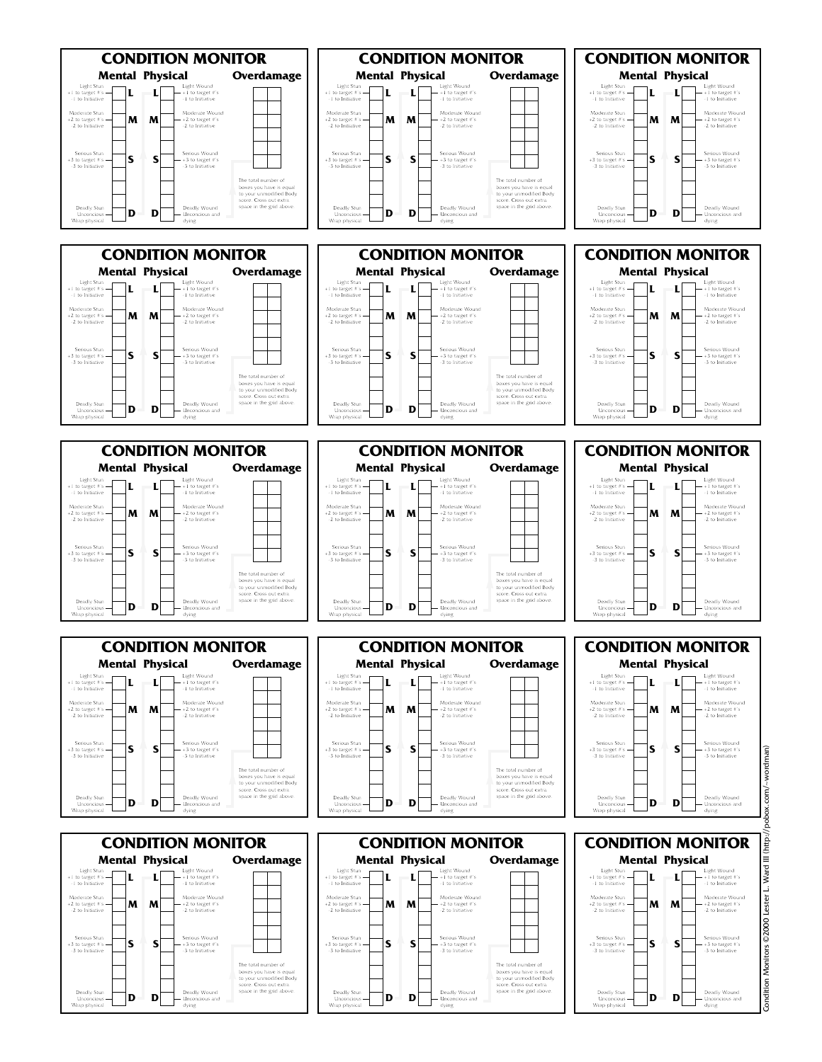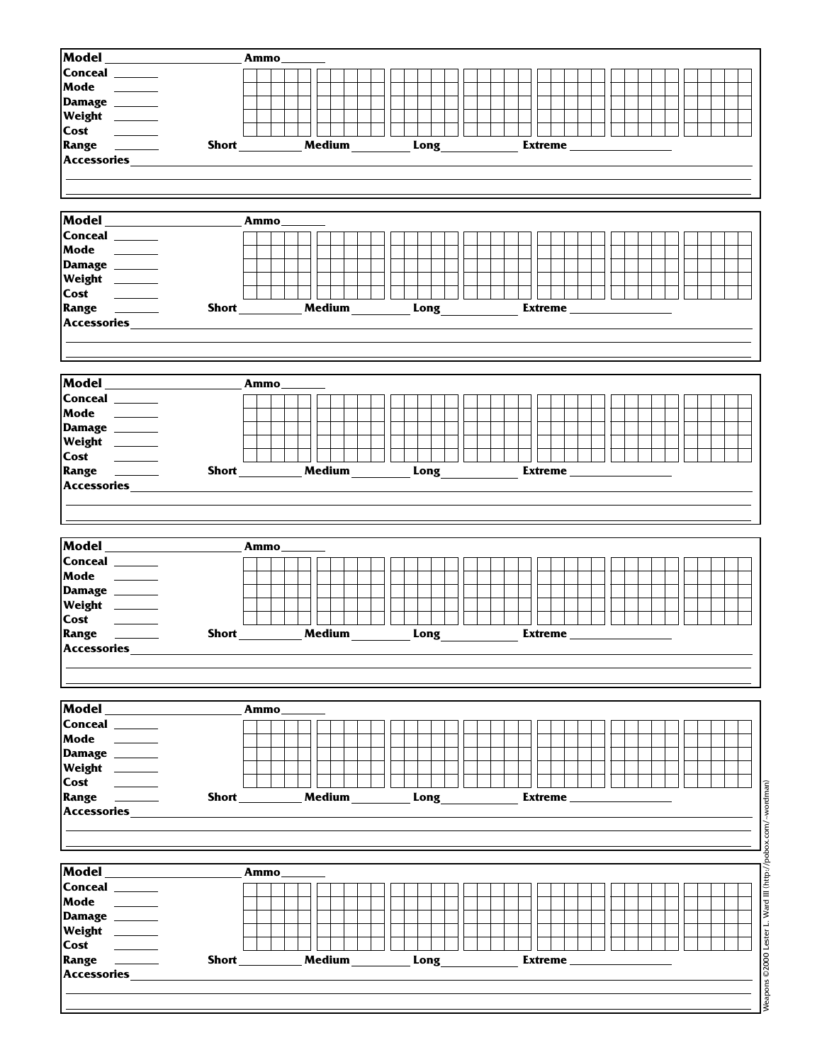| Conceal ______<br>Mode<br>Damage ______<br>Weight _______<br>Range <u>_________</u><br>Medium<br>Long<br>Extreme_<br>Accessories<br>Model<br>Ammo_<br>Conceal ______<br>Mode<br><u> 1999 - Jan Jan Jawa</u><br>Damage ______<br>Weight _______<br>Cost<br><b>Contract Contract</b><br>Range <u>_________</u><br>Medium<br><b>Short</b> Short<br>$Long \_$<br>Extreme<br>Accessories_<br>Ammo<br>Range <u>________</u><br>Medium<br>Short______<br>Long<br>Extreme $\_$<br>Accessories_<br>Model<br>Ammo<br>Conceal ______<br>Mode ______<br>Damage ______<br>Weight _______<br>Medium<br>Long<br><b>Extreme</b><br>Ammo<br>$\sim$ 100 $\sim$ 100 $\sim$<br>Weapons ©2000 Lester L. Ward III (http://pobox.com/~wordman)<br>Medium<br>Long<br><b>Extreme</b><br>Ammo_<br>$\frac{1}{2}$ and $\frac{1}{2}$<br>$\sim$ 100 $\sim$ 100 $\sim$<br>Medium<br>Long<br>Extreme_ | Model ________                                                                                                                                                                       | Ammo |  |
|-----------------------------------------------------------------------------------------------------------------------------------------------------------------------------------------------------------------------------------------------------------------------------------------------------------------------------------------------------------------------------------------------------------------------------------------------------------------------------------------------------------------------------------------------------------------------------------------------------------------------------------------------------------------------------------------------------------------------------------------------------------------------------------------------------------------------------------------------------------------------|--------------------------------------------------------------------------------------------------------------------------------------------------------------------------------------|------|--|
|                                                                                                                                                                                                                                                                                                                                                                                                                                                                                                                                                                                                                                                                                                                                                                                                                                                                       |                                                                                                                                                                                      |      |  |
|                                                                                                                                                                                                                                                                                                                                                                                                                                                                                                                                                                                                                                                                                                                                                                                                                                                                       |                                                                                                                                                                                      |      |  |
|                                                                                                                                                                                                                                                                                                                                                                                                                                                                                                                                                                                                                                                                                                                                                                                                                                                                       |                                                                                                                                                                                      |      |  |
|                                                                                                                                                                                                                                                                                                                                                                                                                                                                                                                                                                                                                                                                                                                                                                                                                                                                       |                                                                                                                                                                                      |      |  |
|                                                                                                                                                                                                                                                                                                                                                                                                                                                                                                                                                                                                                                                                                                                                                                                                                                                                       |                                                                                                                                                                                      |      |  |
|                                                                                                                                                                                                                                                                                                                                                                                                                                                                                                                                                                                                                                                                                                                                                                                                                                                                       |                                                                                                                                                                                      |      |  |
|                                                                                                                                                                                                                                                                                                                                                                                                                                                                                                                                                                                                                                                                                                                                                                                                                                                                       |                                                                                                                                                                                      |      |  |
|                                                                                                                                                                                                                                                                                                                                                                                                                                                                                                                                                                                                                                                                                                                                                                                                                                                                       |                                                                                                                                                                                      |      |  |
|                                                                                                                                                                                                                                                                                                                                                                                                                                                                                                                                                                                                                                                                                                                                                                                                                                                                       |                                                                                                                                                                                      |      |  |
|                                                                                                                                                                                                                                                                                                                                                                                                                                                                                                                                                                                                                                                                                                                                                                                                                                                                       |                                                                                                                                                                                      |      |  |
|                                                                                                                                                                                                                                                                                                                                                                                                                                                                                                                                                                                                                                                                                                                                                                                                                                                                       |                                                                                                                                                                                      |      |  |
|                                                                                                                                                                                                                                                                                                                                                                                                                                                                                                                                                                                                                                                                                                                                                                                                                                                                       |                                                                                                                                                                                      |      |  |
|                                                                                                                                                                                                                                                                                                                                                                                                                                                                                                                                                                                                                                                                                                                                                                                                                                                                       |                                                                                                                                                                                      |      |  |
|                                                                                                                                                                                                                                                                                                                                                                                                                                                                                                                                                                                                                                                                                                                                                                                                                                                                       |                                                                                                                                                                                      |      |  |
|                                                                                                                                                                                                                                                                                                                                                                                                                                                                                                                                                                                                                                                                                                                                                                                                                                                                       |                                                                                                                                                                                      |      |  |
|                                                                                                                                                                                                                                                                                                                                                                                                                                                                                                                                                                                                                                                                                                                                                                                                                                                                       |                                                                                                                                                                                      |      |  |
|                                                                                                                                                                                                                                                                                                                                                                                                                                                                                                                                                                                                                                                                                                                                                                                                                                                                       |                                                                                                                                                                                      |      |  |
|                                                                                                                                                                                                                                                                                                                                                                                                                                                                                                                                                                                                                                                                                                                                                                                                                                                                       |                                                                                                                                                                                      |      |  |
|                                                                                                                                                                                                                                                                                                                                                                                                                                                                                                                                                                                                                                                                                                                                                                                                                                                                       |                                                                                                                                                                                      |      |  |
|                                                                                                                                                                                                                                                                                                                                                                                                                                                                                                                                                                                                                                                                                                                                                                                                                                                                       |                                                                                                                                                                                      |      |  |
|                                                                                                                                                                                                                                                                                                                                                                                                                                                                                                                                                                                                                                                                                                                                                                                                                                                                       |                                                                                                                                                                                      |      |  |
|                                                                                                                                                                                                                                                                                                                                                                                                                                                                                                                                                                                                                                                                                                                                                                                                                                                                       |                                                                                                                                                                                      |      |  |
|                                                                                                                                                                                                                                                                                                                                                                                                                                                                                                                                                                                                                                                                                                                                                                                                                                                                       | Model                                                                                                                                                                                |      |  |
|                                                                                                                                                                                                                                                                                                                                                                                                                                                                                                                                                                                                                                                                                                                                                                                                                                                                       | Conceal ______                                                                                                                                                                       |      |  |
|                                                                                                                                                                                                                                                                                                                                                                                                                                                                                                                                                                                                                                                                                                                                                                                                                                                                       | Mode ______                                                                                                                                                                          |      |  |
|                                                                                                                                                                                                                                                                                                                                                                                                                                                                                                                                                                                                                                                                                                                                                                                                                                                                       | Damage ______                                                                                                                                                                        |      |  |
|                                                                                                                                                                                                                                                                                                                                                                                                                                                                                                                                                                                                                                                                                                                                                                                                                                                                       | Weight ______                                                                                                                                                                        |      |  |
|                                                                                                                                                                                                                                                                                                                                                                                                                                                                                                                                                                                                                                                                                                                                                                                                                                                                       |                                                                                                                                                                                      |      |  |
|                                                                                                                                                                                                                                                                                                                                                                                                                                                                                                                                                                                                                                                                                                                                                                                                                                                                       |                                                                                                                                                                                      |      |  |
|                                                                                                                                                                                                                                                                                                                                                                                                                                                                                                                                                                                                                                                                                                                                                                                                                                                                       |                                                                                                                                                                                      |      |  |
|                                                                                                                                                                                                                                                                                                                                                                                                                                                                                                                                                                                                                                                                                                                                                                                                                                                                       |                                                                                                                                                                                      |      |  |
|                                                                                                                                                                                                                                                                                                                                                                                                                                                                                                                                                                                                                                                                                                                                                                                                                                                                       |                                                                                                                                                                                      |      |  |
|                                                                                                                                                                                                                                                                                                                                                                                                                                                                                                                                                                                                                                                                                                                                                                                                                                                                       |                                                                                                                                                                                      |      |  |
|                                                                                                                                                                                                                                                                                                                                                                                                                                                                                                                                                                                                                                                                                                                                                                                                                                                                       |                                                                                                                                                                                      |      |  |
|                                                                                                                                                                                                                                                                                                                                                                                                                                                                                                                                                                                                                                                                                                                                                                                                                                                                       |                                                                                                                                                                                      |      |  |
|                                                                                                                                                                                                                                                                                                                                                                                                                                                                                                                                                                                                                                                                                                                                                                                                                                                                       |                                                                                                                                                                                      |      |  |
|                                                                                                                                                                                                                                                                                                                                                                                                                                                                                                                                                                                                                                                                                                                                                                                                                                                                       |                                                                                                                                                                                      |      |  |
|                                                                                                                                                                                                                                                                                                                                                                                                                                                                                                                                                                                                                                                                                                                                                                                                                                                                       |                                                                                                                                                                                      |      |  |
|                                                                                                                                                                                                                                                                                                                                                                                                                                                                                                                                                                                                                                                                                                                                                                                                                                                                       |                                                                                                                                                                                      |      |  |
|                                                                                                                                                                                                                                                                                                                                                                                                                                                                                                                                                                                                                                                                                                                                                                                                                                                                       |                                                                                                                                                                                      |      |  |
|                                                                                                                                                                                                                                                                                                                                                                                                                                                                                                                                                                                                                                                                                                                                                                                                                                                                       | <b>Cost</b>                                                                                                                                                                          |      |  |
|                                                                                                                                                                                                                                                                                                                                                                                                                                                                                                                                                                                                                                                                                                                                                                                                                                                                       | Range <u>________</u>                                                                                                                                                                |      |  |
|                                                                                                                                                                                                                                                                                                                                                                                                                                                                                                                                                                                                                                                                                                                                                                                                                                                                       |                                                                                                                                                                                      |      |  |
|                                                                                                                                                                                                                                                                                                                                                                                                                                                                                                                                                                                                                                                                                                                                                                                                                                                                       |                                                                                                                                                                                      |      |  |
|                                                                                                                                                                                                                                                                                                                                                                                                                                                                                                                                                                                                                                                                                                                                                                                                                                                                       |                                                                                                                                                                                      |      |  |
|                                                                                                                                                                                                                                                                                                                                                                                                                                                                                                                                                                                                                                                                                                                                                                                                                                                                       |                                                                                                                                                                                      |      |  |
|                                                                                                                                                                                                                                                                                                                                                                                                                                                                                                                                                                                                                                                                                                                                                                                                                                                                       |                                                                                                                                                                                      |      |  |
|                                                                                                                                                                                                                                                                                                                                                                                                                                                                                                                                                                                                                                                                                                                                                                                                                                                                       |                                                                                                                                                                                      |      |  |
|                                                                                                                                                                                                                                                                                                                                                                                                                                                                                                                                                                                                                                                                                                                                                                                                                                                                       |                                                                                                                                                                                      |      |  |
|                                                                                                                                                                                                                                                                                                                                                                                                                                                                                                                                                                                                                                                                                                                                                                                                                                                                       |                                                                                                                                                                                      |      |  |
|                                                                                                                                                                                                                                                                                                                                                                                                                                                                                                                                                                                                                                                                                                                                                                                                                                                                       |                                                                                                                                                                                      |      |  |
|                                                                                                                                                                                                                                                                                                                                                                                                                                                                                                                                                                                                                                                                                                                                                                                                                                                                       |                                                                                                                                                                                      |      |  |
|                                                                                                                                                                                                                                                                                                                                                                                                                                                                                                                                                                                                                                                                                                                                                                                                                                                                       |                                                                                                                                                                                      |      |  |
|                                                                                                                                                                                                                                                                                                                                                                                                                                                                                                                                                                                                                                                                                                                                                                                                                                                                       |                                                                                                                                                                                      |      |  |
|                                                                                                                                                                                                                                                                                                                                                                                                                                                                                                                                                                                                                                                                                                                                                                                                                                                                       |                                                                                                                                                                                      |      |  |
|                                                                                                                                                                                                                                                                                                                                                                                                                                                                                                                                                                                                                                                                                                                                                                                                                                                                       |                                                                                                                                                                                      |      |  |
|                                                                                                                                                                                                                                                                                                                                                                                                                                                                                                                                                                                                                                                                                                                                                                                                                                                                       |                                                                                                                                                                                      |      |  |
|                                                                                                                                                                                                                                                                                                                                                                                                                                                                                                                                                                                                                                                                                                                                                                                                                                                                       |                                                                                                                                                                                      |      |  |
|                                                                                                                                                                                                                                                                                                                                                                                                                                                                                                                                                                                                                                                                                                                                                                                                                                                                       |                                                                                                                                                                                      |      |  |
|                                                                                                                                                                                                                                                                                                                                                                                                                                                                                                                                                                                                                                                                                                                                                                                                                                                                       |                                                                                                                                                                                      |      |  |
|                                                                                                                                                                                                                                                                                                                                                                                                                                                                                                                                                                                                                                                                                                                                                                                                                                                                       |                                                                                                                                                                                      |      |  |
|                                                                                                                                                                                                                                                                                                                                                                                                                                                                                                                                                                                                                                                                                                                                                                                                                                                                       |                                                                                                                                                                                      |      |  |
|                                                                                                                                                                                                                                                                                                                                                                                                                                                                                                                                                                                                                                                                                                                                                                                                                                                                       | Accessories<br>Model<br>Conceal ______<br>Mode<br>Damage ______<br>Weight ______<br>Cost<br>Accessories_<br>Model ______<br>Conceal ______<br>Mode<br>Damage ______<br>Weight ______ |      |  |
|                                                                                                                                                                                                                                                                                                                                                                                                                                                                                                                                                                                                                                                                                                                                                                                                                                                                       |                                                                                                                                                                                      |      |  |
|                                                                                                                                                                                                                                                                                                                                                                                                                                                                                                                                                                                                                                                                                                                                                                                                                                                                       | Cost                                                                                                                                                                                 |      |  |
|                                                                                                                                                                                                                                                                                                                                                                                                                                                                                                                                                                                                                                                                                                                                                                                                                                                                       | <b>Accessories</b>                                                                                                                                                                   |      |  |
|                                                                                                                                                                                                                                                                                                                                                                                                                                                                                                                                                                                                                                                                                                                                                                                                                                                                       |                                                                                                                                                                                      |      |  |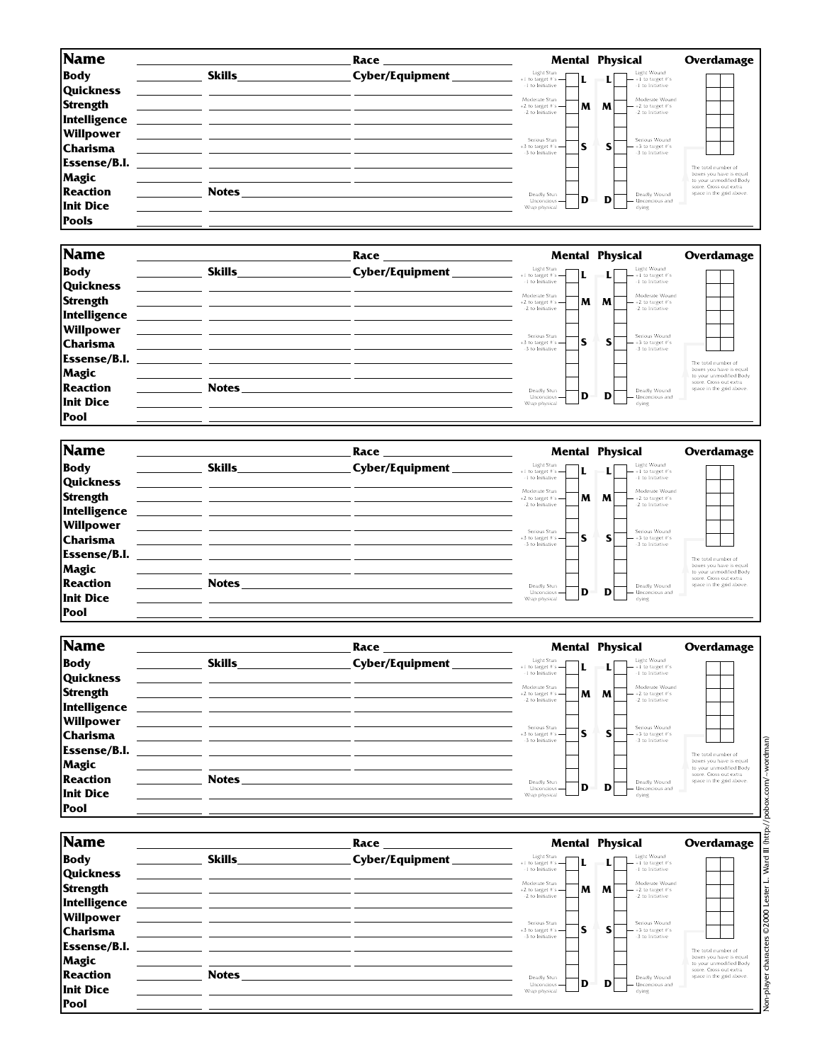| Name                                                                                |               | Race            |                                                                  | <b>Mental Physical</b>                                           | Overdamage                                                                                                                      |
|-------------------------------------------------------------------------------------|---------------|-----------------|------------------------------------------------------------------|------------------------------------------------------------------|---------------------------------------------------------------------------------------------------------------------------------|
| <b>Body</b>                                                                         | <b>Skills</b> | Cyber/Equipment | Light Stun<br>IL.<br>$+1$ to target #'s $-$<br>-1 to Initiative  | Light Wound<br>$- + 1$ to target $\#$ 's<br>-1 to Initiative     |                                                                                                                                 |
| <b>Quickness</b><br><b>Strength</b><br>Intelligence                                 |               |                 | Moderate Stun<br>M<br>$+2$ to target #'s $-$<br>-2 to Initiative | Moderate Wound<br>M<br>$-$ +2 to target $#s$<br>-2 to Initiative |                                                                                                                                 |
| Willpower<br>Charisma                                                               |               |                 | Serious Stun<br>S<br>$+3$ to target #'s $-$<br>-3 to Initiative  | Serious Wound<br>$- +3$ to target $\#$ 's<br>-3 to Initiative    |                                                                                                                                 |
| <b>Essense/B.I.</b><br><b>Magic</b><br><b>Reaction</b><br>Init Dice<br><b>Pools</b> | <b>Notes</b>  |                 | Deadly Stun<br>D<br>Unconcious-<br>Wrap physical                 | Deadly Wound<br>D<br>- Unconcious and<br>dying                   | The total number of<br>boxes you have is equal<br>to your unmodified Body<br>score. Cross out extra<br>space in the grid above. |

| Name                |                                                                                                                      | Race            |                                                 | <b>Mental Physical</b>                        | Overdamage                                          |
|---------------------|----------------------------------------------------------------------------------------------------------------------|-----------------|-------------------------------------------------|-----------------------------------------------|-----------------------------------------------------|
| <b>Body</b>         | <b>Skills</b>                                                                                                        | Cyber/Equipment | Light Stun<br>$+1$ to target #'s $-$            | Light Wound<br>$- +1$ to target #'s           |                                                     |
| <b>Quickness</b>    |                                                                                                                      |                 | -1 to Initiative                                | -1 to Initiative                              |                                                     |
| Strength            |                                                                                                                      |                 | Moderate Stun<br>м<br>$+2$ to target #'s $-$    | Moderate Wound<br>M<br>$-$ +2 to target $\#s$ |                                                     |
| Intelligence        | <u> 1980 - John Stone, amerikan besteht in der stadt i den stadt i den stadt i den stadt i den stadt i den stadt</u> |                 | -2 to Initiative                                | -2 to Initiative                              |                                                     |
| <b>Willpower</b>    |                                                                                                                      |                 | Serious Stun                                    | Serious Wound                                 |                                                     |
| <b>Charisma</b>     |                                                                                                                      |                 | S<br>$+3$ to target #'s $-$<br>-3 to Initiative | $-$ +3 to target #'s<br>-3 to Initiative      |                                                     |
| <b>Essense/B.I.</b> | the control of the control of the control of the control of the control of the control of                            |                 |                                                 |                                               | The total number of                                 |
| <b>Magic</b>        |                                                                                                                      |                 |                                                 |                                               | boxes you have is equal<br>to your unmodified Body  |
| <b>Reaction</b>     | <b>Notes</b>                                                                                                         |                 | Deadly Stun                                     | Deadly Wound                                  | score. Cross out extra.<br>space in the grid above. |
| Init Dice           |                                                                                                                      |                 | D<br>Unconcious -<br>Wrap physical              | D<br>Unconcious and<br>dying                  |                                                     |
| <b>Pool</b>         |                                                                                                                      |                 |                                                 |                                               |                                                     |

|               | Race            |                                                     | <b>Mental Physical</b>                                                                    | Overdamage                                                                                                                      |
|---------------|-----------------|-----------------------------------------------------|-------------------------------------------------------------------------------------------|---------------------------------------------------------------------------------------------------------------------------------|
| <b>Skills</b> | Cyber/Equipment | Light Stun<br>-1 to Initiative                      | Light Wound<br>$- + 1$ to target #'s<br>-1 to Initiative                                  |                                                                                                                                 |
|               |                 | M<br>-2 to Initiative                               | Moderate Wound<br>M<br>$-$ +2 to target $#s$<br>-2 to Initiative                          |                                                                                                                                 |
|               |                 | Serious Stun<br>۱S<br>-3 to Initiative              | Serious Wound<br>S<br>$-$ +3 to target $\#$ 's<br>-3 to Initiative                        |                                                                                                                                 |
|               |                 | Deadly Stun<br>ID.<br>Unconcious -<br>Wrap physical | Deadly Wound<br>D<br>Unconcious and<br>dying                                              | The total number of<br>boxes you have is equal<br>to your unmodified Body<br>score. Cross out extra<br>space in the grid above. |
|               | <b>Notes</b>    |                                                     | $+1$ to target #'s $-$<br>Moderate Stun<br>+2 to target #'s $-$<br>$+3$ to target #'s $-$ |                                                                                                                                 |

| <b>Name</b>                                         |               | Race             |                                                                  | <b>Mental Physical</b>                                             | Overdamage                                                                |
|-----------------------------------------------------|---------------|------------------|------------------------------------------------------------------|--------------------------------------------------------------------|---------------------------------------------------------------------------|
| <b>Body</b>                                         | <b>Skills</b> | Cyber/Equipment_ | Light Stun<br>$+1$ to target #'s $-$<br>-1 to Initiative         | Light Wound<br>$- + 1$ to target $\#$ 's<br>-1 to Initiative       |                                                                           |
| <b>Quickness</b><br><b>Strength</b>                 |               |                  | Moderate Stun<br>M<br>$+2$ to target #'s $-$<br>-2 to Initiative | Moderate Wound<br>M<br>$-$ +2 to target $\#s$<br>-2 to Initiative  |                                                                           |
| Intelligence<br><b>Willpower</b><br><b>Charisma</b> |               |                  | Serious Stun<br>S<br>$+3$ to target #'s $-$<br>-3 to Initiative  | Serious Wound<br>s<br>$-$ +3 to target $\#$ 's<br>-3 to Initiative |                                                                           |
| Essense/B.I.<br>Magic                               |               |                  |                                                                  |                                                                    | The total number of<br>boxes you have is equal<br>to your unmodified Body |
| <b>Reaction</b><br>Init Dice                        | <b>Notes</b>  |                  | Deadly Stun<br>D<br>Unconcious -<br>Wrap physical                | Deadly Wound<br>D<br><b>Unconcious</b> and<br>dying                | score. Cross out extra<br>space in the grid above.                        |
| <b>Pool</b>                                         |               |                  |                                                                  |                                                                    |                                                                           |

| Name                |               | Race            |                                                                  | <b>Mental Physical</b>                                          | Overdamage                                                                   |
|---------------------|---------------|-----------------|------------------------------------------------------------------|-----------------------------------------------------------------|------------------------------------------------------------------------------|
| <b>Body</b>         | <b>Skills</b> | Cyber/Equipment | Light Stun<br>L<br>$+1$ to target #'s $-$                        | Light Wound<br>$- + 1$ to target #'s                            |                                                                              |
| <b>Quickness</b>    |               |                 | -1 to Initiative                                                 | -1 to Initiative                                                |                                                                              |
| <b>Strength</b>     |               |                 | Moderate Stun<br>M<br>$+2$ to target #'s $-$<br>-2 to Initiative | Moderate Wound<br>M<br>$-$ +2 to target #'s<br>-2 to Initiative |                                                                              |
| Intelligence        |               |                 |                                                                  |                                                                 |                                                                              |
| <b>Willpower</b>    |               |                 | Serious Stun                                                     | Serious Wound                                                   |                                                                              |
| <b>Charisma</b>     |               |                 | S<br>$+3$ to target #'s $-$<br>-3 to Initiative                  | $-$ +3 to target #'s<br>-3 to Initiative                        |                                                                              |
| <b>Essense/B.I.</b> |               |                 |                                                                  |                                                                 | The total number of                                                          |
| <b>Magic</b>        |               |                 |                                                                  |                                                                 | boxes you have is equal<br>to your unmodified Body<br>score. Cross out extra |
| <b>Reaction</b>     | <b>Notes</b>  |                 | Deadly Stun<br>D<br>Unconcious -                                 | Deadly Wound<br>D<br>- Unconcious and                           | space in the grid above.                                                     |
| Init Dice           |               |                 | Wrap physical                                                    | dying                                                           |                                                                              |
| <b>Pool</b>         |               |                 |                                                                  |                                                                 |                                                                              |

Non-player characters ©2000 Lester L. Ward III (http://pobox.com/~wordman) Non-player characters ©2000 Lester L. Ward III (http://pobox.com/~wordman)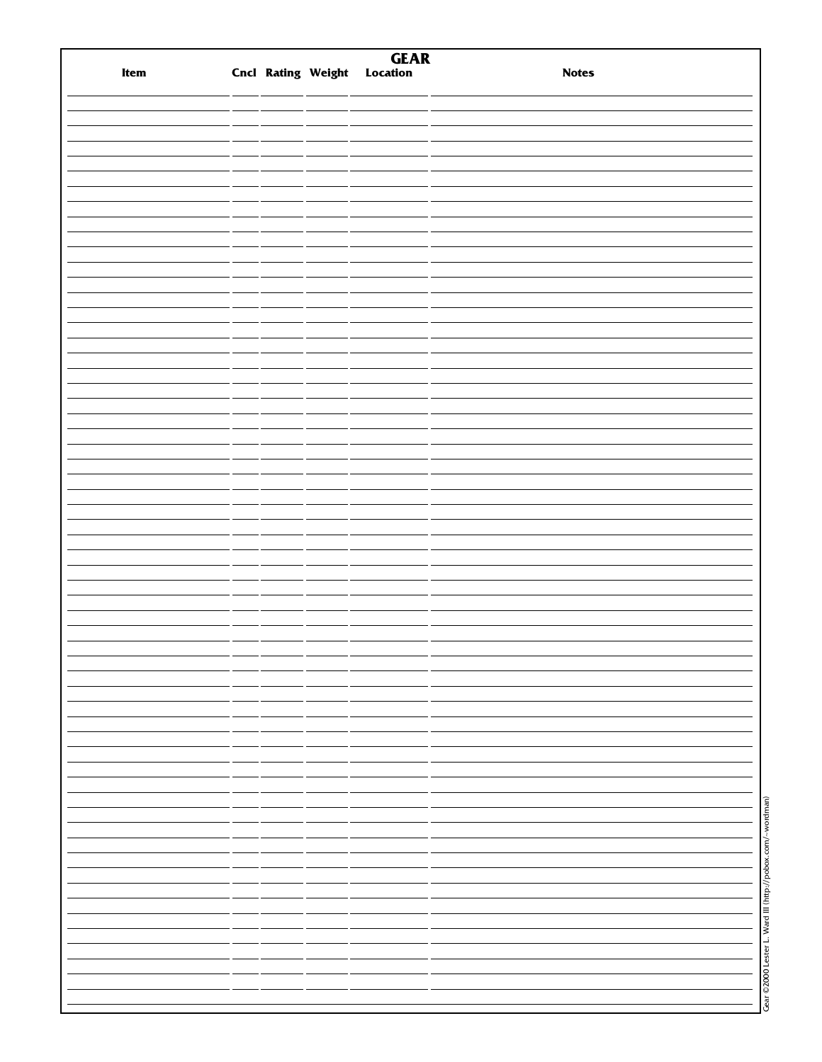| Item |  | <b>GEAR</b><br>Cncl Rating Weight Location | <b>Notes</b>                                               |
|------|--|--------------------------------------------|------------------------------------------------------------|
|      |  |                                            |                                                            |
|      |  |                                            |                                                            |
|      |  |                                            |                                                            |
|      |  |                                            |                                                            |
|      |  |                                            |                                                            |
|      |  |                                            |                                                            |
|      |  |                                            |                                                            |
|      |  |                                            |                                                            |
|      |  |                                            |                                                            |
|      |  |                                            |                                                            |
|      |  |                                            |                                                            |
|      |  |                                            |                                                            |
|      |  |                                            |                                                            |
|      |  |                                            |                                                            |
|      |  |                                            |                                                            |
|      |  |                                            |                                                            |
|      |  |                                            |                                                            |
|      |  |                                            |                                                            |
|      |  |                                            |                                                            |
|      |  |                                            |                                                            |
|      |  |                                            |                                                            |
|      |  |                                            |                                                            |
|      |  |                                            |                                                            |
|      |  |                                            |                                                            |
|      |  |                                            |                                                            |
|      |  |                                            |                                                            |
|      |  |                                            |                                                            |
|      |  |                                            |                                                            |
|      |  |                                            |                                                            |
|      |  |                                            |                                                            |
|      |  |                                            |                                                            |
|      |  |                                            |                                                            |
|      |  |                                            |                                                            |
|      |  |                                            |                                                            |
|      |  |                                            |                                                            |
|      |  |                                            |                                                            |
|      |  |                                            |                                                            |
|      |  |                                            |                                                            |
|      |  |                                            |                                                            |
|      |  |                                            |                                                            |
|      |  |                                            |                                                            |
|      |  |                                            |                                                            |
|      |  |                                            |                                                            |
|      |  |                                            |                                                            |
|      |  |                                            |                                                            |
|      |  |                                            |                                                            |
|      |  |                                            |                                                            |
|      |  |                                            |                                                            |
|      |  |                                            |                                                            |
|      |  |                                            |                                                            |
|      |  |                                            |                                                            |
|      |  |                                            |                                                            |
|      |  |                                            |                                                            |
|      |  |                                            |                                                            |
|      |  |                                            | Gear © 2000 Lester L. Ward III (http://pobox.com/~wordman) |
|      |  |                                            |                                                            |
|      |  |                                            |                                                            |
|      |  |                                            |                                                            |
|      |  |                                            |                                                            |
|      |  |                                            |                                                            |
|      |  |                                            |                                                            |
|      |  |                                            |                                                            |
|      |  |                                            |                                                            |
|      |  |                                            |                                                            |
|      |  |                                            |                                                            |
|      |  |                                            |                                                            |
|      |  |                                            |                                                            |
|      |  |                                            |                                                            |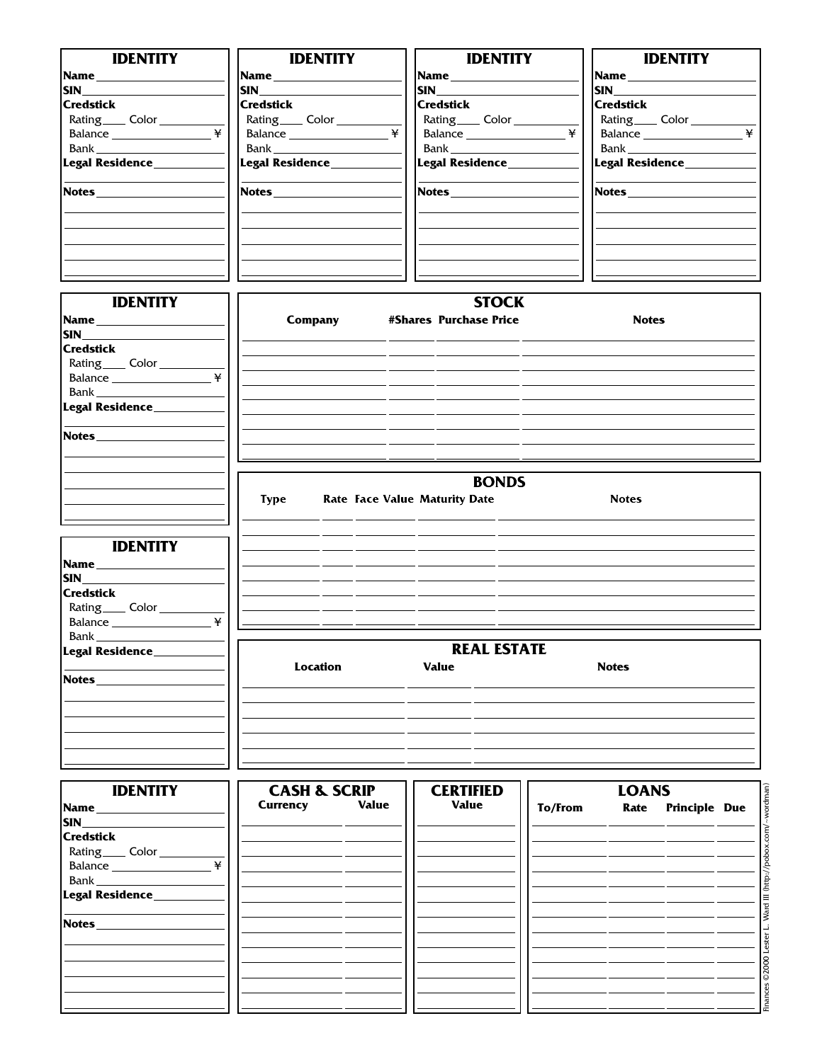| <b>IDENTITY</b>                          | <b>IDENTITY</b>              | <b>IDENTITY</b>                      | <b>IDENTITY</b>                           |
|------------------------------------------|------------------------------|--------------------------------------|-------------------------------------------|
|                                          |                              |                                      |                                           |
|                                          |                              |                                      | <b>Name_____________</b>                  |
| <b>SIN_________________________</b>      | <b>SIN</b>                   | <b>SIN</b>                           | $\begin{array}{c} \text{SIN} \end{array}$ |
| <b>Credstick</b>                         | <b>Credstick</b>             | <b>Credstick</b>                     | <b>Credstick</b>                          |
| Rating_____ Color ________               | Rating_____ Color __________ | Rating_____ Color ________           | Rating_____ Color __________              |
| Balance                                  | ¥<br>Balance                 | ¥                                    | ¥                                         |
|                                          |                              |                                      |                                           |
| Legal Residence_________                 | Legal Residence________      | Legal Residence________              | Legal Residence_________                  |
| <b>Notes</b>                             |                              |                                      |                                           |
|                                          |                              |                                      |                                           |
|                                          |                              |                                      |                                           |
| <b>IDENTITY</b>                          |                              | <b>STOCK</b>                         |                                           |
|                                          | Company                      | #Shares Purchase Price               | <b>Notes</b>                              |
|                                          |                              |                                      |                                           |
| <b>Credstick</b>                         |                              |                                      |                                           |
|                                          |                              |                                      |                                           |
| Rating <sub>____</sub> Color ______      |                              |                                      |                                           |
|                                          |                              |                                      |                                           |
|                                          |                              |                                      |                                           |
| Legal Residence_______                   |                              |                                      |                                           |
| <b>Notes Notes</b>                       |                              |                                      |                                           |
|                                          |                              |                                      |                                           |
|                                          |                              |                                      |                                           |
|                                          |                              | <b>BONDS</b>                         |                                           |
|                                          |                              |                                      |                                           |
|                                          | <b>Type</b>                  | <b>Rate Face Value Maturity Date</b> | <b>Notes</b>                              |
|                                          |                              |                                      |                                           |
| <b>IDENTITY</b>                          |                              |                                      |                                           |
| Name                                     |                              |                                      |                                           |
| <b>SIN SIN</b>                           |                              |                                      |                                           |
|                                          |                              |                                      |                                           |
| <b>Credstick</b>                         |                              |                                      |                                           |
| Rating <sub>____</sub> Color ___________ |                              |                                      |                                           |
| Balance                                  | ¥                            |                                      |                                           |
| Bank _                                   |                              |                                      |                                           |
| Legal Residence____                      |                              | <b>REAL ESTATE</b>                   |                                           |
|                                          | <b>Location</b>              | <b>Value</b>                         | <b>Notes</b>                              |
| Notes_____________                       |                              |                                      |                                           |
|                                          |                              |                                      |                                           |
|                                          |                              |                                      |                                           |
|                                          |                              |                                      |                                           |
|                                          |                              |                                      |                                           |
|                                          |                              |                                      |                                           |
|                                          |                              |                                      |                                           |
| <b>IDENTITY</b>                          | <b>CASH &amp; SCRIP</b>      | <b>CERTIFIED</b>                     | <b>LOANS</b>                              |
|                                          | <b>Currency</b><br>Value     | <b>Value</b>                         | To/From<br>Rate Principle Due             |
| <b>SIN</b>                               |                              |                                      |                                           |
| <b>Credstick</b>                         |                              |                                      |                                           |
|                                          |                              |                                      |                                           |
| Rating_____ Color _________              | ¥                            |                                      |                                           |
| Balance                                  |                              |                                      |                                           |
| Bank _                                   |                              |                                      |                                           |
| Legal Residence_                         |                              |                                      |                                           |
|                                          |                              |                                      |                                           |
| Notes_                                   |                              |                                      |                                           |

Finances © 2000 Lester L. Ward III (http://pobox.com/~wordman) Finances ©2000 Lester L. Ward III (http://pobox.com/~wordman)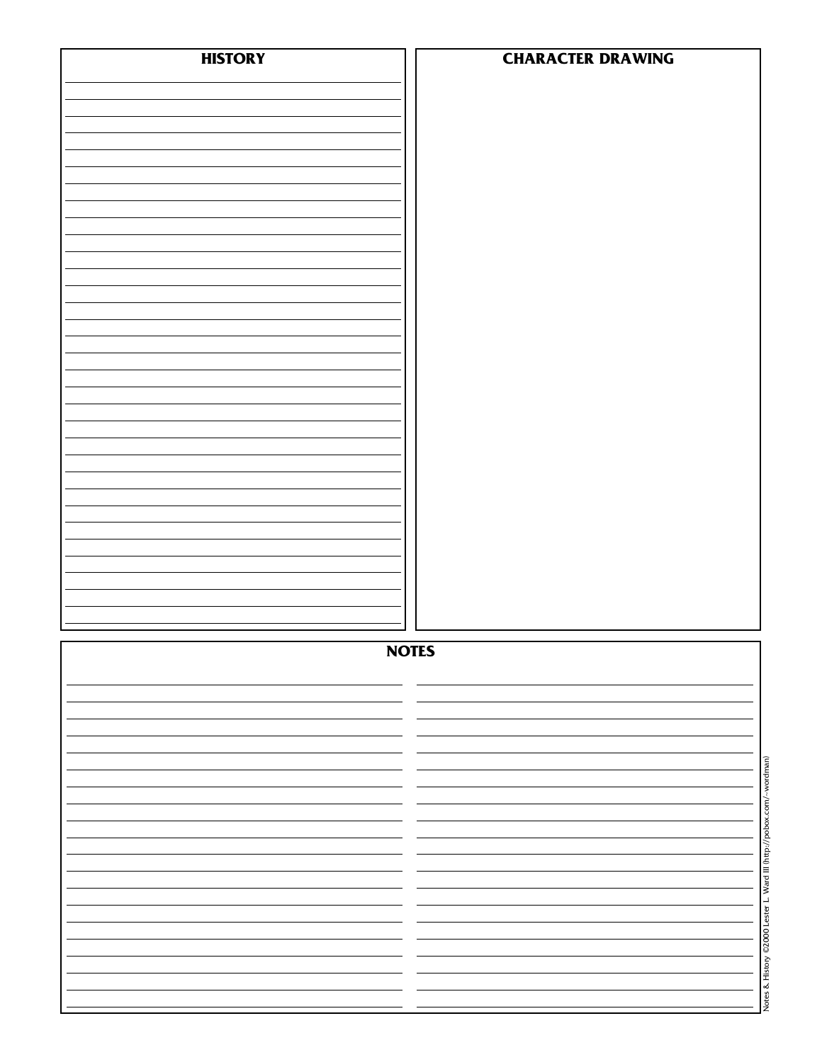| <b>HISTORY</b> | <b>CHARACTER DRAWING</b> |
|----------------|--------------------------|
|                |                          |
|                |                          |
|                |                          |
|                |                          |
|                |                          |
|                |                          |
|                |                          |
|                |                          |
|                |                          |
|                |                          |
|                |                          |
|                |                          |
|                |                          |
|                |                          |
|                |                          |
|                |                          |
|                |                          |
|                |                          |
|                |                          |
|                |                          |
|                |                          |
|                |                          |
|                |                          |
|                |                          |
|                |                          |
|                |                          |
|                |                          |
|                | <b>NOTES</b>             |
|                |                          |
|                |                          |
|                |                          |
|                |                          |
|                |                          |
|                |                          |
|                |                          |
|                |                          |
|                |                          |
|                |                          |
|                |                          |
|                |                          |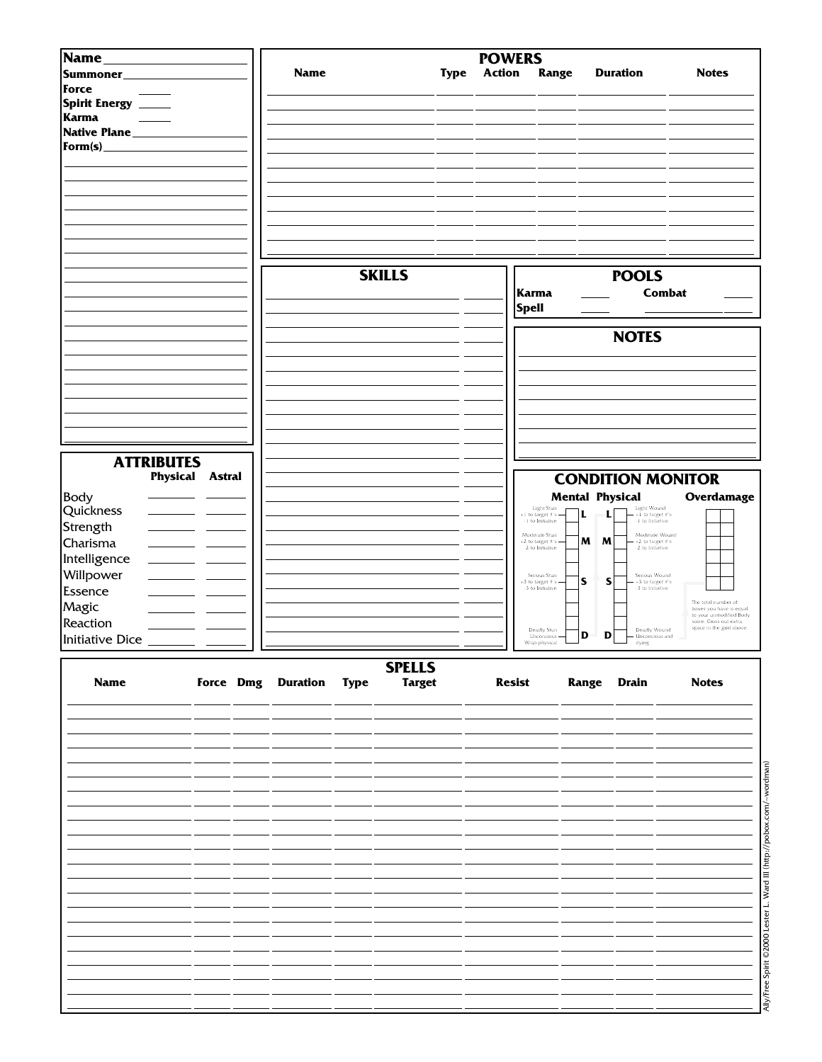| Name              |                           |                         |               | <b>POWERS</b> |                                                   |                                                                |                                                                           |
|-------------------|---------------------------|-------------------------|---------------|---------------|---------------------------------------------------|----------------------------------------------------------------|---------------------------------------------------------------------------|
| Summoner          |                           | <b>Name</b>             | <b>Type</b>   | <b>Action</b> | Range                                             | <b>Duration</b>                                                | <b>Notes</b>                                                              |
|                   |                           |                         |               |               |                                                   |                                                                |                                                                           |
| Force             |                           |                         |               |               |                                                   |                                                                |                                                                           |
| Spirit Energy _   |                           |                         |               |               |                                                   |                                                                |                                                                           |
| <b>Karma</b>      |                           |                         |               |               |                                                   |                                                                |                                                                           |
| Native Plane_     |                           |                         |               |               |                                                   |                                                                |                                                                           |
| Form(s)           |                           |                         |               |               |                                                   |                                                                |                                                                           |
|                   |                           |                         |               |               |                                                   |                                                                |                                                                           |
|                   |                           |                         |               |               |                                                   |                                                                |                                                                           |
|                   |                           |                         |               |               |                                                   |                                                                |                                                                           |
|                   |                           |                         |               |               |                                                   |                                                                |                                                                           |
|                   |                           |                         |               |               |                                                   |                                                                |                                                                           |
|                   |                           |                         |               |               |                                                   |                                                                |                                                                           |
|                   |                           |                         |               |               |                                                   |                                                                |                                                                           |
|                   |                           |                         |               |               |                                                   |                                                                |                                                                           |
|                   |                           |                         | <b>SKILLS</b> |               |                                                   | <b>POOLS</b>                                                   |                                                                           |
|                   |                           |                         |               | Karma         |                                                   | <b>Combat</b>                                                  |                                                                           |
|                   |                           |                         |               | <b>Spell</b>  |                                                   |                                                                |                                                                           |
|                   |                           |                         |               |               |                                                   |                                                                |                                                                           |
|                   |                           |                         |               |               |                                                   | <b>NOTES</b>                                                   |                                                                           |
|                   |                           |                         |               |               |                                                   |                                                                |                                                                           |
|                   |                           |                         |               |               |                                                   |                                                                |                                                                           |
|                   |                           |                         |               |               |                                                   |                                                                |                                                                           |
|                   |                           |                         |               |               |                                                   |                                                                |                                                                           |
|                   |                           |                         |               |               |                                                   |                                                                |                                                                           |
|                   |                           |                         |               |               |                                                   |                                                                |                                                                           |
|                   |                           |                         |               |               |                                                   |                                                                |                                                                           |
|                   |                           |                         |               |               |                                                   |                                                                |                                                                           |
| <b>ATTRIBUTES</b> |                           |                         |               |               |                                                   |                                                                |                                                                           |
|                   | Physical<br><b>Astral</b> |                         |               |               |                                                   | <b>CONDITION MONITOR</b>                                       |                                                                           |
| <b>Body</b>       |                           |                         |               |               |                                                   | <b>Mental Physical</b>                                         | <b>Overdamage</b>                                                         |
| Quickness         |                           |                         |               |               | Light Stun<br>+1 to target #'s<br>L               | Light Wound<br>+1 to target #'s                                |                                                                           |
| Strength          |                           |                         |               |               | -1 to Initiative                                  | -1 to Initiative                                               |                                                                           |
| Charisma          |                           |                         |               |               | Moderate Stun<br>M<br>$+2$ to target $\#s$        | Moderate Wound<br>M<br>+2 to target #'s                        |                                                                           |
|                   |                           |                         |               |               | -2 to Initiative                                  | -2 to Initiative                                               |                                                                           |
| Intelligence      |                           |                         |               |               |                                                   |                                                                |                                                                           |
| Willpower         |                           |                         |               |               | Serious Stun<br>${\sf s}$<br>$+3$ to target $\#s$ | Serious Wound<br>S<br>$+3$ to target #'s<br>$-3$ to Initiative |                                                                           |
| Essence           |                           |                         |               |               | -3 to Initiative                                  |                                                                |                                                                           |
| Magic             |                           |                         |               |               |                                                   |                                                                | The total number of<br>boxes you have is equal<br>to your unmodified Body |
| Reaction          |                           |                         |               |               | Deadly Stun                                       | Deadly Wound                                                   | score. Cross out extra<br>space in the grid above.                        |
| Initiative Dice   |                           |                         |               |               | D<br>Unconcious-<br>Vrap physical                 | D<br>- Unconcious and<br>dying                                 |                                                                           |
|                   |                           |                         |               |               |                                                   |                                                                |                                                                           |
|                   |                           |                         | <b>SPELLS</b> |               |                                                   |                                                                |                                                                           |
| <b>Name</b>       |                           | Force Dmg Duration Type | <b>Target</b> | <b>Resist</b> |                                                   | Range Drain                                                    | <b>Notes</b>                                                              |
|                   |                           |                         |               |               |                                                   |                                                                |                                                                           |
|                   |                           |                         |               |               |                                                   |                                                                |                                                                           |
|                   |                           |                         |               |               |                                                   |                                                                |                                                                           |
|                   |                           |                         |               |               |                                                   |                                                                |                                                                           |
|                   |                           |                         |               |               |                                                   |                                                                |                                                                           |
|                   |                           |                         |               |               |                                                   |                                                                |                                                                           |
|                   |                           |                         |               |               |                                                   |                                                                |                                                                           |
|                   |                           |                         |               |               |                                                   |                                                                |                                                                           |
|                   |                           |                         |               |               |                                                   |                                                                |                                                                           |
|                   |                           |                         |               |               |                                                   |                                                                |                                                                           |
|                   |                           |                         |               |               |                                                   |                                                                |                                                                           |
|                   |                           |                         |               |               |                                                   |                                                                |                                                                           |
|                   |                           |                         |               |               |                                                   |                                                                |                                                                           |
|                   |                           |                         |               |               |                                                   |                                                                |                                                                           |
|                   |                           |                         |               |               |                                                   |                                                                |                                                                           |
|                   |                           |                         |               |               |                                                   |                                                                |                                                                           |
|                   |                           |                         |               |               |                                                   |                                                                |                                                                           |
|                   |                           |                         |               |               |                                                   |                                                                |                                                                           |
|                   |                           |                         |               |               |                                                   |                                                                |                                                                           |
|                   |                           |                         |               |               |                                                   |                                                                |                                                                           |
|                   |                           |                         |               |               |                                                   |                                                                |                                                                           |
|                   |                           |                         |               |               |                                                   |                                                                |                                                                           |
|                   |                           |                         |               |               |                                                   |                                                                |                                                                           |

Ally/Free Spirit ©2000 Lester L. Ward III (http://pobox.com/~wordman) Ally/Free Spirit ©2000 Lester L. Ward III (http://pobox.com/~wordman)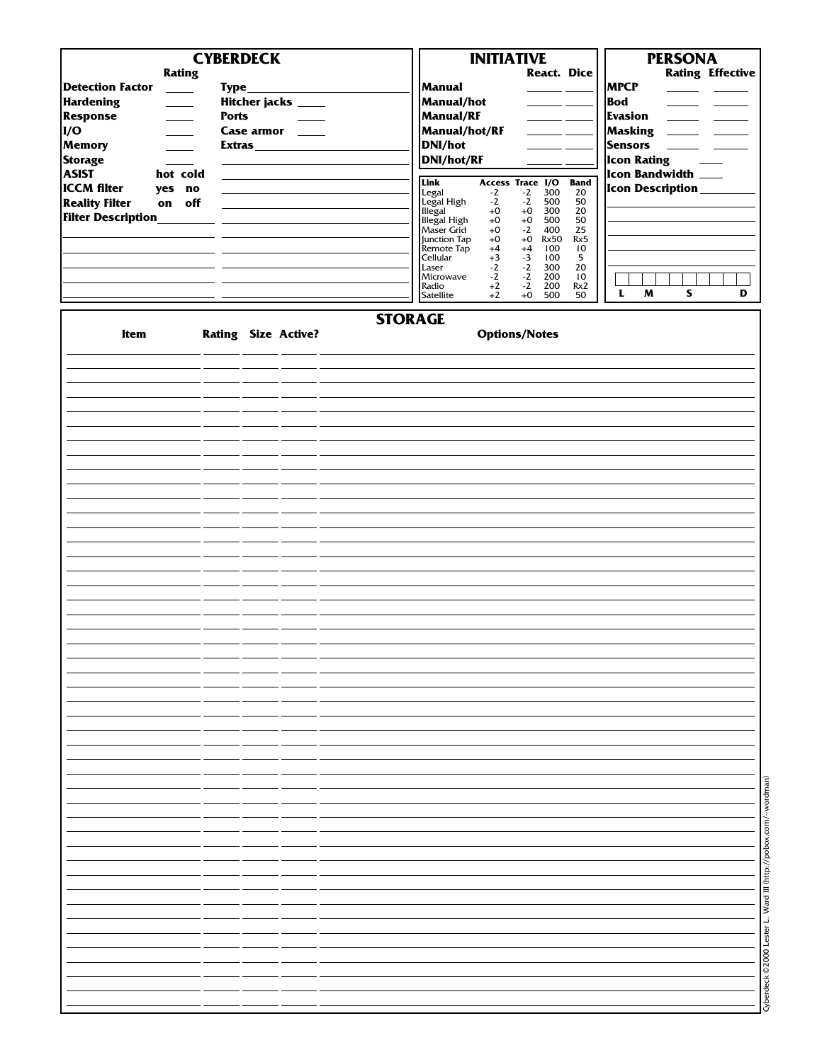| <b>Rating</b><br><b>Detection Factor</b><br>$\frac{1}{2}$<br><b>Hardening</b><br>$\overline{\phantom{a}}$<br><b>Response</b><br>$\overline{\phantom{a}}$<br>I/O<br>Memory<br><b>Storage</b><br><b>ASIST</b><br>hot cold<br><b>ICCM</b> filter<br>yes no<br><b>Reality Filter</b><br>on off<br><b>Filter Description___</b> | <b>CYBERDECK</b><br>$Type_$<br>Hitcher jacks ____<br><b>Ports</b><br>Case armor _____ | Manual<br>Manual/hot<br><b>Manual/RF</b><br>Manual/hot/RF<br>DNI/hot<br>DNI/hot/RF<br>Link<br>Legal<br>Legal High<br>Illegal<br>Illegal High<br>Maser Grid<br>Junction Tap<br>Remote Tap<br>Cellular<br>Laser<br>Microwave<br>Radio<br>Satellite | <b>INITIATIVE</b><br><b>React. Dice</b><br>$\frac{1}{2} \left( \frac{1}{2} \right) \frac{1}{2} \left( \frac{1}{2} \right) \frac{1}{2} \left( \frac{1}{2} \right) \frac{1}{2} \left( \frac{1}{2} \right) \frac{1}{2} \left( \frac{1}{2} \right) \frac{1}{2} \left( \frac{1}{2} \right) \frac{1}{2} \left( \frac{1}{2} \right) \frac{1}{2} \left( \frac{1}{2} \right) \frac{1}{2} \left( \frac{1}{2} \right) \frac{1}{2} \left( \frac{1}{2} \right) \frac{1}{2} \left( \frac{1}{2} \right)$<br>$=$ $-$<br>Access Trace I/O<br>300<br>$-2$<br>$-2$<br>$-2$<br>$-2$<br>500<br>$+0$<br>$+0$<br>300<br>$+0$<br>500<br>$+0$<br>$+0$<br>$-2$<br>400<br>$+0$<br>$+0$<br><b>Rx50</b><br>$+4$<br>$+4$<br>100<br>$+3$<br>$-3$<br>100<br>$-2$<br>$-2$<br>300<br>$-2$<br>$-2$<br>200<br>$+2$<br>$-2$<br>200<br>$+2$<br>$+0$<br>500 | <b>Band</b><br>20<br>50<br>20<br>50<br>25<br>Rx5<br>10<br>5<br>20<br>10<br>Rx2<br>50 | <b>PERSONA</b><br><b>Rating Effective</b><br><b>MPCP</b><br>Bod<br>$\sim$<br><b>Evasion</b><br><u>and the state</u><br>Masking<br><u> a se</u><br><b>Service</b><br>Sensors<br>$\frac{1}{2}$ and $\frac{1}{2}$<br>Icon Rating<br>Icon Bandwidth ___<br>Icon Description______<br>$\mathbf{L}$<br>M<br>S<br>D |
|----------------------------------------------------------------------------------------------------------------------------------------------------------------------------------------------------------------------------------------------------------------------------------------------------------------------------|---------------------------------------------------------------------------------------|--------------------------------------------------------------------------------------------------------------------------------------------------------------------------------------------------------------------------------------------------|----------------------------------------------------------------------------------------------------------------------------------------------------------------------------------------------------------------------------------------------------------------------------------------------------------------------------------------------------------------------------------------------------------------------------------------------------------------------------------------------------------------------------------------------------------------------------------------------------------------------------------------------------------------------------------------------------------------------------------------------------------------------------------------------------------------------|--------------------------------------------------------------------------------------|--------------------------------------------------------------------------------------------------------------------------------------------------------------------------------------------------------------------------------------------------------------------------------------------------------------|
| Item                                                                                                                                                                                                                                                                                                                       | <b>Rating Size Active?</b>                                                            | <b>STORAGE</b>                                                                                                                                                                                                                                   | <b>Options/Notes</b>                                                                                                                                                                                                                                                                                                                                                                                                                                                                                                                                                                                                                                                                                                                                                                                                 |                                                                                      |                                                                                                                                                                                                                                                                                                              |
|                                                                                                                                                                                                                                                                                                                            |                                                                                       |                                                                                                                                                                                                                                                  |                                                                                                                                                                                                                                                                                                                                                                                                                                                                                                                                                                                                                                                                                                                                                                                                                      |                                                                                      |                                                                                                                                                                                                                                                                                                              |
|                                                                                                                                                                                                                                                                                                                            |                                                                                       |                                                                                                                                                                                                                                                  |                                                                                                                                                                                                                                                                                                                                                                                                                                                                                                                                                                                                                                                                                                                                                                                                                      |                                                                                      |                                                                                                                                                                                                                                                                                                              |
|                                                                                                                                                                                                                                                                                                                            |                                                                                       |                                                                                                                                                                                                                                                  |                                                                                                                                                                                                                                                                                                                                                                                                                                                                                                                                                                                                                                                                                                                                                                                                                      |                                                                                      |                                                                                                                                                                                                                                                                                                              |
|                                                                                                                                                                                                                                                                                                                            |                                                                                       |                                                                                                                                                                                                                                                  |                                                                                                                                                                                                                                                                                                                                                                                                                                                                                                                                                                                                                                                                                                                                                                                                                      |                                                                                      |                                                                                                                                                                                                                                                                                                              |
|                                                                                                                                                                                                                                                                                                                            |                                                                                       |                                                                                                                                                                                                                                                  |                                                                                                                                                                                                                                                                                                                                                                                                                                                                                                                                                                                                                                                                                                                                                                                                                      |                                                                                      |                                                                                                                                                                                                                                                                                                              |
|                                                                                                                                                                                                                                                                                                                            |                                                                                       |                                                                                                                                                                                                                                                  |                                                                                                                                                                                                                                                                                                                                                                                                                                                                                                                                                                                                                                                                                                                                                                                                                      |                                                                                      |                                                                                                                                                                                                                                                                                                              |
|                                                                                                                                                                                                                                                                                                                            |                                                                                       |                                                                                                                                                                                                                                                  |                                                                                                                                                                                                                                                                                                                                                                                                                                                                                                                                                                                                                                                                                                                                                                                                                      |                                                                                      |                                                                                                                                                                                                                                                                                                              |
|                                                                                                                                                                                                                                                                                                                            |                                                                                       |                                                                                                                                                                                                                                                  |                                                                                                                                                                                                                                                                                                                                                                                                                                                                                                                                                                                                                                                                                                                                                                                                                      |                                                                                      |                                                                                                                                                                                                                                                                                                              |
|                                                                                                                                                                                                                                                                                                                            |                                                                                       |                                                                                                                                                                                                                                                  |                                                                                                                                                                                                                                                                                                                                                                                                                                                                                                                                                                                                                                                                                                                                                                                                                      |                                                                                      |                                                                                                                                                                                                                                                                                                              |
|                                                                                                                                                                                                                                                                                                                            |                                                                                       |                                                                                                                                                                                                                                                  |                                                                                                                                                                                                                                                                                                                                                                                                                                                                                                                                                                                                                                                                                                                                                                                                                      |                                                                                      |                                                                                                                                                                                                                                                                                                              |
|                                                                                                                                                                                                                                                                                                                            |                                                                                       |                                                                                                                                                                                                                                                  |                                                                                                                                                                                                                                                                                                                                                                                                                                                                                                                                                                                                                                                                                                                                                                                                                      |                                                                                      |                                                                                                                                                                                                                                                                                                              |
|                                                                                                                                                                                                                                                                                                                            |                                                                                       |                                                                                                                                                                                                                                                  |                                                                                                                                                                                                                                                                                                                                                                                                                                                                                                                                                                                                                                                                                                                                                                                                                      |                                                                                      |                                                                                                                                                                                                                                                                                                              |
|                                                                                                                                                                                                                                                                                                                            |                                                                                       |                                                                                                                                                                                                                                                  |                                                                                                                                                                                                                                                                                                                                                                                                                                                                                                                                                                                                                                                                                                                                                                                                                      |                                                                                      |                                                                                                                                                                                                                                                                                                              |
|                                                                                                                                                                                                                                                                                                                            |                                                                                       |                                                                                                                                                                                                                                                  |                                                                                                                                                                                                                                                                                                                                                                                                                                                                                                                                                                                                                                                                                                                                                                                                                      |                                                                                      |                                                                                                                                                                                                                                                                                                              |
|                                                                                                                                                                                                                                                                                                                            |                                                                                       |                                                                                                                                                                                                                                                  |                                                                                                                                                                                                                                                                                                                                                                                                                                                                                                                                                                                                                                                                                                                                                                                                                      |                                                                                      |                                                                                                                                                                                                                                                                                                              |
|                                                                                                                                                                                                                                                                                                                            |                                                                                       |                                                                                                                                                                                                                                                  |                                                                                                                                                                                                                                                                                                                                                                                                                                                                                                                                                                                                                                                                                                                                                                                                                      |                                                                                      |                                                                                                                                                                                                                                                                                                              |
|                                                                                                                                                                                                                                                                                                                            |                                                                                       |                                                                                                                                                                                                                                                  |                                                                                                                                                                                                                                                                                                                                                                                                                                                                                                                                                                                                                                                                                                                                                                                                                      |                                                                                      |                                                                                                                                                                                                                                                                                                              |
|                                                                                                                                                                                                                                                                                                                            |                                                                                       |                                                                                                                                                                                                                                                  |                                                                                                                                                                                                                                                                                                                                                                                                                                                                                                                                                                                                                                                                                                                                                                                                                      |                                                                                      |                                                                                                                                                                                                                                                                                                              |
|                                                                                                                                                                                                                                                                                                                            |                                                                                       |                                                                                                                                                                                                                                                  |                                                                                                                                                                                                                                                                                                                                                                                                                                                                                                                                                                                                                                                                                                                                                                                                                      |                                                                                      |                                                                                                                                                                                                                                                                                                              |
|                                                                                                                                                                                                                                                                                                                            |                                                                                       |                                                                                                                                                                                                                                                  |                                                                                                                                                                                                                                                                                                                                                                                                                                                                                                                                                                                                                                                                                                                                                                                                                      |                                                                                      |                                                                                                                                                                                                                                                                                                              |
|                                                                                                                                                                                                                                                                                                                            |                                                                                       |                                                                                                                                                                                                                                                  |                                                                                                                                                                                                                                                                                                                                                                                                                                                                                                                                                                                                                                                                                                                                                                                                                      |                                                                                      |                                                                                                                                                                                                                                                                                                              |
|                                                                                                                                                                                                                                                                                                                            |                                                                                       |                                                                                                                                                                                                                                                  |                                                                                                                                                                                                                                                                                                                                                                                                                                                                                                                                                                                                                                                                                                                                                                                                                      |                                                                                      |                                                                                                                                                                                                                                                                                                              |
|                                                                                                                                                                                                                                                                                                                            |                                                                                       |                                                                                                                                                                                                                                                  |                                                                                                                                                                                                                                                                                                                                                                                                                                                                                                                                                                                                                                                                                                                                                                                                                      |                                                                                      |                                                                                                                                                                                                                                                                                                              |
|                                                                                                                                                                                                                                                                                                                            |                                                                                       |                                                                                                                                                                                                                                                  |                                                                                                                                                                                                                                                                                                                                                                                                                                                                                                                                                                                                                                                                                                                                                                                                                      |                                                                                      |                                                                                                                                                                                                                                                                                                              |
|                                                                                                                                                                                                                                                                                                                            |                                                                                       |                                                                                                                                                                                                                                                  |                                                                                                                                                                                                                                                                                                                                                                                                                                                                                                                                                                                                                                                                                                                                                                                                                      |                                                                                      |                                                                                                                                                                                                                                                                                                              |
|                                                                                                                                                                                                                                                                                                                            |                                                                                       |                                                                                                                                                                                                                                                  |                                                                                                                                                                                                                                                                                                                                                                                                                                                                                                                                                                                                                                                                                                                                                                                                                      |                                                                                      |                                                                                                                                                                                                                                                                                                              |
|                                                                                                                                                                                                                                                                                                                            |                                                                                       |                                                                                                                                                                                                                                                  |                                                                                                                                                                                                                                                                                                                                                                                                                                                                                                                                                                                                                                                                                                                                                                                                                      |                                                                                      |                                                                                                                                                                                                                                                                                                              |
|                                                                                                                                                                                                                                                                                                                            |                                                                                       |                                                                                                                                                                                                                                                  |                                                                                                                                                                                                                                                                                                                                                                                                                                                                                                                                                                                                                                                                                                                                                                                                                      |                                                                                      |                                                                                                                                                                                                                                                                                                              |
|                                                                                                                                                                                                                                                                                                                            |                                                                                       |                                                                                                                                                                                                                                                  |                                                                                                                                                                                                                                                                                                                                                                                                                                                                                                                                                                                                                                                                                                                                                                                                                      |                                                                                      |                                                                                                                                                                                                                                                                                                              |
|                                                                                                                                                                                                                                                                                                                            |                                                                                       |                                                                                                                                                                                                                                                  |                                                                                                                                                                                                                                                                                                                                                                                                                                                                                                                                                                                                                                                                                                                                                                                                                      |                                                                                      |                                                                                                                                                                                                                                                                                                              |
|                                                                                                                                                                                                                                                                                                                            |                                                                                       |                                                                                                                                                                                                                                                  |                                                                                                                                                                                                                                                                                                                                                                                                                                                                                                                                                                                                                                                                                                                                                                                                                      |                                                                                      |                                                                                                                                                                                                                                                                                                              |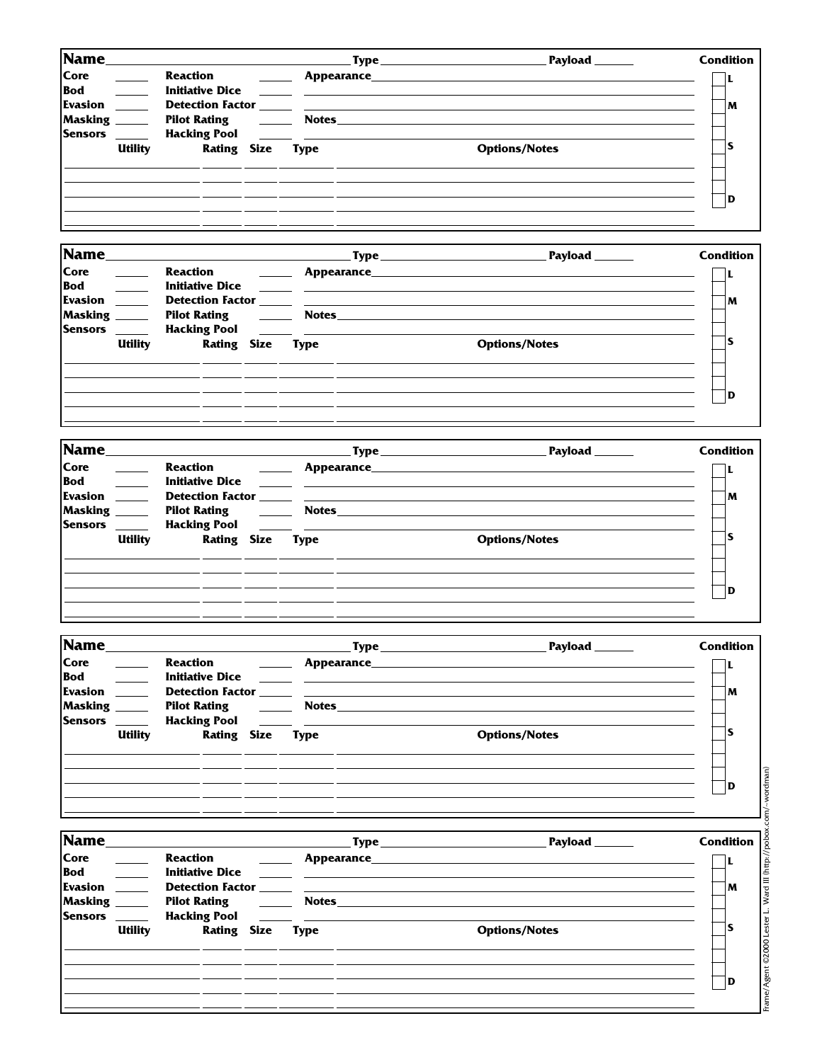| Name                                               |                |                                                         |                    |                                                                | Payload<br><u>Type ____________________</u> | <b>Condition</b> |
|----------------------------------------------------|----------------|---------------------------------------------------------|--------------------|----------------------------------------------------------------|---------------------------------------------|------------------|
| Core<br><b>Bod</b>                                 |                | Reaction<br><b>Initiative Dice</b>                      |                    | Appearance__                                                   |                                             |                  |
| <b>Evasion</b><br><b>Masking</b><br><b>Sensors</b> |                | Pilot Rating <b>Pilot</b> Rating<br><b>Hacking Pool</b> |                    | <b>Notes</b><br><u> 1990 - Jan Barbara Barat, prima popula</u> |                                             | M                |
|                                                    | <b>Utility</b> |                                                         | <b>Rating Size</b> | Type                                                           | <b>Options/Notes</b>                        |                  |
|                                                    |                |                                                         |                    |                                                                |                                             | ID               |
|                                                    |                |                                                         |                    |                                                                |                                             |                  |

| Name                                       |                                 |                            | Payload _______      | <b>Condition</b> |
|--------------------------------------------|---------------------------------|----------------------------|----------------------|------------------|
| Core<br>Bod<br><b>Evasion</b><br>Masking _ | Reaction<br><b>Pilot Rating</b> | <b>Notes Exercise 2020</b> |                      | M                |
| <b>Sensors</b><br><b>Utility</b>           | <b>Rating Size Type</b>         |                            | <b>Options/Notes</b> |                  |
|                                            |                                 |                            |                      | ID               |

| Name                                                                                     | <u> 1989 - Johann Stoff, amerikansk politiker (d. 1989)</u>                             |                             |                                               | Payload ______       | <b>Condition</b> |
|------------------------------------------------------------------------------------------|-----------------------------------------------------------------------------------------|-----------------------------|-----------------------------------------------|----------------------|------------------|
| Core<br>Bod _____<br><b>Evasion</b><br>Masking _____<br><b>Sensors</b><br><b>Utility</b> | Reaction<br><b>Initiative Dice</b><br>Pilot Rating <u>_______</u><br><b>Rating Size</b> | <b>Notes</b><br><b>Type</b> | <u> 1980 - Andrea Andrew Maria (h. 1980).</u> | <b>Options/Notes</b> | M                |
|                                                                                          |                                                                                         |                             |                                               |                      | l D              |

| <b>Name</b>                                                   |                                                           | .Type_                                                                                 | Payload              | <b>Condition</b> |
|---------------------------------------------------------------|-----------------------------------------------------------|----------------------------------------------------------------------------------------|----------------------|------------------|
| <b>Core</b><br><b>Bod</b><br><b>Evasion</b><br><b>Masking</b> | Reaction<br><b>Initiative Dice</b><br><b>Pilot Rating</b> | Appearance<br><b>Detection Factor Exercísion Exercísion Exercísion</b><br><b>Notes</b> |                      | M                |
| <b>Sensors</b><br><b>Utility</b>                              | <b>Hacking Pool</b><br><b>Rating Size</b>                 | <b>Type</b>                                                                            | <b>Options/Notes</b> | э                |
|                                                               |                                                           |                                                                                        |                      | D                |
|                                                               |                                                           |                                                                                        |                      |                  |

| Core<br>Reaction<br><b>Example 2018 Appearance Appearance Example 2018</b><br><b>Bod</b><br><b>Evasion</b> |    |
|------------------------------------------------------------------------------------------------------------|----|
|                                                                                                            |    |
|                                                                                                            | M  |
| Masking _____<br>Pilot Rating The Rotes <b>Notes Notes Notes Notes Notes Notes Notes Notes Notes Notes</b> |    |
| <b>Sensors</b><br><b>Utility</b><br><b>Rating Size Type</b><br><b>Options/Notes</b>                        | ١S |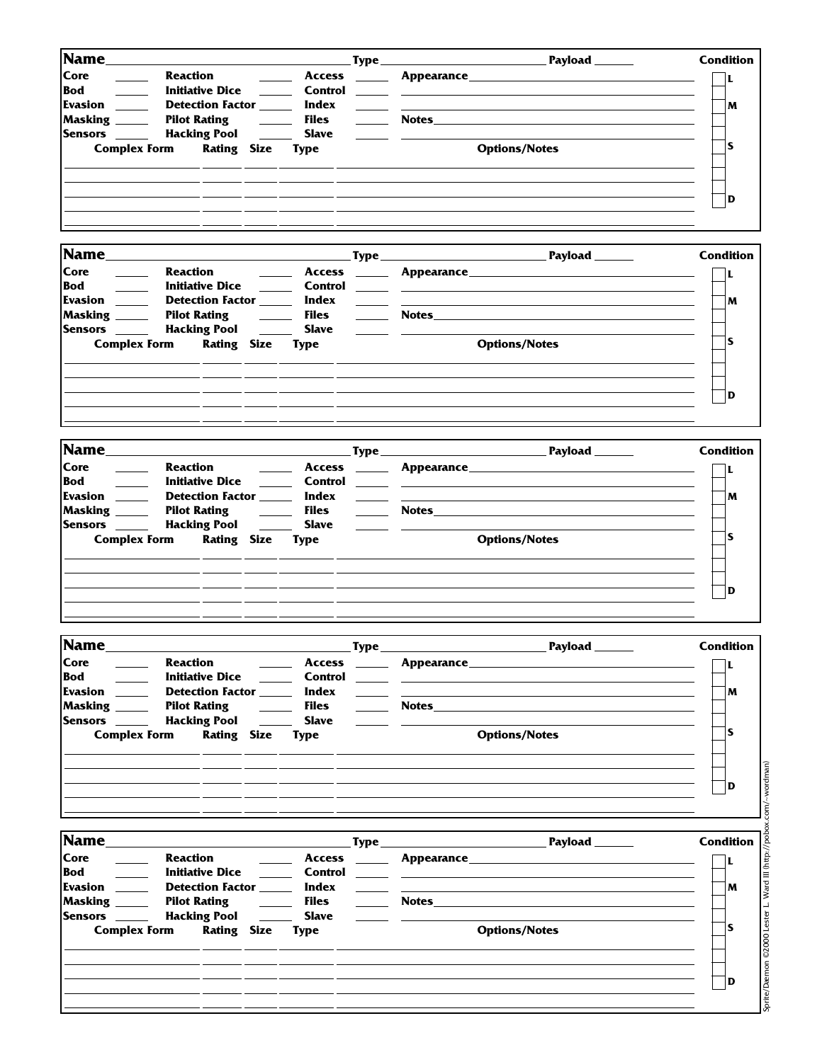| <b>Condition</b>                   |                                                                                                                                                                                                                                |                          |                             |                                                           |                                           |                                |
|------------------------------------|--------------------------------------------------------------------------------------------------------------------------------------------------------------------------------------------------------------------------------|--------------------------|-----------------------------|-----------------------------------------------------------|-------------------------------------------|--------------------------------|
| L                                  | <b>Example 2018</b> Appearance <b>Example 2018</b> 2019 12:30 Appearance <b>Example 2018</b>                                                                                                                                   |                          | <b>Access</b>               |                                                           |                                           | <b>Reaction</b>                |
|                                    | <u> 1988 - Johann Stein, mars et al. (</u>                                                                                                                                                                                     |                          | Control                     | <u> 1999 - Johann Barnett, f</u>                          | <b>Initiative Dice</b>                    |                                |
| M                                  | the control of the control of the control of the control of the control of the control of the control of the control of the control of the control of the control of the control of the control of the control of the control  |                          | Index                       |                                                           | Detection Factor _____                    | Evasion ______                 |
|                                    |                                                                                                                                                                                                                                |                          | <b>Files</b>                |                                                           | <b>Pilot Rating</b>                       | Masking _____                  |
|                                    |                                                                                                                                                                                                                                | <u>___</u> ___           | <b>Slave</b>                |                                                           | <b>Hacking Pool</b>                       | Sensors <u>_____</u>           |
| ls                                 | <b>Options/Notes</b>                                                                                                                                                                                                           |                          | <b>Type</b>                 |                                                           | <b>Rating Size</b>                        | <b>Complex Form</b>            |
| D                                  |                                                                                                                                                                                                                                |                          |                             |                                                           |                                           |                                |
| <b>Condition</b>                   |                                                                                                                                                                                                                                |                          |                             |                                                           |                                           | <b>Name</b>                    |
| Payload ______                     |                                                                                                                                                                                                                                |                          |                             |                                                           |                                           |                                |
| L                                  |                                                                                                                                                                                                                                |                          |                             |                                                           |                                           | <b>Reaction</b>                |
|                                    |                                                                                                                                                                                                                                |                          | ______ Control              |                                                           | <b>Initiative Dice</b>                    |                                |
| M                                  |                                                                                                                                                                                                                                |                          | Index<br>Files              |                                                           | Detection Factor _____                    | Evasion _____<br>Masking _____ |
|                                    |                                                                                                                                                                                                                                |                          |                             | <b>Contract Contract Contract</b>                         | <b>Pilot Rating</b>                       |                                |
| ls.                                |                                                                                                                                                                                                                                |                          | <b>Slave</b>                |                                                           | <b>Hacking Pool</b>                       | Sensors _____                  |
|                                    | <b>Options/Notes</b>                                                                                                                                                                                                           |                          | <b>Type</b>                 |                                                           | <b>Rating Size</b>                        | <b>Complex Form</b>            |
| D                                  |                                                                                                                                                                                                                                |                          |                             |                                                           |                                           |                                |
|                                    |                                                                                                                                                                                                                                |                          |                             |                                                           |                                           |                                |
| <b>Condition</b>                   |                                                                                                                                                                                                                                |                          |                             |                                                           |                                           | <b>Name</b>                    |
| L                                  | Appearance Appearance Appearance Appearance Appearance Appearance Appearance Appearance Appearance Appearance Appearance Appearance Appearance Appearance Appearance Appearance Appearance Appearance Appearance Appearance Ap |                          | <b>Access</b>               | <b>Contract Contract</b>                                  |                                           | <b>Reaction</b>                |
|                                    | $\sim$                                                                                                                                                                                                                         |                          | Control                     |                                                           | <b>Initiative Dice</b>                    |                                |
| M                                  | the control of the control of the control of the control of the control of the control of the control of the control of the control of the control of the control of the control of the control of the control of the control  |                          | Index                       |                                                           | Detection Factor ______                   | Evasion _____                  |
|                                    | Notes and the second second second second second second second second second second second second second second second second second second second second second second second second second second second second second secon |                          | <b>Files</b>                | $\mathcal{L}^{\text{max}}$ and $\mathcal{L}^{\text{max}}$ | <b>Pilot Rating</b>                       | Masking _____                  |
|                                    |                                                                                                                                                                                                                                |                          | <b>Slave</b>                |                                                           | <b>Hacking Pool</b>                       | <b>Sensors</b>                 |
| ls                                 | <b>Options/Notes</b>                                                                                                                                                                                                           |                          | <b>Type</b>                 |                                                           | <b>Rating Size</b>                        | <b>Complex Form</b>            |
|                                    |                                                                                                                                                                                                                                |                          |                             |                                                           |                                           |                                |
| D                                  |                                                                                                                                                                                                                                |                          |                             |                                                           |                                           |                                |
| <b>Condition</b><br>Payload ______ | the control of the control of the control of the                                                                                                                                                                               | $\mathbf{Type\_}$        |                             |                                                           |                                           | <b>Name________</b>            |
| L                                  |                                                                                                                                                                                                                                | $\sim$ 100 $\sim$        | <b>Access</b>               |                                                           |                                           | <b>Reaction</b>                |
|                                    | <u> 1980 - Andrea Stadt, fransk politik (d. 1980)</u>                                                                                                                                                                          | $\overline{\phantom{a}}$ | Control                     |                                                           | <b>Initiative Dice</b>                    |                                |
| M                                  |                                                                                                                                                                                                                                |                          | Index                       |                                                           | Detection Factor _____                    | Evasion                        |
|                                    | Notes and the second second second second second second second second second second second second second second second second second second second second second second second second second second second second second secon |                          | <b>Files</b>                |                                                           | <b>Pilot Rating</b>                       | Masking ______                 |
|                                    |                                                                                                                                                                                                                                |                          | <b>Slave</b>                |                                                           | <b>Hacking Pool</b>                       | Sensors <u>Sensors</u>         |
| ls                                 | <b>Options/Notes</b>                                                                                                                                                                                                           |                          | <b>Type</b>                 |                                                           | <b>Rating Size</b>                        | <b>Complex Form</b>            |
| D                                  |                                                                                                                                                                                                                                |                          |                             |                                                           |                                           |                                |
|                                    |                                                                                                                                                                                                                                |                          |                             |                                                           |                                           |                                |
| <b>Condition</b><br>Payload ______ |                                                                                                                                                                                                                                |                          |                             |                                                           |                                           | Name_                          |
| L                                  |                                                                                                                                                                                                                                |                          |                             |                                                           |                                           | <b>Reaction</b>                |
|                                    |                                                                                                                                                                                                                                |                          | Control                     |                                                           | <b>Initiative Dice</b>                    |                                |
| M                                  |                                                                                                                                                                                                                                |                          | Index                       |                                                           | Detection Factor _____                    | Evasion                        |
|                                    | Notes <b>Notes</b>                                                                                                                                                                                                             |                          | <b>Files</b>                | $\overline{\phantom{a}}$                                  | <b>Pilot Rating</b>                       | Masking _____                  |
| ls                                 | <b>Options/Notes</b>                                                                                                                                                                                                           |                          | <b>Slave</b><br><b>Type</b> |                                                           | <b>Hacking Pool</b><br><b>Rating Size</b> | Sensors<br><b>Complex Form</b> |

| Sprite/Dæmon ©2000 Lester L. Ward III (http://pobox.com/~wordman) |
|-------------------------------------------------------------------|
|                                                                   |
|                                                                   |
|                                                                   |
|                                                                   |
|                                                                   |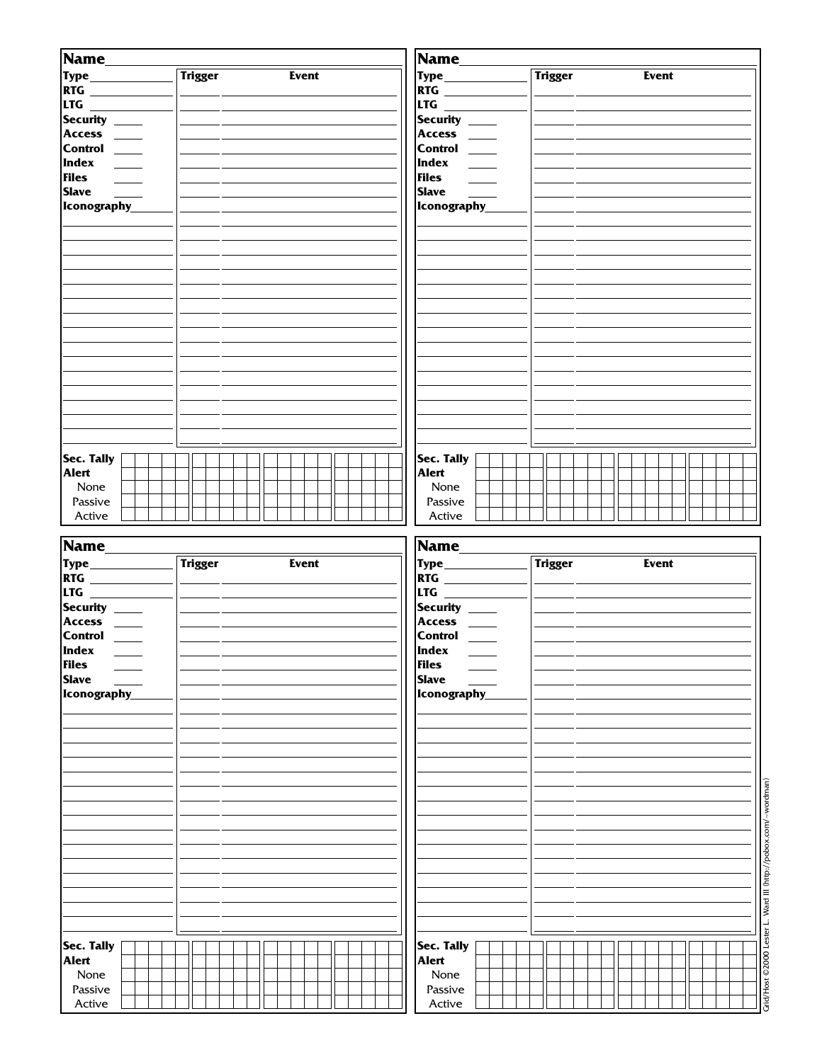| Name_<br><b>Type_____________</b><br><b>RTG</b><br><b>LTG</b> _______<br>Security ____<br>Access ____<br>Control ___<br><b>Files</b><br>Slave <u>__</u><br>Iconography | <b>Trigger</b> | <b>Event</b> | Name_<br><b>RTG</b><br> LTG _______<br>Security ___<br>Access ____<br>Control ___<br><b>Files</b><br>Slave ____<br>Iconography | <b>Trigger</b> | Event |
|------------------------------------------------------------------------------------------------------------------------------------------------------------------------|----------------|--------------|--------------------------------------------------------------------------------------------------------------------------------|----------------|-------|
| Sec. Tally<br>Alert<br>None<br>Passive<br>Active                                                                                                                       |                |              | Sec. Tally<br>Alert<br>None<br>Passive<br>Active                                                                               |                |       |

| Name         |                |              | Name_               |                |              |
|--------------|----------------|--------------|---------------------|----------------|--------------|
|              | <b>Trigger</b> | <b>Event</b> |                     | <b>Trigger</b> | <b>Event</b> |
| <b>RTG</b>   |                |              | <b>RTG</b> ________ |                |              |
|              |                |              | LTG ______________  |                |              |
| Security ___ |                |              | Security ___        |                |              |
| Access _____ |                |              | $ Access \_\_$      |                |              |
| Control ___  |                |              | Control ___         |                |              |
|              |                |              | Index _____         |                |              |
| Files        |                |              | <b>Files</b>        |                |              |
| <b>Slave</b> |                |              | Slave               |                |              |
| Iconography  |                |              | Iconography         |                |              |
|              |                |              |                     |                |              |
|              |                |              |                     |                |              |
|              |                |              |                     |                |              |
|              |                |              |                     |                |              |
|              |                |              |                     |                |              |
|              |                |              |                     |                |              |
|              |                |              |                     |                |              |
|              |                |              |                     |                |              |
|              |                |              |                     |                |              |
|              |                |              |                     |                |              |
|              |                |              |                     |                |              |
|              |                |              |                     |                |              |
|              |                |              |                     |                |              |
|              |                |              |                     |                |              |
|              |                |              |                     |                |              |
|              |                |              |                     |                |              |
| Sec. Tally   |                |              | Sec. Tally          |                |              |
| Alert        |                |              | Alert               |                |              |
| None         |                |              | None                |                |              |
| Passive      |                |              | Passive             |                |              |
| Active       |                |              | Active              |                |              |